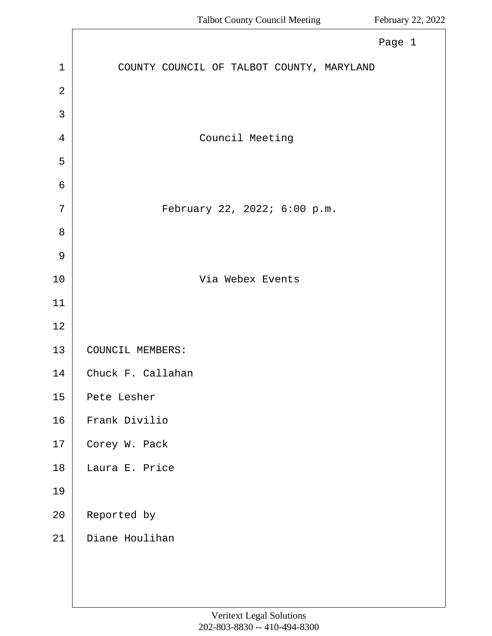<span id="page-0-0"></span>

|                | Page 1                                    |
|----------------|-------------------------------------------|
| $\mathbf{1}$   | COUNTY COUNCIL OF TALBOT COUNTY, MARYLAND |
| $\overline{2}$ |                                           |
| 3              |                                           |
| 4              | Council Meeting                           |
| 5              |                                           |
| $\sigma$       |                                           |
| 7              | February 22, 2022; 6:00 p.m.              |
| 8              |                                           |
| $\mathcal{G}$  |                                           |
| 10             | Via Webex Events                          |
| 11             |                                           |
| 12             |                                           |
| 13             | COUNCIL MEMBERS:                          |
| 14             | Chuck F. Callahan                         |
| 15             | Pete Lesher                               |
| 16             | Frank Divilio                             |
| 17             | Corey W. Pack                             |
| 18             | Laura E. Price                            |
| 19             |                                           |
| 20             | Reported by                               |
| 21             | Diane Houlihan                            |
|                |                                           |
|                |                                           |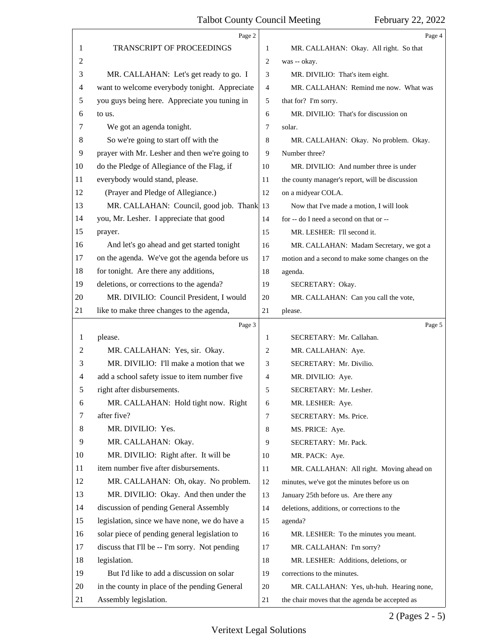<span id="page-1-0"></span>

|    | Page 2                                         |                | Page 4                                          |
|----|------------------------------------------------|----------------|-------------------------------------------------|
| 1  | TRANSCRIPT OF PROCEEDINGS                      | 1              | MR. CALLAHAN: Okay. All right. So that          |
| 2  |                                                | 2              | was -- okay.                                    |
| 3  | MR. CALLAHAN: Let's get ready to go. I         | 3              | MR. DIVILIO: That's item eight.                 |
| 4  | want to welcome everybody tonight. Appreciate  | $\overline{4}$ | MR. CALLAHAN: Remind me now. What was           |
| 5  | you guys being here. Appreciate you tuning in  | 5              | that for? I'm sorry.                            |
| 6  | to us.                                         | 6              | MR. DIVILIO: That's for discussion on           |
| 7  | We got an agenda tonight.                      | 7              | solar.                                          |
| 8  | So we're going to start off with the           | 8              | MR. CALLAHAN: Okay. No problem. Okay.           |
| 9  | prayer with Mr. Lesher and then we're going to | 9              | Number three?                                   |
| 10 | do the Pledge of Allegiance of the Flag, if    | 10             | MR. DIVILIO: And number three is under          |
| 11 | everybody would stand, please.                 | 11             | the county manager's report, will be discussion |
| 12 | (Prayer and Pledge of Allegiance.)             | 12             | on a midyear COLA.                              |
| 13 | MR. CALLAHAN: Council, good job. Thank 13      |                | Now that I've made a motion, I will look        |
| 14 | you, Mr. Lesher. I appreciate that good        | 14             | for -- do I need a second on that or --         |
| 15 | prayer.                                        | 15             | MR. LESHER: I'll second it.                     |
| 16 | And let's go ahead and get started tonight     | 16             | MR. CALLAHAN: Madam Secretary, we got a         |
| 17 | on the agenda. We've got the agenda before us  | 17             | motion and a second to make some changes on the |
| 18 | for tonight. Are there any additions,          | 18             | agenda.                                         |
| 19 | deletions, or corrections to the agenda?       | 19             | SECRETARY: Okay.                                |
| 20 | MR. DIVILIO: Council President, I would        | 20             | MR. CALLAHAN: Can you call the vote,            |
| 21 | like to make three changes to the agenda,      | 21             | please.                                         |
|    | Page 3                                         |                | Page 5                                          |
| 1  | please.                                        | 1              | SECRETARY: Mr. Callahan.                        |
| 2  | MR. CALLAHAN: Yes, sir. Okay.                  | 2              | MR. CALLAHAN: Aye.                              |
| 3  | MR. DIVILIO: I'll make a motion that we        | 3              | SECRETARY: Mr. Divilio.                         |
| 4  | add a school safety issue to item number five  | $\overline{4}$ | MR. DIVILIO: Aye.                               |
| 5  | right after disbursements.                     | 5              | SECRETARY: Mr. Lesher.                          |
| 6  | MR. CALLAHAN: Hold tight now. Right            | 6              | MR. LESHER: Aye.                                |
| 7  | after five?                                    | 7              | SECRETARY: Ms. Price.                           |
| 8  | MR. DIVILIO: Yes.                              | 8              | MS. PRICE: Aye.                                 |
| 9  | MR. CALLAHAN: Okay.                            | 9              | SECRETARY: Mr. Pack.                            |
| 10 | MR. DIVILIO: Right after. It will be           | 10             | MR. PACK: Aye.                                  |
| 11 | item number five after disbursements.          | 11             | MR. CALLAHAN: All right. Moving ahead on        |
| 12 | MR. CALLAHAN: Oh, okay. No problem.            | 12             | minutes, we've got the minutes before us on     |
| 13 | MR. DIVILIO: Okay. And then under the          | 13             | January 25th before us. Are there any           |
| 14 | discussion of pending General Assembly         | 14             | deletions, additions, or corrections to the     |
| 15 | legislation, since we have none, we do have a  | 15             | agenda?                                         |
| 16 | solar piece of pending general legislation to  | 16             | MR. LESHER: To the minutes you meant.           |
| 17 | discuss that I'll be -- I'm sorry. Not pending | 17             | MR. CALLAHAN: I'm sorry?                        |
| 18 | legislation.                                   | 18             | MR. LESHER: Additions, deletions, or            |
| 19 |                                                |                |                                                 |
|    | But I'd like to add a discussion on solar      | 19             | corrections to the minutes.                     |
| 20 | in the county in place of the pending General  | 20             | MR. CALLAHAN: Yes, uh-huh. Hearing none,        |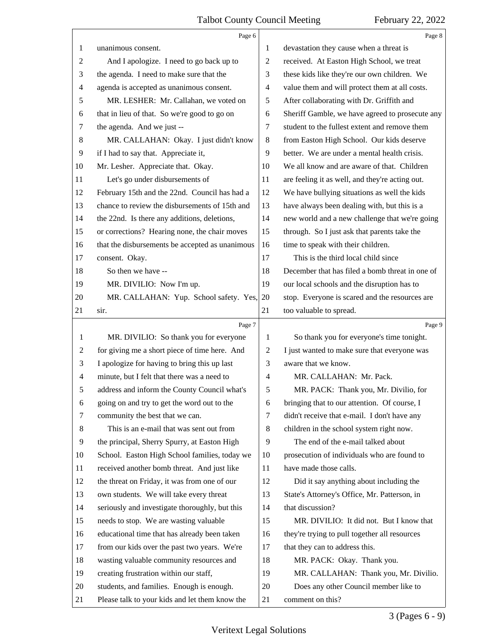<span id="page-2-0"></span>

|                | Page 6                                          |                | Page 8                                          |
|----------------|-------------------------------------------------|----------------|-------------------------------------------------|
| 1              | unanimous consent.                              | 1              | devastation they cause when a threat is         |
| $\overline{2}$ | And I apologize. I need to go back up to        | $\overline{2}$ | received. At Easton High School, we treat       |
| 3              | the agenda. I need to make sure that the        | 3              | these kids like they're our own children. We    |
| $\overline{4}$ | agenda is accepted as unanimous consent.        | $\overline{4}$ | value them and will protect them at all costs.  |
| 5              | MR. LESHER: Mr. Callahan, we voted on           | 5              | After collaborating with Dr. Griffith and       |
| 6              | that in lieu of that. So we're good to go on    | 6              | Sheriff Gamble, we have agreed to prosecute any |
| 7              | the agenda. And we just --                      | 7              | student to the fullest extent and remove them   |
| 8              | MR. CALLAHAN: Okay. I just didn't know          | $\,8$          | from Easton High School. Our kids deserve       |
| 9              | if I had to say that. Appreciate it,            | 9              | better. We are under a mental health crisis.    |
| 10             | Mr. Lesher. Appreciate that. Okay.              | 10             | We all know and are aware of that. Children     |
| 11             | Let's go under disbursements of                 | 11             | are feeling it as well, and they're acting out. |
| 12             | February 15th and the 22nd. Council has had a   | 12             | We have bullying situations as well the kids    |
| 13             | chance to review the disbursements of 15th and  | 13             | have always been dealing with, but this is a    |
| 14             | the 22nd. Is there any additions, deletions,    | 14             | new world and a new challenge that we're going  |
| 15             | or corrections? Hearing none, the chair moves   | 15             | through. So I just ask that parents take the    |
| 16             | that the disbursements be accepted as unanimous | 16             | time to speak with their children.              |
| 17             | consent. Okay.                                  | 17             | This is the third local child since             |
| 18             | So then we have --                              | 18             | December that has filed a bomb threat in one of |
| 19             | MR. DIVILIO: Now I'm up.                        | 19             | our local schools and the disruption has to     |
| 20             | MR. CALLAHAN: Yup. School safety. Yes,          | 20             | stop. Everyone is scared and the resources are  |
| 21             | sir.                                            | 21             | too valuable to spread.                         |
|                |                                                 |                |                                                 |
|                | Page 7                                          |                | Page 9                                          |
| 1              | MR. DIVILIO: So thank you for everyone          | 1              | So thank you for everyone's time tonight.       |
| $\overline{c}$ | for giving me a short piece of time here. And   | 2              | I just wanted to make sure that everyone was    |
| 3              | I apologize for having to bring this up last    | 3              | aware that we know.                             |
| 4              | minute, but I felt that there was a need to     | 4              | MR. CALLAHAN: Mr. Pack.                         |
| 5              | address and inform the County Council what's    | 5              | MR. PACK: Thank you, Mr. Divilio, for           |
| 6              | going on and try to get the word out to the     | 6              | bringing that to our attention. Of course, I    |
| $\tau$         | community the best that we can.                 | 7              | didn't receive that e-mail. I don't have any    |
| 8              | This is an e-mail that was sent out from        | 8              | children in the school system right now.        |
| 9              | the principal, Sherry Spurry, at Easton High    | 9              | The end of the e-mail talked about              |
| 10             | School. Easton High School families, today we   | 10             | prosecution of individuals who are found to     |
| 11             | received another bomb threat. And just like     | 11             | have made those calls.                          |
| 12             | the threat on Friday, it was from one of our    | 12             | Did it say anything about including the         |
| 13             | own students. We will take every threat         | 13             | State's Attorney's Office, Mr. Patterson, in    |
| 14             | seriously and investigate thoroughly, but this  | 14             | that discussion?                                |
| 15             | needs to stop. We are wasting valuable          | 15             | MR. DIVILIO: It did not. But I know that        |
| 16             | educational time that has already been taken    | 16             | they're trying to pull together all resources   |
| 17             | from our kids over the past two years. We're    | 17             | that they can to address this.                  |
| 18             | wasting valuable community resources and        | 18             | MR. PACK: Okay. Thank you.                      |
| 19             | creating frustration within our staff,          | 19             | MR. CALLAHAN: Thank you, Mr. Divilio.           |
| 20             | students, and families. Enough is enough.       | 20             | Does any other Council member like to           |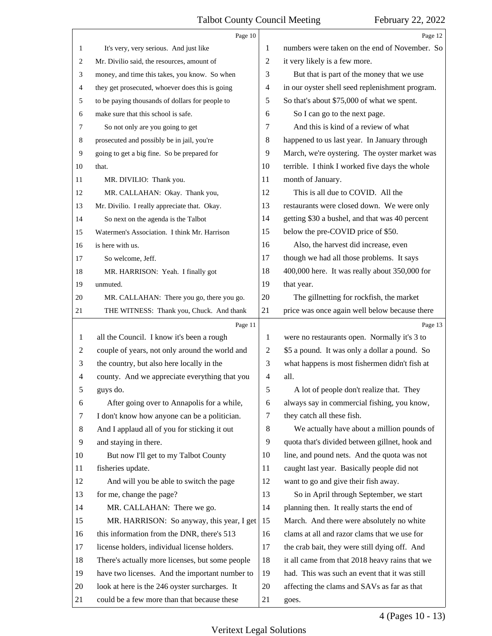<span id="page-3-0"></span>

|    | Page 10                                         |                | Page 12                                         |
|----|-------------------------------------------------|----------------|-------------------------------------------------|
| 1  | It's very, very serious. And just like          | 1              | numbers were taken on the end of November. So   |
| 2  | Mr. Divilio said, the resources, amount of      | 2              | it very likely is a few more.                   |
| 3  | money, and time this takes, you know. So when   | 3              | But that is part of the money that we use       |
| 4  | they get prosecuted, whoever does this is going | $\overline{4}$ | in our oyster shell seed replenishment program. |
| 5  | to be paying thousands of dollars for people to | 5              | So that's about \$75,000 of what we spent.      |
| 6  | make sure that this school is safe.             | 6              | So I can go to the next page.                   |
| 7  | So not only are you going to get                | 7              | And this is kind of a review of what            |
| 8  | prosecuted and possibly be in jail, you're      | 8              | happened to us last year. In January through    |
| 9  | going to get a big fine. So be prepared for     | 9              | March, we're oystering. The oyster market was   |
| 10 | that.                                           | 10             | terrible. I think I worked five days the whole  |
| 11 | MR. DIVILIO: Thank you.                         | 11             | month of January.                               |
| 12 | MR. CALLAHAN: Okay. Thank you,                  | 12             | This is all due to COVID. All the               |
| 13 | Mr. Divilio. I really appreciate that. Okay.    | 13             | restaurants were closed down. We were only      |
| 14 | So next on the agenda is the Talbot             | 14             | getting \$30 a bushel, and that was 40 percent  |
| 15 | Watermen's Association. I think Mr. Harrison    | 15             | below the pre-COVID price of \$50.              |
| 16 | is here with us.                                | 16             | Also, the harvest did increase, even            |
| 17 | So welcome, Jeff.                               | 17             | though we had all those problems. It says       |
| 18 | MR. HARRISON: Yeah. I finally got               | 18             | 400,000 here. It was really about 350,000 for   |
| 19 | unmuted.                                        | 19             | that year.                                      |
| 20 | MR. CALLAHAN: There you go, there you go.       | 20             | The gillnetting for rockfish, the market        |
| 21 | THE WITNESS: Thank you, Chuck. And thank        | 21             | price was once again well below because there   |
|    |                                                 |                |                                                 |
|    | Page 11                                         |                | Page 13                                         |
| 1  | all the Council. I know it's been a rough       | 1              | were no restaurants open. Normally it's 3 to    |
| 2  | couple of years, not only around the world and  | $\overline{c}$ | \$5 a pound. It was only a dollar a pound. So   |
| 3  | the country, but also here locally in the       | 3              | what happens is most fishermen didn't fish at   |
| 4  | county. And we appreciate everything that you   | $\overline{4}$ | all.                                            |
| 5  | guys do.                                        | 5              | A lot of people don't realize that. They        |
| 6  | After going over to Annapolis for a while,      | 6              | always say in commercial fishing, you know,     |
| 7  | I don't know how anyone can be a politician.    | 7              | they catch all these fish.                      |
| 8  | And I applaud all of you for sticking it out    | 8              | We actually have about a million pounds of      |
| 9  | and staying in there.                           | 9              | quota that's divided between gillnet, hook and  |
| 10 | But now I'll get to my Talbot County            | 10             | line, and pound nets. And the quota was not     |
| 11 | fisheries update.                               | 11             | caught last year. Basically people did not      |
| 12 | And will you be able to switch the page         | 12             | want to go and give their fish away.            |
| 13 | for me, change the page?                        | 13             | So in April through September, we start         |
| 14 | MR. CALLAHAN: There we go.                      | 14             | planning then. It really starts the end of      |
| 15 | MR. HARRISON: So anyway, this year, I get       | 15             | March. And there were absolutely no white       |
| 16 | this information from the DNR, there's 513      | 16             | clams at all and razor clams that we use for    |
| 17 | license holders, individual license holders.    | 17             | the crab bait, they were still dying off. And   |
| 18 | There's actually more licenses, but some people | 18             | it all came from that 2018 heavy rains that we  |
| 19 | have two licenses. And the important number to  | 19             | had. This was such an event that it was still   |
| 20 | look at here is the 246 oyster surcharges. It   | 20             | affecting the clams and SAVs as far as that     |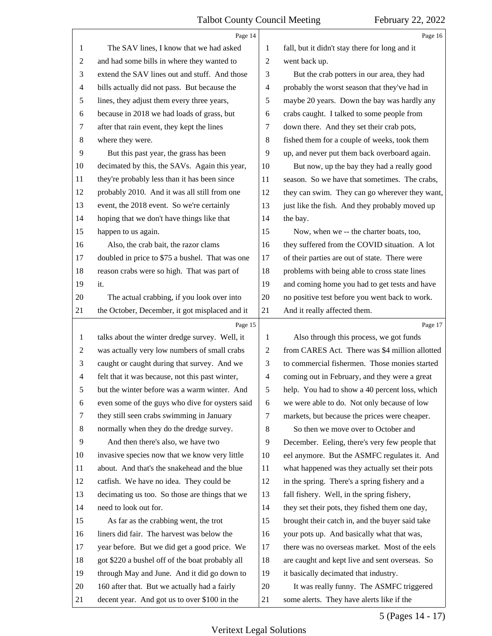<span id="page-4-0"></span>

|                | Page 14                                         |                          | Page 16                                         |
|----------------|-------------------------------------------------|--------------------------|-------------------------------------------------|
| 1              | The SAV lines, I know that we had asked         | 1                        | fall, but it didn't stay there for long and it  |
| $\overline{2}$ | and had some bills in where they wanted to      | $\overline{c}$           | went back up.                                   |
| 3              | extend the SAV lines out and stuff. And those   | 3                        | But the crab potters in our area, they had      |
| $\overline{4}$ | bills actually did not pass. But because the    | $\overline{4}$           | probably the worst season that they've had in   |
| 5              | lines, they adjust them every three years,      | 5                        | maybe 20 years. Down the bay was hardly any     |
| 6              | because in 2018 we had loads of grass, but      | 6                        | crabs caught. I talked to some people from      |
| 7              | after that rain event, they kept the lines      | 7                        | down there. And they set their crab pots,       |
| $\,8$          | where they were.                                | 8                        | fished them for a couple of weeks, took them    |
| 9              | But this past year, the grass has been          | 9                        | up, and never put them back overboard again.    |
| 10             | decimated by this, the SAVs. Again this year,   | 10                       | But now, up the bay they had a really good      |
| 11             | they're probably less than it has been since    | 11                       | season. So we have that sometimes. The crabs,   |
| 12             | probably 2010. And it was all still from one    | 12                       | they can swim. They can go wherever they want,  |
| 13             | event, the 2018 event. So we're certainly       | 13                       | just like the fish. And they probably moved up  |
| 14             | hoping that we don't have things like that      | 14                       | the bay.                                        |
| 15             | happen to us again.                             | 15                       | Now, when we -- the charter boats, too,         |
| 16             | Also, the crab bait, the razor clams            | 16                       | they suffered from the COVID situation. A lot   |
| 17             | doubled in price to \$75 a bushel. That was one | 17                       | of their parties are out of state. There were   |
| 18             | reason crabs were so high. That was part of     | 18                       | problems with being able to cross state lines   |
| 19             | it.                                             | 19                       | and coming home you had to get tests and have   |
| 20             | The actual crabbing, if you look over into      | 20                       | no positive test before you went back to work.  |
| 21             | the October, December, it got misplaced and it  | 21                       | And it really affected them.                    |
|                |                                                 |                          |                                                 |
|                | Page 15                                         |                          | Page 17                                         |
| $\mathbf{1}$   | talks about the winter dredge survey. Well, it  | 1                        | Also through this process, we got funds         |
| $\overline{2}$ | was actually very low numbers of small crabs    | $\overline{c}$           | from CARES Act. There was \$4 million allotted  |
| 3              | caught or caught during that survey. And we     | 3                        | to commercial fishermen. Those monies started   |
| $\overline{4}$ | felt that it was because, not this past winter, | $\overline{\mathcal{A}}$ | coming out in February, and they were a great   |
| 5              | but the winter before was a warm winter. And    | 5                        | help. You had to show a 40 percent loss, which  |
| 6              | even some of the guys who dive for oysters said | 6                        | we were able to do. Not only because of low     |
| 7              | they still seen crabs swimming in January       | $\tau$                   | markets, but because the prices were cheaper.   |
| 8              | normally when they do the dredge survey.        | 8                        | So then we move over to October and             |
| 9              | And then there's also, we have two              | 9                        | December. Eeling, there's very few people that  |
| 10             | invasive species now that we know very little   | 10                       | eel anymore. But the ASMFC regulates it. And    |
| 11             | about. And that's the snakehead and the blue    | 11                       | what happened was they actually set their pots  |
| 12             | catfish. We have no idea. They could be         | 12                       | in the spring. There's a spring fishery and a   |
| 13             | decimating us too. So those are things that we  | 13                       | fall fishery. Well, in the spring fishery,      |
| 14             | need to look out for.                           | 14                       | they set their pots, they fished them one day,  |
| 15             | As far as the crabbing went, the trot           | 15                       | brought their catch in, and the buyer said take |
| 16             | liners did fair. The harvest was below the      | 16                       | your pots up. And basically what that was,      |
| 17             | year before. But we did get a good price. We    | 17                       | there was no overseas market. Most of the eels  |
| 18             | got \$220 a bushel off of the boat probably all | 18                       | are caught and kept live and sent overseas. So  |
| 19             | through May and June. And it did go down to     | 19                       | it basically decimated that industry.           |
| 20             | 160 after that. But we actually had a fairly    | 20                       | It was really funny. The ASMFC triggered        |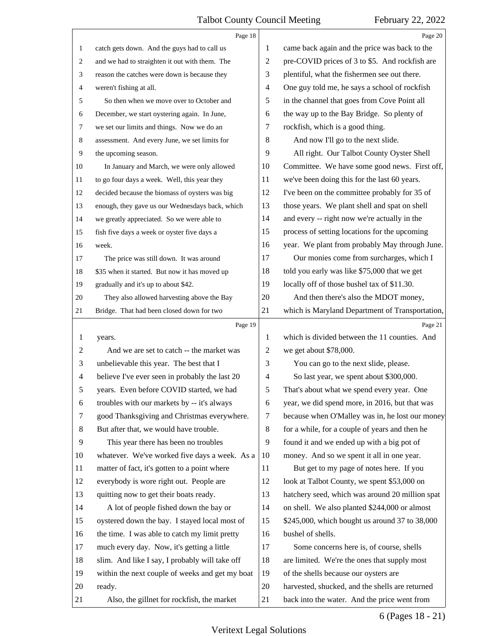<span id="page-5-0"></span>

|                | Page 18                                         |    | Page 20                                         |
|----------------|-------------------------------------------------|----|-------------------------------------------------|
| $\mathbf{1}$   | catch gets down. And the guys had to call us    | 1  | came back again and the price was back to the   |
| 2              | and we had to straighten it out with them. The  | 2  | pre-COVID prices of 3 to \$5. And rockfish are  |
| 3              | reason the catches were down is because they    | 3  | plentiful, what the fishermen see out there.    |
| 4              | weren't fishing at all.                         | 4  | One guy told me, he says a school of rockfish   |
| 5              | So then when we move over to October and        | 5  | in the channel that goes from Cove Point all    |
| 6              | December, we start oystering again. In June,    | 6  | the way up to the Bay Bridge. So plenty of      |
| $\overline{7}$ | we set our limits and things. Now we do an      | 7  | rockfish, which is a good thing.                |
| 8              | assessment. And every June, we set limits for   | 8  | And now I'll go to the next slide.              |
| 9              | the upcoming season.                            | 9  | All right. Our Talbot County Oyster Shell       |
| 10             | In January and March, we were only allowed      | 10 | Committee. We have some good news. First off,   |
| 11             | to go four days a week. Well, this year they    | 11 | we've been doing this for the last 60 years.    |
| 12             | decided because the biomass of oysters was big  | 12 | I've been on the committee probably for 35 of   |
| 13             | enough, they gave us our Wednesdays back, which | 13 | those years. We plant shell and spat on shell   |
| 14             | we greatly appreciated. So we were able to      | 14 | and every -- right now we're actually in the    |
| 15             | fish five days a week or oyster five days a     | 15 | process of setting locations for the upcoming   |
| 16             | week.                                           | 16 | year. We plant from probably May through June.  |
| 17             | The price was still down. It was around         | 17 | Our monies come from surcharges, which I        |
| 18             | \$35 when it started. But now it has moved up   | 18 | told you early was like \$75,000 that we get    |
| 19             | gradually and it's up to about \$42.            | 19 | locally off of those bushel tax of \$11.30.     |
| 20             | They also allowed harvesting above the Bay      | 20 | And then there's also the MDOT money,           |
| 21             | Bridge. That had been closed down for two       | 21 | which is Maryland Department of Transportation, |
|                | Page 19                                         |    | Page 21                                         |
| 1              | years.                                          | 1  | which is divided between the 11 counties. And   |
| $\overline{c}$ | And we are set to catch -- the market was       | 2  | we get about \$78,000.                          |
| 3              | unbelievable this year. The best that I         | 3  | You can go to the next slide, please.           |
| $\overline{4}$ | believe I've ever seen in probably the last 20  | 4  | So last year, we spent about \$300,000.         |
| 5              | years. Even before COVID started, we had        | 5  | That's about what we spend every year. One      |
| 6              | troubles with our markets by -- it's always     | 6  | year, we did spend more, in 2016, but that was  |
| 7              | good Thanksgiving and Christmas everywhere.     | 7  | because when O'Malley was in, he lost our money |
| 8              | But after that, we would have trouble.          | 8  | for a while, for a couple of years and then he  |
| 9              | This year there has been no troubles            | 9  | found it and we ended up with a big pot of      |
| 10             | whatever. We've worked five days a week. As a   | 10 | money. And so we spent it all in one year.      |
| 11             | matter of fact, it's gotten to a point where    | 11 | But get to my page of notes here. If you        |
| 12             | everybody is wore right out. People are         | 12 | look at Talbot County, we spent \$53,000 on     |
| 13             | quitting now to get their boats ready.          | 13 | hatchery seed, which was around 20 million spat |
| 14             | A lot of people fished down the bay or          | 14 | on shell. We also planted \$244,000 or almost   |
| 15             | oystered down the bay. I stayed local most of   | 15 | \$245,000, which bought us around 37 to 38,000  |
| 16             | the time. I was able to catch my limit pretty   | 16 | bushel of shells.                               |
| 17             | much every day. Now, it's getting a little      | 17 | Some concerns here is, of course, shells        |
| 18             | slim. And like I say, I probably will take off  | 18 | are limited. We're the ones that supply most    |
| 19             | within the next couple of weeks and get my boat | 19 | of the shells because our oysters are           |
| 20             | ready.                                          | 20 | harvested, shucked, and the shells are returned |
|                |                                                 |    |                                                 |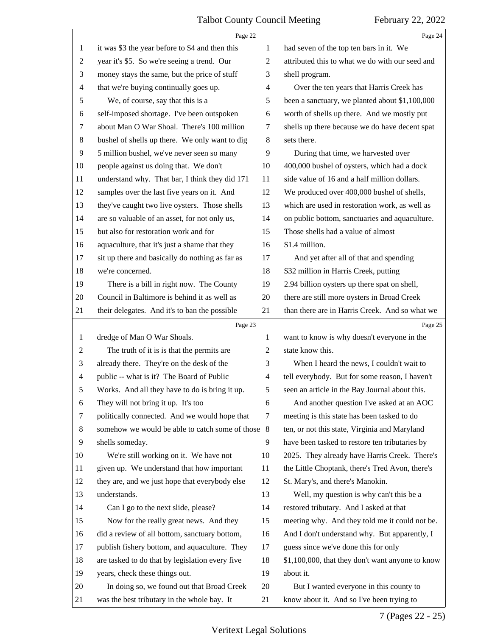<span id="page-6-0"></span>

|                | Page 22                                         |                | Page 24                                          |
|----------------|-------------------------------------------------|----------------|--------------------------------------------------|
| 1              | it was \$3 the year before to \$4 and then this | 1              | had seven of the top ten bars in it. We          |
| $\overline{c}$ | year it's \$5. So we're seeing a trend. Our     | 2              | attributed this to what we do with our seed and  |
| 3              | money stays the same, but the price of stuff    | 3              | shell program.                                   |
| 4              | that we're buying continually goes up.          | $\overline{4}$ | Over the ten years that Harris Creek has         |
| 5              | We, of course, say that this is a               | 5              | been a sanctuary, we planted about \$1,100,000   |
| 6              | self-imposed shortage. I've been outspoken      | 6              | worth of shells up there. And we mostly put      |
| 7              | about Man O War Shoal. There's 100 million      | 7              | shells up there because we do have decent spat   |
| 8              | bushel of shells up there. We only want to dig  | 8              | sets there.                                      |
| 9              | 5 million bushel, we've never seen so many      | 9              | During that time, we harvested over              |
| 10             | people against us doing that. We don't          | 10             | 400,000 bushel of oysters, which had a dock      |
| 11             | understand why. That bar, I think they did 171  | 11             | side value of 16 and a half million dollars.     |
| 12             | samples over the last five years on it. And     | 12             | We produced over 400,000 bushel of shells,       |
| 13             | they've caught two live oysters. Those shells   | 13             | which are used in restoration work, as well as   |
| 14             | are so valuable of an asset, for not only us,   | 14             | on public bottom, sanctuaries and aquaculture.   |
| 15             | but also for restoration work and for           | 15             | Those shells had a value of almost               |
| 16             | aquaculture, that it's just a shame that they   | 16             | \$1.4 million.                                   |
| 17             | sit up there and basically do nothing as far as | 17             | And yet after all of that and spending           |
| 18             | we're concerned.                                | 18             | \$32 million in Harris Creek, putting            |
| 19             | There is a bill in right now. The County        | 19             | 2.94 billion oysters up there spat on shell,     |
| 20             | Council in Baltimore is behind it as well as    | 20             | there are still more oysters in Broad Creek      |
| 21             | their delegates. And it's to ban the possible   | 21             | than there are in Harris Creek. And so what we   |
|                |                                                 |                |                                                  |
|                | Page 23                                         |                | Page 25                                          |
| 1              | dredge of Man O War Shoals.                     | 1              | want to know is why doesn't everyone in the      |
| 2              | The truth of it is is that the permits are      | $\overline{c}$ | state know this.                                 |
| 3              | already there. They're on the desk of the       | 3              | When I heard the news, I couldn't wait to        |
| 4              | public -- what is it? The Board of Public       | $\overline{4}$ | tell everybody. But for some reason, I haven't   |
| 5              | Works. And all they have to do is bring it up.  | 5              | seen an article in the Bay Journal about this.   |
| 6              | They will not bring it up. It's too             | 6              | And another question I've asked at an AOC        |
| 7              | politically connected. And we would hope that   | 7              | meeting is this state has been tasked to do      |
| 8              | somehow we would be able to catch some of those | 8              | ten, or not this state, Virginia and Maryland    |
| 9              | shells someday.                                 | 9              | have been tasked to restore ten tributaries by   |
| 10             | We're still working on it. We have not          | 10             | 2025. They already have Harris Creek. There's    |
| 11             | given up. We understand that how important      | 11             | the Little Choptank, there's Tred Avon, there's  |
| 12             | they are, and we just hope that everybody else  | 12             | St. Mary's, and there's Manokin.                 |
| 13             | understands.                                    | 13             | Well, my question is why can't this be a         |
| 14             | Can I go to the next slide, please?             | 14             | restored tributary. And I asked at that          |
| 15             | Now for the really great news. And they         | 15             | meeting why. And they told me it could not be.   |
| 16             | did a review of all bottom, sanctuary bottom,   | 16             | And I don't understand why. But apparently, I    |
| 17             | publish fishery bottom, and aquaculture. They   | 17             | guess since we've done this for only             |
| 18             | are tasked to do that by legislation every five | 18             | \$1,100,000, that they don't want anyone to know |
| 19             | years, check these things out.                  | 19             | about it.                                        |
| 20             | In doing so, we found out that Broad Creek      | 20             | But I wanted everyone in this county to          |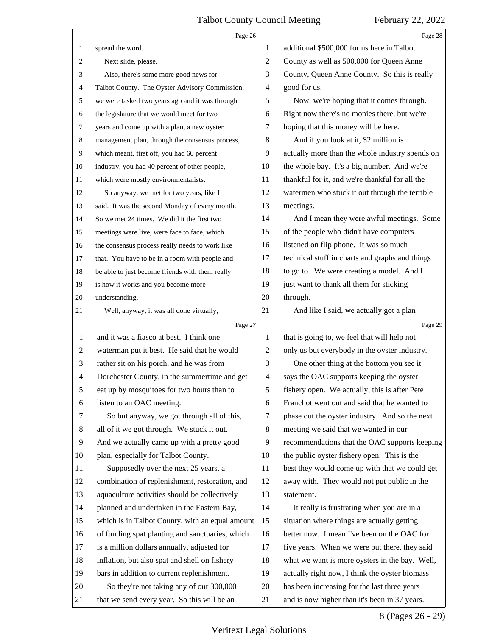<span id="page-7-0"></span>

|                | Page 26                                         |                | Page 28                                         |
|----------------|-------------------------------------------------|----------------|-------------------------------------------------|
| 1              | spread the word.                                | 1              | additional \$500,000 for us here in Talbot      |
| 2              | Next slide, please.                             | $\overline{c}$ | County as well as 500,000 for Queen Anne        |
| 3              | Also, there's some more good news for           | 3              | County, Queen Anne County. So this is really    |
| 4              | Talbot County. The Oyster Advisory Commission,  | $\overline{4}$ | good for us.                                    |
| 5              | we were tasked two years ago and it was through | 5              | Now, we're hoping that it comes through.        |
| 6              | the legislature that we would meet for two      | 6              | Right now there's no monies there, but we're    |
| 7              | years and come up with a plan, a new oyster     | 7              | hoping that this money will be here.            |
| 8              | management plan, through the consensus process, | 8              | And if you look at it, \$2 million is           |
| 9              | which meant, first off, you had 60 percent      | 9              | actually more than the whole industry spends on |
| 10             | industry, you had 40 percent of other people,   | 10             | the whole bay. It's a big number. And we're     |
| 11             | which were mostly environmentalists.            | 11             | thankful for it, and we're thankful for all the |
| 12             | So anyway, we met for two years, like I         | 12             | watermen who stuck it out through the terrible  |
| 13             | said. It was the second Monday of every month.  | 13             | meetings.                                       |
| 14             | So we met 24 times. We did it the first two     | 14             | And I mean they were awful meetings. Some       |
| 15             | meetings were live, were face to face, which    | 15             | of the people who didn't have computers         |
| 16             | the consensus process really needs to work like | 16             | listened on flip phone. It was so much          |
| 17             | that. You have to be in a room with people and  | 17             | technical stuff in charts and graphs and things |
| 18             | be able to just become friends with them really | 18             | to go to. We were creating a model. And I       |
| 19             | is how it works and you become more             | 19             | just want to thank all them for sticking        |
| 20             | understanding.                                  | 20             | through.                                        |
| 21             | Well, anyway, it was all done virtually,        | 21             | And like I said, we actually got a plan         |
|                |                                                 |                |                                                 |
|                | Page 27                                         |                | Page 29                                         |
| 1              | and it was a fiasco at best. I think one        | 1              | that is going to, we feel that will help not    |
| 2              | waterman put it best. He said that he would     | 2              | only us but everybody in the oyster industry.   |
| 3              | rather sit on his porch, and he was from        | 3              | One other thing at the bottom you see it        |
| $\overline{4}$ | Dorchester County, in the summertime and get    | 4              | says the OAC supports keeping the oyster        |
| 5              | eat up by mosquitoes for two hours than to      | 5              | fishery open. We actually, this is after Pete   |
| 6              | listen to an OAC meeting.                       | 6              | Franchot went out and said that he wanted to    |
| 7              | So but anyway, we got through all of this,      | 7              | phase out the oyster industry. And so the next  |
| 8              | all of it we got through. We stuck it out.      | 8              | meeting we said that we wanted in our           |
| 9              | And we actually came up with a pretty good      | 9              | recommendations that the OAC supports keeping   |
| 10             | plan, especially for Talbot County.             | 10             | the public oyster fishery open. This is the     |
| 11             | Supposedly over the next 25 years, a            | 11             | best they would come up with that we could get  |
| 12             | combination of replenishment, restoration, and  | 12             | away with. They would not put public in the     |
| 13             | aquaculture activities should be collectively   | 13             | statement.                                      |
| 14             | planned and undertaken in the Eastern Bay,      | 14             | It really is frustrating when you are in a      |
| 15             | which is in Talbot County, with an equal amount | 15             | situation where things are actually getting     |
| 16             | of funding spat planting and sanctuaries, which | 16             | better now. I mean I've been on the OAC for     |
| 17             | is a million dollars annually, adjusted for     | 17             | five years. When we were put there, they said   |
| 18             | inflation, but also spat and shell on fishery   | 18             | what we want is more oysters in the bay. Well,  |
| 19             | bars in addition to current replenishment.      | 19             | actually right now, I think the oyster biomass  |
| 20             | So they're not taking any of our 300,000        | 20             | has been increasing for the last three years    |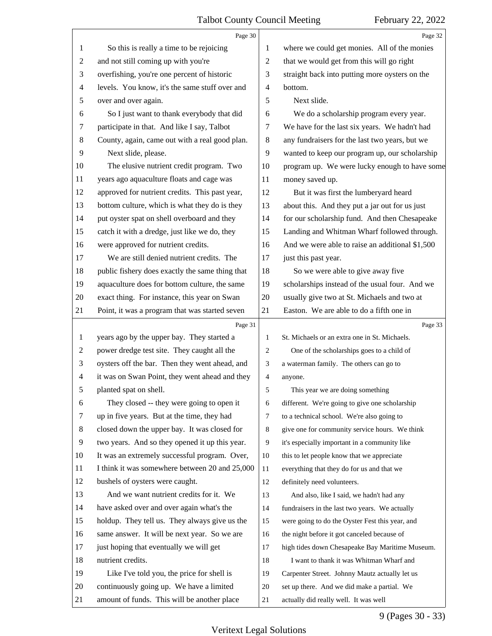<span id="page-8-0"></span>

|                | Page 30                                         |                | Page 32                                         |
|----------------|-------------------------------------------------|----------------|-------------------------------------------------|
| 1              | So this is really a time to be rejoicing        | 1              | where we could get monies. All of the monies    |
| $\overline{c}$ | and not still coming up with you're             | $\overline{2}$ | that we would get from this will go right       |
| 3              | overfishing, you're one percent of historic     | 3              | straight back into putting more oysters on the  |
| $\overline{4}$ | levels. You know, it's the same stuff over and  | $\overline{4}$ | bottom.                                         |
| 5              | over and over again.                            | 5              | Next slide.                                     |
| 6              | So I just want to thank everybody that did      | 6              | We do a scholarship program every year.         |
| 7              | participate in that. And like I say, Talbot     | 7              | We have for the last six years. We hadn't had   |
| 8              | County, again, came out with a real good plan.  | 8              | any fundraisers for the last two years, but we  |
| 9              | Next slide, please.                             | 9              | wanted to keep our program up, our scholarship  |
| 10             | The elusive nutrient credit program. Two        | 10             | program up. We were lucky enough to have some   |
| 11             | years ago aquaculture floats and cage was       | 11             | money saved up.                                 |
| 12             | approved for nutrient credits. This past year,  | 12             | But it was first the lumberyard heard           |
| 13             | bottom culture, which is what they do is they   | 13             | about this. And they put a jar out for us just  |
| 14             | put oyster spat on shell overboard and they     | 14             | for our scholarship fund. And then Chesapeake   |
| 15             | catch it with a dredge, just like we do, they   | 15             | Landing and Whitman Wharf followed through.     |
| 16             | were approved for nutrient credits.             | 16             | And we were able to raise an additional \$1,500 |
| 17             | We are still denied nutrient credits. The       | 17             | just this past year.                            |
| 18             | public fishery does exactly the same thing that | 18             | So we were able to give away five               |
| 19             | aquaculture does for bottom culture, the same   | 19             | scholarships instead of the usual four. And we  |
| 20             | exact thing. For instance, this year on Swan    | 20             | usually give two at St. Michaels and two at     |
| 21             | Point, it was a program that was started seven  | 21             | Easton. We are able to do a fifth one in        |
|                |                                                 |                |                                                 |
|                | Page 31                                         |                | Page 33                                         |
| 1              | years ago by the upper bay. They started a      | $\mathbf{1}$   | St. Michaels or an extra one in St. Michaels.   |
| 2              | power dredge test site. They caught all the     | 2              | One of the scholarships goes to a child of      |
| 3              | oysters off the bar. Then they went ahead, and  | 3              | a waterman family. The others can go to         |
| 4              | it was on Swan Point, they went ahead and they  | $\overline{4}$ | anyone.                                         |
| 5              | planted spat on shell.                          | 5              | This year we are doing something                |
| 6              | They closed -- they were going to open it       | 6              | different. We're going to give one scholarship  |
| 7              | up in five years. But at the time, they had     | $\tau$         | to a technical school. We're also going to      |
| 8              | closed down the upper bay. It was closed for    | 8              | give one for community service hours. We think  |
| 9              | two years. And so they opened it up this year.  | 9              | it's especially important in a community like   |
| 10             | It was an extremely successful program. Over,   | 10             | this to let people know that we appreciate      |
| 11             | I think it was somewhere between 20 and 25,000  | 11             | everything that they do for us and that we      |
| 12             | bushels of oysters were caught.                 | 12             | definitely need volunteers.                     |
| 13             | And we want nutrient credits for it. We         | 13             | And also, like I said, we hadn't had any        |
| 14             | have asked over and over again what's the       | 14             | fundraisers in the last two years. We actually  |
| 15             | holdup. They tell us. They always give us the   | 15             | were going to do the Oyster Fest this year, and |
| 16             | same answer. It will be next year. So we are    | 16             | the night before it got canceled because of     |
| 17             | just hoping that eventually we will get         | 17             | high tides down Chesapeake Bay Maritime Museum. |
| 18             | nutrient credits.                               | 18             | I want to thank it was Whitman Wharf and        |
| 19             | Like I've told you, the price for shell is      | 19             | Carpenter Street. Johnny Mautz actually let us  |
| 20             | continuously going up. We have a limited        | 20             | set up there. And we did make a partial. We     |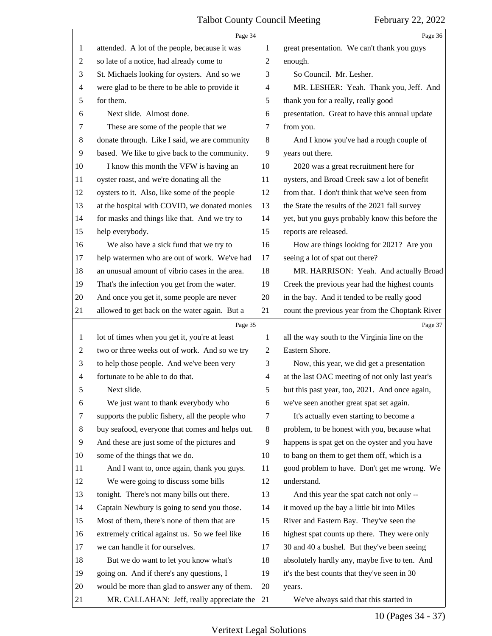<span id="page-9-0"></span>

|                | Page 34                                         |                          | Page 36                                         |
|----------------|-------------------------------------------------|--------------------------|-------------------------------------------------|
| 1              | attended. A lot of the people, because it was   | 1                        | great presentation. We can't thank you guys     |
| $\overline{2}$ | so late of a notice, had already come to        | 2                        | enough.                                         |
| 3              | St. Michaels looking for oysters. And so we     | 3                        | So Council. Mr. Lesher.                         |
| $\overline{4}$ | were glad to be there to be able to provide it  | 4                        | MR. LESHER: Yeah. Thank you, Jeff. And          |
| 5              | for them.                                       | 5                        | thank you for a really, really good             |
| 6              | Next slide. Almost done.                        | 6                        | presentation. Great to have this annual update  |
| 7              | These are some of the people that we            | 7                        | from you.                                       |
| 8              | donate through. Like I said, we are community   | 8                        | And I know you've had a rough couple of         |
| 9              | based. We like to give back to the community.   | 9                        | years out there.                                |
| 10             | I know this month the VFW is having an          | 10                       | 2020 was a great recruitment here for           |
| 11             | oyster roast, and we're donating all the        | 11                       | oysters, and Broad Creek saw a lot of benefit   |
| 12             | oysters to it. Also, like some of the people    | 12                       | from that. I don't think that we've seen from   |
| 13             | at the hospital with COVID, we donated monies   | 13                       | the State the results of the 2021 fall survey   |
| 14             | for masks and things like that. And we try to   | 14                       | yet, but you guys probably know this before the |
| 15             | help everybody.                                 | 15                       | reports are released.                           |
| 16             | We also have a sick fund that we try to         | 16                       | How are things looking for 2021? Are you        |
| 17             | help watermen who are out of work. We've had    | 17                       | seeing a lot of spat out there?                 |
| 18             | an unusual amount of vibrio cases in the area.  | 18                       | MR. HARRISON: Yeah. And actually Broad          |
| 19             | That's the infection you get from the water.    | 19                       | Creek the previous year had the highest counts  |
| 20             | And once you get it, some people are never      | 20                       | in the bay. And it tended to be really good     |
| 21             | allowed to get back on the water again. But a   | 21                       | count the previous year from the Choptank River |
|                | Page 35                                         |                          | Page 37                                         |
| $\mathbf{1}$   | lot of times when you get it, you're at least   | 1                        | all the way south to the Virginia line on the   |
| $\overline{2}$ |                                                 |                          |                                                 |
|                | two or three weeks out of work. And so we try   | $\overline{c}$           | Eastern Shore.                                  |
| 3              | to help those people. And we've been very       | 3                        | Now, this year, we did get a presentation       |
| $\overline{4}$ | fortunate to be able to do that.                | $\overline{\mathcal{A}}$ | at the last OAC meeting of not only last year's |
| 5              | Next slide.                                     | 5                        | but this past year, too, 2021. And once again,  |
| 6              | We just want to thank everybody who             | 6                        | we've seen another great spat set again.        |
| 7              | supports the public fishery, all the people who | 7                        | It's actually even starting to become a         |
| 8              | buy seafood, everyone that comes and helps out. | $8\,$                    | problem, to be honest with you, because what    |
| 9              | And these are just some of the pictures and     | 9                        | happens is spat get on the oyster and you have  |
| 10             | some of the things that we do.                  | 10                       | to bang on them to get them off, which is a     |
| 11             | And I want to, once again, thank you guys.      | 11                       | good problem to have. Don't get me wrong. We    |
| 12             | We were going to discuss some bills             | 12                       | understand.                                     |
| 13             | tonight. There's not many bills out there.      | 13                       | And this year the spat catch not only --        |
| 14             | Captain Newbury is going to send you those.     | 14                       | it moved up the bay a little bit into Miles     |
| 15             | Most of them, there's none of them that are     | 15                       | River and Eastern Bay. They've seen the         |
| 16             | extremely critical against us. So we feel like  | 16                       | highest spat counts up there. They were only    |
| 17             | we can handle it for ourselves.                 | 17                       | 30 and 40 a bushel. But they've been seeing     |
| 18             | But we do want to let you know what's           | 18                       | absolutely hardly any, maybe five to ten. And   |
| 19             | going on. And if there's any questions, I       | 19                       | it's the best counts that they've seen in 30    |
| 20             | would be more than glad to answer any of them.  | 20                       | years.                                          |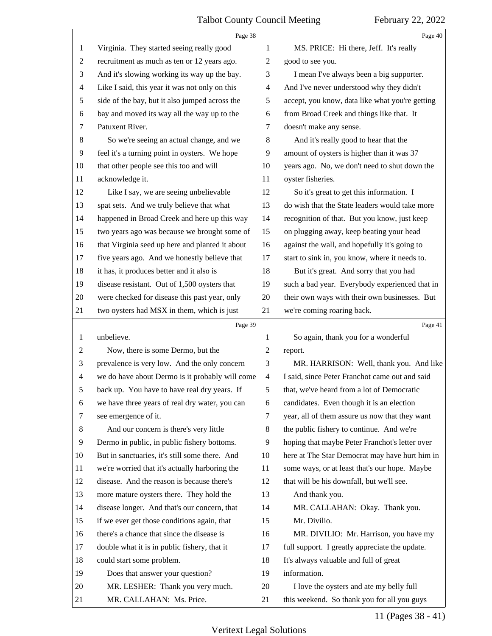<span id="page-10-0"></span>

|                | Page 38                                         |                | Page 40                                         |
|----------------|-------------------------------------------------|----------------|-------------------------------------------------|
| 1              | Virginia. They started seeing really good       | 1              | MS. PRICE: Hi there, Jeff. It's really          |
| $\sqrt{2}$     | recruitment as much as ten or 12 years ago.     | 2              | good to see you.                                |
| $\mathfrak{Z}$ | And it's slowing working its way up the bay.    | 3              | I mean I've always been a big supporter.        |
| $\overline{4}$ | Like I said, this year it was not only on this  | 4              | And I've never understood why they didn't       |
| $\sqrt{5}$     | side of the bay, but it also jumped across the  | 5              | accept, you know, data like what you're getting |
| 6              | bay and moved its way all the way up to the     | 6              | from Broad Creek and things like that. It       |
| $\tau$         | Patuxent River.                                 | 7              | doesn't make any sense.                         |
| $\,8\,$        | So we're seeing an actual change, and we        | 8              | And it's really good to hear that the           |
| 9              | feel it's a turning point in oysters. We hope   | 9              | amount of oysters is higher than it was 37      |
| 10             | that other people see this too and will         | 10             | years ago. No, we don't need to shut down the   |
| 11             | acknowledge it.                                 | 11             | oyster fisheries.                               |
| 12             | Like I say, we are seeing unbelievable          | 12             | So it's great to get this information. I        |
| 13             | spat sets. And we truly believe that what       | 13             | do wish that the State leaders would take more  |
| 14             | happened in Broad Creek and here up this way    | 14             | recognition of that. But you know, just keep    |
| 15             | two years ago was because we brought some of    | 15             | on plugging away, keep beating your head        |
| 16             | that Virginia seed up here and planted it about | 16             | against the wall, and hopefully it's going to   |
| 17             | five years ago. And we honestly believe that    | 17             | start to sink in, you know, where it needs to.  |
| 18             | it has, it produces better and it also is       | 18             | But it's great. And sorry that you had          |
| 19             | disease resistant. Out of 1,500 oysters that    | 19             | such a bad year. Everybody experienced that in  |
| 20             | were checked for disease this past year, only   | 20             | their own ways with their own businesses. But   |
| 21             | two oysters had MSX in them, which is just      | 21             | we're coming roaring back.                      |
|                |                                                 |                |                                                 |
|                | Page 39                                         |                | Page 41                                         |
| $\mathbf{1}$   | unbelieve.                                      | 1              | So again, thank you for a wonderful             |
| $\sqrt{2}$     | Now, there is some Dermo, but the               | $\overline{2}$ | report.                                         |
| 3              | prevalence is very low. And the only concern    | 3              | MR. HARRISON: Well, thank you. And like         |
| $\overline{4}$ | we do have about Dermo is it probably will come | $\overline{4}$ | I said, since Peter Franchot came out and said  |
| 5              | back up. You have to have real dry years. If    | 5              | that, we've heard from a lot of Democratic      |
| 6              | we have three years of real dry water, you can  | 6              | candidates. Even though it is an election       |
| 7              | see emergence of it.                            | 7              | year, all of them assure us now that they want  |
| 8              | And our concern is there's very little          | 8              | the public fishery to continue. And we're       |
| 9              | Dermo in public, in public fishery bottoms.     | 9              | hoping that maybe Peter Franchot's letter over  |
| 10             | But in sanctuaries, it's still some there. And  | 10             | here at The Star Democrat may have hurt him in  |
| 11             | we're worried that it's actually harboring the  | 11             | some ways, or at least that's our hope. Maybe   |
| 12             | disease. And the reason is because there's      | 12             | that will be his downfall, but we'll see.       |
| 13             | more mature oysters there. They hold the        | 13             | And thank you.                                  |
| 14             | disease longer. And that's our concern, that    | 14             | MR. CALLAHAN: Okay. Thank you.                  |
| 15             | if we ever get those conditions again, that     | 15             | Mr. Divilio.                                    |
| 16             | there's a chance that since the disease is      | 16             | MR. DIVILIO: Mr. Harrison, you have my          |
| 17             | double what it is in public fishery, that it    | 17             | full support. I greatly appreciate the update.  |
| 18             | could start some problem.                       | 18             | It's always valuable and full of great          |
| 19             | Does that answer your question?                 | 19             | information.                                    |
| 20             | MR. LESHER: Thank you very much.                | 20             | I love the oysters and ate my belly full        |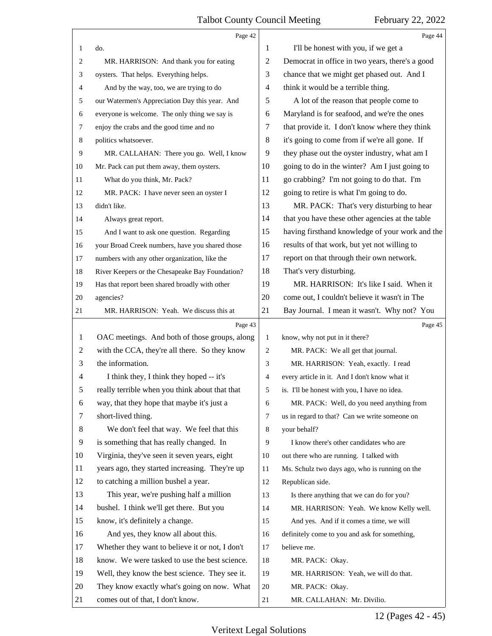<span id="page-11-0"></span>

|                | Page 42                                         |    | Page 44                                         |
|----------------|-------------------------------------------------|----|-------------------------------------------------|
| 1              | do.                                             | 1  | I'll be honest with you, if we get a            |
| 2              | MR. HARRISON: And thank you for eating          | 2  | Democrat in office in two years, there's a good |
| 3              | oysters. That helps. Everything helps.          | 3  | chance that we might get phased out. And I      |
| 4              | And by the way, too, we are trying to do        | 4  | think it would be a terrible thing.             |
| 5              | our Watermen's Appreciation Day this year. And  | 5  | A lot of the reason that people come to         |
| 6              | everyone is welcome. The only thing we say is   | 6  | Maryland is for seafood, and we're the ones     |
| 7              | enjoy the crabs and the good time and no        | 7  | that provide it. I don't know where they think  |
| 8              | politics whatsoever.                            | 8  | it's going to come from if we're all gone. If   |
| 9              | MR. CALLAHAN: There you go. Well, I know        | 9  | they phase out the oyster industry, what am I   |
| 10             | Mr. Pack can put them away, them oysters.       | 10 | going to do in the winter? Am I just going to   |
| 11             | What do you think, Mr. Pack?                    | 11 | go crabbing? I'm not going to do that. I'm      |
| 12             | MR. PACK: I have never seen an oyster I         | 12 | going to retire is what I'm going to do.        |
| 13             | didn't like.                                    | 13 | MR. PACK: That's very disturbing to hear        |
| 14             | Always great report.                            | 14 | that you have these other agencies at the table |
| 15             | And I want to ask one question. Regarding       | 15 | having firsthand knowledge of your work and the |
| 16             | your Broad Creek numbers, have you shared those | 16 | results of that work, but yet not willing to    |
| 17             | numbers with any other organization, like the   | 17 | report on that through their own network.       |
| 18             | River Keepers or the Chesapeake Bay Foundation? | 18 | That's very disturbing.                         |
| 19             | Has that report been shared broadly with other  | 19 | MR. HARRISON: It's like I said. When it         |
| 20             | agencies?                                       | 20 | come out, I couldn't believe it wasn't in The   |
| 21             | MR. HARRISON: Yeah. We discuss this at          | 21 | Bay Journal. I mean it wasn't. Why not? You     |
|                |                                                 |    |                                                 |
|                | Page 43                                         |    | Page 45                                         |
| 1              | OAC meetings. And both of those groups, along   | 1  | know, why not put in it there?                  |
| $\overline{c}$ | with the CCA, they're all there. So they know   | 2  | MR. PACK: We all get that journal.              |
| 3              | the information.                                | 3  | MR. HARRISON: Yeah, exactly. I read             |
| 4              | I think they, I think they hoped -- it's        | 4  | every article in it. And I don't know what it   |
| 5              | really terrible when you think about that that  | 5  | is. I'll be honest with you, I have no idea.    |
| 6              | way, that they hope that maybe it's just a      | 6  | MR. PACK: Well, do you need anything from       |
| 7              | short-lived thing.                              | 7  | us in regard to that? Can we write someone on   |
| 8              | We don't feel that way. We feel that this       | 8  | your behalf?                                    |
| 9              | is something that has really changed. In        | 9  | I know there's other candidates who are         |
| 10             | Virginia, they've seen it seven years, eight    | 10 | out there who are running. I talked with        |
| 11             | years ago, they started increasing. They're up  | 11 | Ms. Schulz two days ago, who is running on the  |
| 12             | to catching a million bushel a year.            | 12 | Republican side.                                |
| 13             | This year, we're pushing half a million         | 13 | Is there anything that we can do for you?       |
| 14             | bushel. I think we'll get there. But you        | 14 | MR. HARRISON: Yeah. We know Kelly well.         |
| 15             | know, it's definitely a change.                 | 15 | And yes. And if it comes a time, we will        |
| 16             | And yes, they know all about this.              | 16 | definitely come to you and ask for something,   |
| 17             | Whether they want to believe it or not, I don't | 17 | believe me.                                     |
| 18             | know. We were tasked to use the best science.   | 18 | MR. PACK: Okay.                                 |
| 19             | Well, they know the best science. They see it.  | 19 | MR. HARRISON: Yeah, we will do that.            |
| 20             | They know exactly what's going on now. What     | 20 | MR. PACK: Okay.                                 |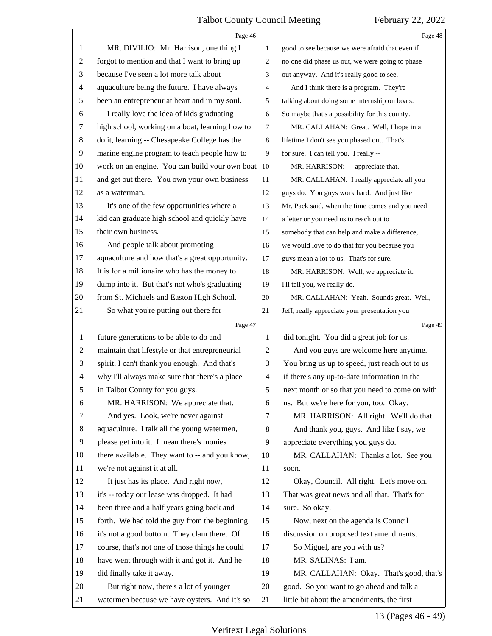<span id="page-12-0"></span>

|                          | Page 46                                         |                          | Page 48                                         |
|--------------------------|-------------------------------------------------|--------------------------|-------------------------------------------------|
| 1                        | MR. DIVILIO: Mr. Harrison, one thing I          | 1                        | good to see because we were afraid that even if |
| 2                        | forgot to mention and that I want to bring up   | 2                        | no one did phase us out, we were going to phase |
| 3                        | because I've seen a lot more talk about         | 3                        | out anyway. And it's really good to see.        |
| 4                        | aquaculture being the future. I have always     | 4                        | And I think there is a program. They're         |
| 5                        | been an entrepreneur at heart and in my soul.   | 5                        | talking about doing some internship on boats.   |
| 6                        | I really love the idea of kids graduating       | 6                        | So maybe that's a possibility for this county.  |
| 7                        | high school, working on a boat, learning how to | 7                        | MR. CALLAHAN: Great. Well, I hope in a          |
| 8                        | do it, learning -- Chesapeake College has the   | 8                        | lifetime I don't see you phased out. That's     |
| 9                        | marine engine program to teach people how to    | 9                        | for sure. I can tell you. I really --           |
| 10                       | work on an engine. You can build your own boat  | 10                       | MR. HARRISON: -- appreciate that.               |
| 11                       | and get out there. You own your own business    | 11                       | MR. CALLAHAN: I really appreciate all you       |
| 12                       | as a waterman.                                  | 12                       | guys do. You guys work hard. And just like      |
| 13                       | It's one of the few opportunities where a       | 13                       | Mr. Pack said, when the time comes and you need |
| 14                       | kid can graduate high school and quickly have   | 14                       | a letter or you need us to reach out to         |
| 15                       | their own business.                             | 15                       | somebody that can help and make a difference,   |
| 16                       | And people talk about promoting                 | 16                       | we would love to do that for you because you    |
| 17                       | aquaculture and how that's a great opportunity. | 17                       | guys mean a lot to us. That's for sure.         |
| 18                       | It is for a millionaire who has the money to    | 18                       | MR. HARRISON: Well, we appreciate it.           |
| 19                       | dump into it. But that's not who's graduating   | 19                       | I'll tell you, we really do.                    |
| 20                       | from St. Michaels and Easton High School.       | 20                       | MR. CALLAHAN: Yeah. Sounds great. Well,         |
| 21                       | So what you're putting out there for            | 21                       | Jeff, really appreciate your presentation you   |
|                          |                                                 |                          |                                                 |
|                          | Page 47                                         |                          | Page 49                                         |
| 1                        | future generations to be able to do and         | 1                        | did tonight. You did a great job for us.        |
| $\overline{c}$           | maintain that lifestyle or that entrepreneurial | $\mathfrak{2}$           | And you guys are welcome here anytime.          |
| 3                        | spirit, I can't thank you enough. And that's    | 3                        | You bring us up to speed, just reach out to us  |
| $\overline{\mathcal{A}}$ | why I'll always make sure that there's a place  | $\overline{\mathcal{A}}$ | if there's any up-to-date information in the    |
| 5                        | in Talbot County for you guys.                  | 5                        | next month or so that you need to come on with  |
| 6                        | MR. HARRISON: We appreciate that.               | 6                        | us. But we're here for you, too. Okay.          |
| 7                        | And yes. Look, we're never against              | 7                        | MR. HARRISON: All right. We'll do that.         |
| 8                        | aquaculture. I talk all the young watermen,     | 8                        | And thank you, guys. And like I say, we         |
| 9                        | please get into it. I mean there's monies       | 9                        | appreciate everything you guys do.              |
| 10                       | there available. They want to -- and you know,  | 10                       | MR. CALLAHAN: Thanks a lot. See you             |
| 11                       | we're not against it at all.                    | 11                       | soon.                                           |
| 12                       | It just has its place. And right now,           | 12                       | Okay, Council. All right. Let's move on.        |
| 13                       | it's -- today our lease was dropped. It had     | 13                       | That was great news and all that. That's for    |
| 14                       | been three and a half years going back and      | 14                       | sure. So okay.                                  |
| 15                       | forth. We had told the guy from the beginning   | 15                       | Now, next on the agenda is Council              |
| 16                       | it's not a good bottom. They clam there. Of     | 16                       | discussion on proposed text amendments.         |
| 17                       | course, that's not one of those things he could | 17                       | So Miguel, are you with us?                     |
| 18                       | have went through with it and got it. And he    | 18                       | MR. SALINAS: I am.                              |
| 19                       | did finally take it away.                       | 19                       | MR. CALLAHAN: Okay. That's good, that's         |
| 20                       | But right now, there's a lot of younger         | 20                       | good. So you want to go ahead and talk a        |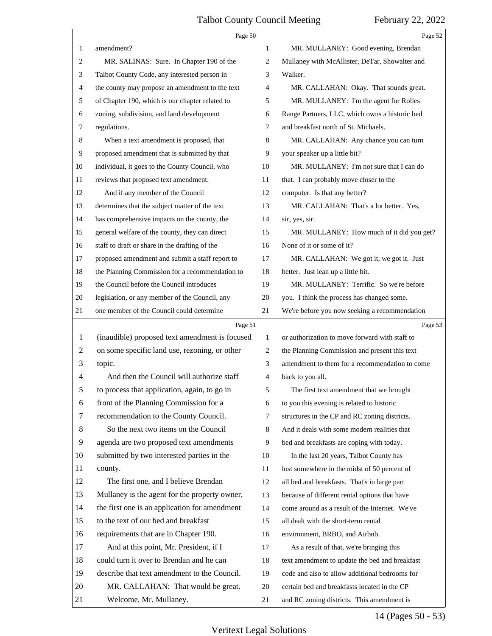<span id="page-13-0"></span>

|    | Page 50                                         |                | Page 52                                        |  |
|----|-------------------------------------------------|----------------|------------------------------------------------|--|
| 1  | amendment?                                      | 1              | MR. MULLANEY: Good evening, Brendan            |  |
| 2  | MR. SALINAS: Sure. In Chapter 190 of the        | $\overline{c}$ | Mullaney with McAllister, DeTar, Showalter and |  |
| 3  | Talbot County Code, any interested person in    | 3              | Walker.                                        |  |
| 4  | the county may propose an amendment to the text | $\overline{4}$ | MR. CALLAHAN: Okay. That sounds great.         |  |
| 5  | of Chapter 190, which is our chapter related to | 5              | MR. MULLANEY: I'm the agent for Rolles         |  |
| 6  | zoning, subdivision, and land development       | 6              | Range Partners, LLC, which owns a historic bed |  |
| 7  | regulations.                                    | 7              | and breakfast north of St. Michaels.           |  |
| 8  | When a text amendment is proposed, that         | 8              | MR. CALLAHAN: Any chance you can turn          |  |
| 9  | proposed amendment that is submitted by that    | 9              | your speaker up a little bit?                  |  |
| 10 | individual, it goes to the County Council, who  | 10             | MR. MULLANEY: I'm not sure that I can do       |  |
| 11 | reviews that proposed text amendment.           | 11             | that. I can probably move closer to the        |  |
| 12 | And if any member of the Council                | 12             | computer. Is that any better?                  |  |
| 13 | determines that the subject matter of the text  | 13             | MR. CALLAHAN: That's a lot better. Yes,        |  |
| 14 | has comprehensive impacts on the county, the    | 14             | sir, yes, sir.                                 |  |
| 15 | general welfare of the county, they can direct  | 15             | MR. MULLANEY: How much of it did you get?      |  |
| 16 | staff to draft or share in the drafting of the  | 16             | None of it or some of it?                      |  |
| 17 | proposed amendment and submit a staff report to | 17             | MR. CALLAHAN: We got it, we got it. Just       |  |
| 18 | the Planning Commission for a recommendation to | 18             | better. Just lean up a little bit.             |  |
| 19 | the Council before the Council introduces       | 19             | MR. MULLANEY: Terrific. So we're before        |  |
| 20 | legislation, or any member of the Council, any  | 20             | you. I think the process has changed some.     |  |
| 21 | one member of the Council could determine       | 21             | We're before you now seeking a recommendation  |  |
|    |                                                 |                |                                                |  |
|    | Page 51                                         |                | Page 53                                        |  |
| 1  | (inaudible) proposed text amendment is focused  | $\mathbf{1}$   | or authorization to move forward with staff to |  |
| 2  | on some specific land use, rezoning, or other   | $\overline{c}$ | the Planning Commission and present this text  |  |
| 3  | topic.                                          | 3              | amendment to them for a recommendation to come |  |
| 4  | And then the Council will authorize staff       | 4              | back to you all.                               |  |
|    | to process that application, again, to go in    | 5              | The first text amendment that we brought       |  |
| 6  | front of the Planning Commission for a          | 6              | to you this evening is related to historic     |  |
| 7  | recommendation to the County Council.           | $\tau$         | structures in the CP and RC zoning districts.  |  |
| 8  | So the next two items on the Council            | 8              | And it deals with some modern realities that   |  |
| 9  | agenda are two proposed text amendments         | 9              | bed and breakfasts are coping with today.      |  |
| 10 | submitted by two interested parties in the      | 10             | In the last 20 years, Talbot County has        |  |
| 11 | county.                                         | 11             | lost somewhere in the midst of 50 percent of   |  |
| 12 | The first one, and I believe Brendan            | 12             | all bed and breakfasts. That's in large part   |  |
| 13 | Mullaney is the agent for the property owner,   | 13             | because of different rental options that have  |  |
| 14 | the first one is an application for amendment   | 14             | come around as a result of the Internet. We've |  |
| 15 | to the text of our bed and breakfast            | 15             | all dealt with the short-term rental           |  |
| 16 | requirements that are in Chapter 190.           | 16             | environment, BRBO, and Airbnb.                 |  |
| 17 | And at this point, Mr. President, if I          | 17             | As a result of that, we're bringing this       |  |
| 18 | could turn it over to Brendan and he can        | 18             | text amendment to update the bed and breakfast |  |
| 19 | describe that text amendment to the Council.    | 19             | code and also to allow additional bedrooms for |  |
| 20 | MR. CALLAHAN: That would be great.              | 20             | certain bed and breakfasts located in the CP   |  |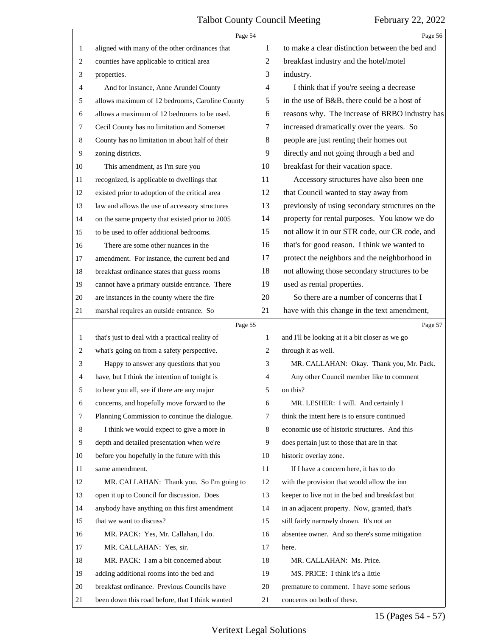<span id="page-14-0"></span>

|                  | Page 54                                         |                | Page 56                                         |
|------------------|-------------------------------------------------|----------------|-------------------------------------------------|
| 1                | aligned with many of the other ordinances that  | 1              | to make a clear distinction between the bed and |
| $\overline{c}$   | counties have applicable to critical area       | $\overline{c}$ | breakfast industry and the hotel/motel          |
| 3                | properties.                                     | 3              | industry.                                       |
| 4                | And for instance, Anne Arundel County           | $\overline{4}$ | I think that if you're seeing a decrease        |
| 5                | allows maximum of 12 bedrooms, Caroline County  | 5              | in the use of B&B, there could be a host of     |
| 6                | allows a maximum of 12 bedrooms to be used.     | 6              | reasons why. The increase of BRBO industry has  |
| 7                | Cecil County has no limitation and Somerset     | 7              | increased dramatically over the years. So       |
| 8                | County has no limitation in about half of their | 8              | people are just renting their homes out         |
| $\boldsymbol{9}$ | zoning districts.                               | 9              | directly and not going through a bed and        |
| 10               | This amendment, as I'm sure you                 | 10             | breakfast for their vacation space.             |
| 11               | recognized, is applicable to dwellings that     | 11             | Accessory structures have also been one         |
| 12               | existed prior to adoption of the critical area  | 12             | that Council wanted to stay away from           |
| 13               | law and allows the use of accessory structures  | 13             | previously of using secondary structures on the |
| 14               | on the same property that existed prior to 2005 | 14             | property for rental purposes. You know we do    |
| 15               | to be used to offer additional bedrooms.        | 15             | not allow it in our STR code, our CR code, and  |
| 16               | There are some other nuances in the             | 16             | that's for good reason. I think we wanted to    |
| 17               | amendment. For instance, the current bed and    | 17             | protect the neighbors and the neighborhood in   |
| 18               | breakfast ordinance states that guess rooms     | 18             | not allowing those secondary structures to be   |
| 19               | cannot have a primary outside entrance. There   | 19             | used as rental properties.                      |
| 20               | are instances in the county where the fire      | 20             | So there are a number of concerns that I        |
| 21               | marshal requires an outside entrance. So        | 21             | have with this change in the text amendment,    |
|                  | Page 55                                         |                | Page 57                                         |
|                  |                                                 |                |                                                 |
| 1                | that's just to deal with a practical reality of | 1              | and I'll be looking at it a bit closer as we go |
| 2                | what's going on from a safety perspective.      | 2              | through it as well.                             |
| 3                | Happy to answer any questions that you          | 3              | MR. CALLAHAN: Okay. Thank you, Mr. Pack.        |
| 4                | have, but I think the intention of tonight is   | $\overline{4}$ | Any other Council member like to comment        |
| 5                | to hear you all, see if there are any major     | 5              | on this?                                        |
| 6                | concerns, and hopefully move forward to the     | 6              | MR. LESHER: I will. And certainly I             |
| 7                | Planning Commission to continue the dialogue.   | 7              | think the intent here is to ensure continued    |
| 8                | I think we would expect to give a more in       | 8              | economic use of historic structures. And this   |
| 9                | depth and detailed presentation when we're      | 9              | does pertain just to those that are in that     |
| 10               | before you hopefully in the future with this    | 10             | historic overlay zone.                          |
| 11               | same amendment.                                 | 11             | If I have a concern here, it has to do          |
| 12               | MR. CALLAHAN: Thank you. So I'm going to        | 12             | with the provision that would allow the inn     |
| 13               | open it up to Council for discussion. Does      | 13             | keeper to live not in the bed and breakfast but |
| 14               | anybody have anything on this first amendment   | 14             | in an adjacent property. Now, granted, that's   |
| 15               | that we want to discuss?                        | 15             | still fairly narrowly drawn. It's not an        |
| 16               | MR. PACK: Yes, Mr. Callahan, I do.              | 16             | absentee owner. And so there's some mitigation  |
| 17               | MR. CALLAHAN: Yes, sir.                         | 17             | here.                                           |
| 18               | MR. PACK: I am a bit concerned about            | 18             | MR. CALLAHAN: Ms. Price.                        |
| 19               | adding additional rooms into the bed and        | 19             | MS. PRICE: I think it's a little                |
| 20               | breakfast ordinance. Previous Councils have     | 20             | premature to comment. I have some serious       |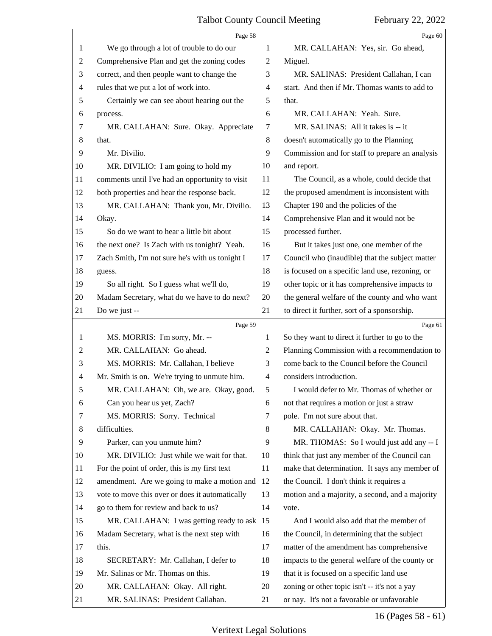# Talbot County Council Meeting

<span id="page-15-0"></span>

|                | Page 58                                                            |          | Page 60                                                                                      |
|----------------|--------------------------------------------------------------------|----------|----------------------------------------------------------------------------------------------|
| 1              | We go through a lot of trouble to do our                           | 1        | MR. CALLAHAN: Yes, sir. Go ahead,                                                            |
| 2              | Comprehensive Plan and get the zoning codes                        | 2        | Miguel.                                                                                      |
| 3              | correct, and then people want to change the                        | 3        | MR. SALINAS: President Callahan, I can                                                       |
| 4              | rules that we put a lot of work into.                              | 4        | start. And then if Mr. Thomas wants to add to                                                |
| 5              | Certainly we can see about hearing out the                         | 5        | that.                                                                                        |
| 6              | process.                                                           | 6        | MR. CALLAHAN: Yeah. Sure.                                                                    |
| 7              | MR. CALLAHAN: Sure. Okay. Appreciate                               | 7        | MR. SALINAS: All it takes is -- it                                                           |
| 8              | that.                                                              | 8        | doesn't automatically go to the Planning                                                     |
| 9              | Mr. Divilio.                                                       | 9        | Commission and for staff to prepare an analysis                                              |
| 10             | MR. DIVILIO: I am going to hold my                                 | 10       | and report.                                                                                  |
| 11             | comments until I've had an opportunity to visit                    | 11       | The Council, as a whole, could decide that                                                   |
| 12             | both properties and hear the response back.                        | 12       | the proposed amendment is inconsistent with                                                  |
| 13             | MR. CALLAHAN: Thank you, Mr. Divilio.                              | 13       | Chapter 190 and the policies of the                                                          |
| 14             | Okay.                                                              | 14       | Comprehensive Plan and it would not be                                                       |
| 15             | So do we want to hear a little bit about                           | 15       | processed further.                                                                           |
| 16             | the next one? Is Zach with us tonight? Yeah.                       | 16       | But it takes just one, one member of the                                                     |
| 17             | Zach Smith, I'm not sure he's with us tonight I                    | 17       | Council who (inaudible) that the subject matter                                              |
| 18             | guess.                                                             | 18       | is focused on a specific land use, rezoning, or                                              |
| 19             | So all right. So I guess what we'll do,                            | 19       | other topic or it has comprehensive impacts to                                               |
| 20             | Madam Secretary, what do we have to do next?                       | 20       | the general welfare of the county and who want                                               |
| 21             | Do we just --                                                      | 21       | to direct it further, sort of a sponsorship.                                                 |
|                | Page 59                                                            |          | Page 61                                                                                      |
| 1              | MS. MORRIS: I'm sorry, Mr. --                                      | 1        | So they want to direct it further to go to the                                               |
| $\overline{c}$ | MR. CALLAHAN: Go ahead.                                            | 2        | Planning Commission with a recommendation to                                                 |
| 3              | MS. MORRIS: Mr. Callahan, I believe                                | 3        | come back to the Council before the Council                                                  |
| 4              | Mr. Smith is on. We're trying to unmute him.                       | 4        | considers introduction.                                                                      |
| 5              | MR. CALLAHAN: Oh, we are. Okay, good.                              | 5        | I would defer to Mr. Thomas of whether or                                                    |
| 6              | Can you hear us yet, Zach?                                         | 6        | not that requires a motion or just a straw                                                   |
| 7              | MS. MORRIS: Sorry. Technical                                       | 7        | pole. I'm not sure about that.                                                               |
| 8              | difficulties.                                                      | 8        | MR. CALLAHAN: Okay. Mr. Thomas.                                                              |
| 9              | Parker, can you unmute him?                                        | 9        | MR. THOMAS: So I would just add any -- I                                                     |
| 10             | MR. DIVILIO: Just while we wait for that.                          | 10       | think that just any member of the Council can                                                |
| 11             | For the point of order, this is my first text                      | 11       | make that determination. It says any member of                                               |
| 12             | amendment. Are we going to make a motion and                       | 12       | the Council. I don't think it requires a                                                     |
| 13             | vote to move this over or does it automatically                    | 13       | motion and a majority, a second, and a majority                                              |
| 14             | go to them for review and back to us?                              | 14       | vote.                                                                                        |
| 15             | MR. CALLAHAN: I was getting ready to ask                           | 15       | And I would also add that the member of                                                      |
| 16             | Madam Secretary, what is the next step with                        | 16       | the Council, in determining that the subject                                                 |
| 17             | this.                                                              | 17       | matter of the amendment has comprehensive                                                    |
| 18             | SECRETARY: Mr. Callahan, I defer to                                | 18       | impacts to the general welfare of the county or                                              |
| 19             | Mr. Salinas or Mr. Thomas on this.                                 | 19       | that it is focused on a specific land use                                                    |
| 20             |                                                                    |          |                                                                                              |
| 21             | MR. CALLAHAN: Okay. All right.<br>MR. SALINAS: President Callahan. | 20<br>21 | zoning or other topic isn't -- it's not a yay<br>or nay. It's not a favorable or unfavorable |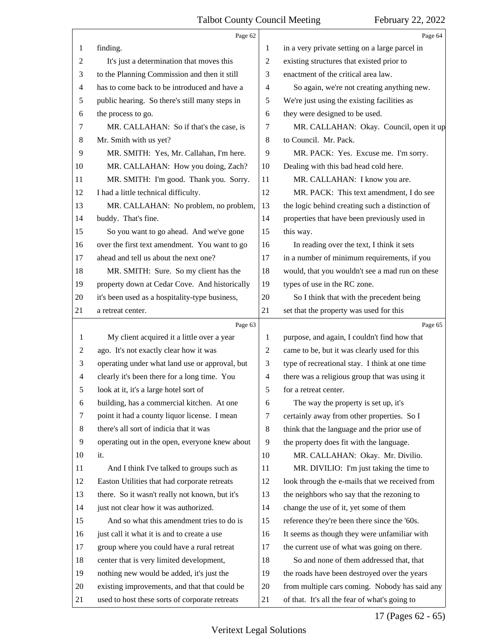<span id="page-16-0"></span>

|                | Page 62                                        |                | Page 64                                         |
|----------------|------------------------------------------------|----------------|-------------------------------------------------|
| 1              | finding.                                       | 1              | in a very private setting on a large parcel in  |
| $\overline{c}$ | It's just a determination that moves this      | $\overline{c}$ | existing structures that existed prior to       |
| 3              | to the Planning Commission and then it still   | 3              | enactment of the critical area law.             |
| $\overline{4}$ | has to come back to be introduced and have a   | 4              | So again, we're not creating anything new.      |
| 5              | public hearing. So there's still many steps in | 5              | We're just using the existing facilities as     |
| 6              | the process to go.                             | 6              | they were designed to be used.                  |
| 7              | MR. CALLAHAN: So if that's the case, is        | 7              | MR. CALLAHAN: Okay. Council, open it up         |
| 8              | Mr. Smith with us yet?                         | 8              | to Council. Mr. Pack.                           |
| 9              | MR. SMITH: Yes, Mr. Callahan, I'm here.        | 9              | MR. PACK: Yes. Excuse me. I'm sorry.            |
| 10             | MR. CALLAHAN: How you doing, Zach?             | 10             | Dealing with this bad head cold here.           |
| 11             | MR. SMITH: I'm good. Thank you. Sorry.         | 11             | MR. CALLAHAN: I know you are.                   |
| 12             | I had a little technical difficulty.           | 12             | MR. PACK: This text amendment, I do see         |
| 13             | MR. CALLAHAN: No problem, no problem,          | 13             | the logic behind creating such a distinction of |
| 14             | buddy. That's fine.                            | 14             | properties that have been previously used in    |
| 15             | So you want to go ahead. And we've gone        | 15             | this way.                                       |
| 16             | over the first text amendment. You want to go  | 16             | In reading over the text, I think it sets       |
| 17             | ahead and tell us about the next one?          | 17             | in a number of minimum requirements, if you     |
| 18             | MR. SMITH: Sure. So my client has the          | 18             | would, that you wouldn't see a mad run on these |
| 19             | property down at Cedar Cove. And historically  | 19             | types of use in the RC zone.                    |
| 20             | it's been used as a hospitality-type business, | 20             | So I think that with the precedent being        |
| 21             | a retreat center.                              | 21             | set that the property was used for this         |
|                |                                                |                |                                                 |
|                | Page 63                                        |                | Page 65                                         |
| 1              | My client acquired it a little over a year     | 1              | purpose, and again, I couldn't find how that    |
| 2              | ago. It's not exactly clear how it was         | 2              | came to be, but it was clearly used for this    |
| 3              | operating under what land use or approval, but | 3              | type of recreational stay. I think at one time  |
| $\overline{4}$ | clearly it's been there for a long time. You   | $\overline{4}$ | there was a religious group that was using it   |
| 5              | look at it, it's a large hotel sort of         | 5              | for a retreat center.                           |
| 6              | building, has a commercial kitchen. At one     | 6              | The way the property is set up, it's            |
| 7              | point it had a county liquor license. I mean   | 7              | certainly away from other properties. So I      |
| 8              | there's all sort of indicia that it was        | 8              | think that the language and the prior use of    |
| 9              | operating out in the open, everyone knew about | 9              | the property does fit with the language.        |
| 10             | it.                                            | 10             | MR. CALLAHAN: Okay. Mr. Divilio.                |
| 11             | And I think I've talked to groups such as      | 11             | MR. DIVILIO: I'm just taking the time to        |
| 12             | Easton Utilities that had corporate retreats   | 12             | look through the e-mails that we received from  |
| 13             | there. So it wasn't really not known, but it's | 13             | the neighbors who say that the rezoning to      |
| 14             | just not clear how it was authorized.          | 14             | change the use of it, yet some of them          |
| 15             | And so what this amendment tries to do is      | 15             | reference they're been there since the '60s.    |
| 16             | just call it what it is and to create a use    | 16             | It seems as though they were unfamiliar with    |
| 17             | group where you could have a rural retreat     | 17             | the current use of what was going on there.     |
| 18             | center that is very limited development,       | 18             | So and none of them addressed that, that        |
| 19             | nothing new would be added, it's just the      | 19             | the roads have been destroyed over the years    |
| 20             | existing improvements, and that that could be  | 20             | from multiple cars coming. Nobody has said any  |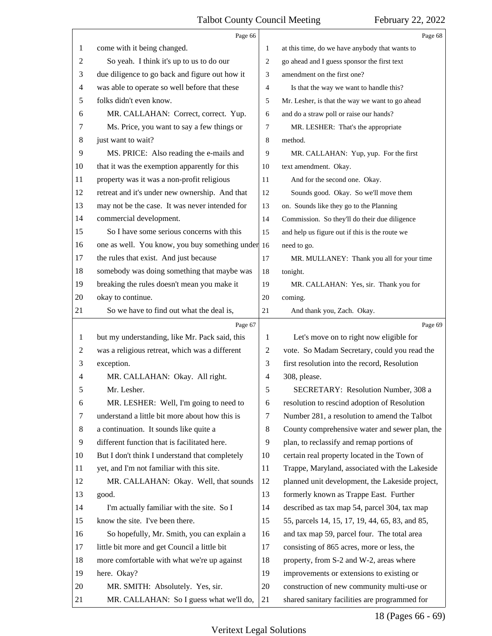<span id="page-17-0"></span>

|                | Page 66                                           |                | Page 68                                         |
|----------------|---------------------------------------------------|----------------|-------------------------------------------------|
| 1              | come with it being changed.                       | 1              | at this time, do we have anybody that wants to  |
| $\overline{c}$ | So yeah. I think it's up to us to do our          | 2              | go ahead and I guess sponsor the first text     |
| 3              | due diligence to go back and figure out how it    | 3              | amendment on the first one?                     |
| 4              | was able to operate so well before that these     | 4              | Is that the way we want to handle this?         |
| 5              | folks didn't even know.                           | 5              | Mr. Lesher, is that the way we want to go ahead |
| 6              | MR. CALLAHAN: Correct, correct. Yup.              | 6              | and do a straw poll or raise our hands?         |
| 7              | Ms. Price, you want to say a few things or        | 7              | MR. LESHER: That's the appropriate              |
| 8              | just want to wait?                                | 8              | method.                                         |
| 9              | MS. PRICE: Also reading the e-mails and           | 9              | MR. CALLAHAN: Yup, yup. For the first           |
| 10             | that it was the exemption apparently for this     | 10             | text amendment. Okay.                           |
| 11             | property was it was a non-profit religious        | 11             | And for the second one. Okay.                   |
| 12             | retreat and it's under new ownership. And that    | 12             | Sounds good. Okay. So we'll move them           |
| 13             | may not be the case. It was never intended for    | 13             | on. Sounds like they go to the Planning         |
| 14             | commercial development.                           | 14             | Commission. So they'll do their due diligence   |
| 15             | So I have some serious concerns with this         | 15             | and help us figure out if this is the route we  |
| 16             | one as well. You know, you buy something under 16 |                | need to go.                                     |
| 17             | the rules that exist. And just because            | 17             | MR. MULLANEY: Thank you all for your time       |
| 18             | somebody was doing something that maybe was       | 18             | tonight.                                        |
| 19             | breaking the rules doesn't mean you make it       | 19             | MR. CALLAHAN: Yes, sir. Thank you for           |
| 20             | okay to continue.                                 | 20             | coming.                                         |
| 21             | So we have to find out what the deal is,          | 21             | And thank you, Zach. Okay.                      |
|                | Page 67                                           |                | Page 69                                         |
| 1              | but my understanding, like Mr. Pack said, this    | 1              | Let's move on to right now eligible for         |
| 2              | was a religious retreat, which was a different    | 2              | vote. So Madam Secretary, could you read the    |
| 3              | exception.                                        | 3              | first resolution into the record, Resolution    |
| 4              | MR. CALLAHAN: Okay. All right.                    | $\overline{4}$ | 308, please.                                    |
| 5              | Mr. Lesher.                                       |                |                                                 |
|                |                                                   | 5              | <b>SECRETARY: Resolution Number, 308 a</b>      |
| 6              | MR. LESHER: Well, I'm going to need to            | 6              | resolution to rescind adoption of Resolution    |
| 7              | understand a little bit more about how this is    | 7              | Number 281, a resolution to amend the Talbot    |
| 8              | a continuation. It sounds like quite a            | 8              | County comprehensive water and sewer plan, the  |
| 9              | different function that is facilitated here.      | 9              | plan, to reclassify and remap portions of       |
| 10             | But I don't think I understand that completely    | 10             | certain real property located in the Town of    |
| 11             | yet, and I'm not familiar with this site.         | 11             | Trappe, Maryland, associated with the Lakeside  |
| 12             | MR. CALLAHAN: Okay. Well, that sounds             | 12             | planned unit development, the Lakeside project, |
| 13             | good.                                             | 13             | formerly known as Trappe East. Further          |
| 14             | I'm actually familiar with the site. So I         | 14             | described as tax map 54, parcel 304, tax map    |
| 15             | know the site. I've been there.                   | 15             | 55, parcels 14, 15, 17, 19, 44, 65, 83, and 85, |
| 16             | So hopefully, Mr. Smith, you can explain a        | 16             | and tax map 59, parcel four. The total area     |
| 17             | little bit more and get Council a little bit      | 17             | consisting of 865 acres, more or less, the      |
| 18             | more comfortable with what we're up against       | 18             | property, from S-2 and W-2, areas where         |
| 19             | here. Okay?                                       | 19             | improvements or extensions to existing or       |
| 20             | MR. SMITH: Absolutely. Yes, sir.                  | 20             | construction of new community multi-use or      |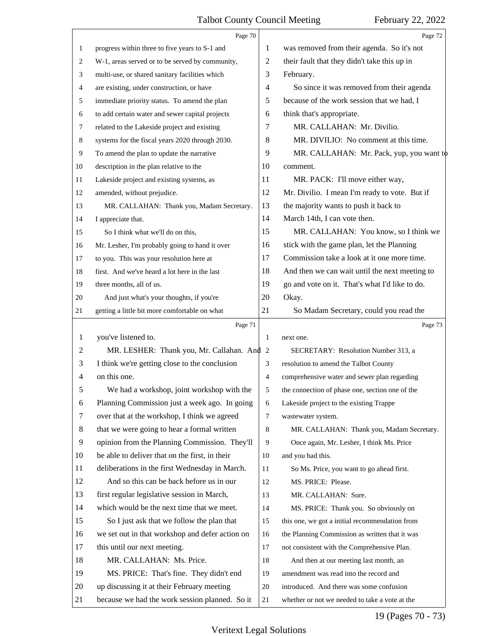<span id="page-18-0"></span>

|    | Page 70                                         |                | Page 72                                         |
|----|-------------------------------------------------|----------------|-------------------------------------------------|
| 1  | progress within three to five years to S-1 and  | 1              | was removed from their agenda. So it's not      |
| 2  | W-1, areas served or to be served by community, | $\overline{c}$ | their fault that they didn't take this up in    |
| 3  | multi-use, or shared sanitary facilities which  | 3              | February.                                       |
| 4  | are existing, under construction, or have       | 4              | So since it was removed from their agenda       |
| 5  | immediate priority status. To amend the plan    | 5              | because of the work session that we had, I      |
| 6  | to add certain water and sewer capital projects | 6              | think that's appropriate.                       |
| 7  | related to the Lakeside project and existing    | 7              | MR. CALLAHAN: Mr. Divilio.                      |
| 8  | systems for the fiscal years 2020 through 2030. | 8              | MR. DIVILIO: No comment at this time.           |
| 9  | To amend the plan to update the narrative       | 9              | MR. CALLAHAN: Mr. Pack, yup, you want to        |
| 10 | description in the plan relative to the         | 10             | comment.                                        |
| 11 | Lakeside project and existing systems, as       | 11             | MR. PACK: I'll move either way,                 |
| 12 | amended, without prejudice.                     | 12             | Mr. Divilio. I mean I'm ready to vote. But if   |
| 13 | MR. CALLAHAN: Thank you, Madam Secretary.       | 13             | the majority wants to push it back to           |
| 14 | I appreciate that.                              | 14             | March 14th, I can vote then.                    |
| 15 | So I think what we'll do on this,               | 15             | MR. CALLAHAN: You know, so I think we           |
| 16 | Mr. Lesher, I'm probably going to hand it over  | 16             | stick with the game plan, let the Planning      |
| 17 | to you. This was your resolution here at        | 17             | Commission take a look at it one more time.     |
| 18 | first. And we've heard a lot here in the last   | 18             | And then we can wait until the next meeting to  |
| 19 | three months, all of us.                        | 19             | go and vote on it. That's what I'd like to do.  |
| 20 | And just what's your thoughts, if you're        | 20             | Okay.                                           |
| 21 | getting a little bit more comfortable on what   | 21             | So Madam Secretary, could you read the          |
|    | Page 71                                         |                |                                                 |
|    |                                                 |                | Page 73                                         |
| 1  | you've listened to.                             | 1              | next one.                                       |
| 2  | MR. LESHER: Thank you, Mr. Callahan. And 2      |                | SECRETARY: Resolution Number 313, a             |
| 3  | I think we're getting close to the conclusion   | 3              | resolution to amend the Talbot County           |
| 4  | on this one.                                    | 4              | comprehensive water and sewer plan regarding    |
| 5  | We had a workshop, joint workshop with the      | 5              | the connection of phase one, section one of the |
| 6  | Planning Commission just a week ago. In going   | 6              | Lakeside project to the existing Trappe         |
| 7  | over that at the workshop, I think we agreed    | $\overline{7}$ | wastewater system.                              |
| 8  | that we were going to hear a formal written     | 8              | MR. CALLAHAN: Thank you, Madam Secretary.       |
| 9  | opinion from the Planning Commission. They'll   | 9              | Once again, Mr. Lesher, I think Ms. Price       |
| 10 | be able to deliver that on the first, in their  | 10             | and you had this.                               |
| 11 | deliberations in the first Wednesday in March.  | 11             | So Ms. Price, you want to go ahead first.       |
| 12 | And so this can be back before us in our        | 12             | MS. PRICE: Please.                              |
| 13 | first regular legislative session in March,     | 13             | MR. CALLAHAN: Sure.                             |
| 14 | which would be the next time that we meet.      | 14             | MS. PRICE: Thank you. So obviously on           |
| 15 | So I just ask that we follow the plan that      | 15             | this one, we got a initial recommendation from  |
| 16 | we set out in that workshop and defer action on | 16             | the Planning Commission as written that it was  |
| 17 | this until our next meeting.                    | 17             | not consistent with the Comprehensive Plan.     |
| 18 | MR. CALLAHAN: Ms. Price.                        | 18             | And then at our meeting last month, an          |
| 19 | MS. PRICE: That's fine. They didn't end         | 19             | amendment was read into the record and          |
| 20 | up discussing it at their February meeting      | 20             | introduced. And there was some confusion        |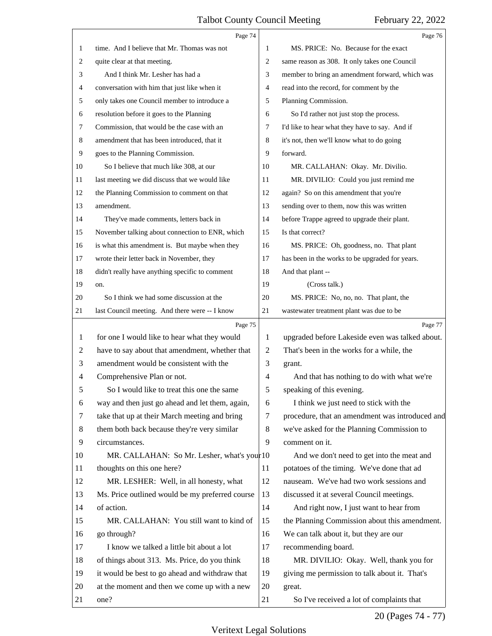<span id="page-19-0"></span>

|    | Page 74                                         |                | Page 76                                         |
|----|-------------------------------------------------|----------------|-------------------------------------------------|
| 1  | time. And I believe that Mr. Thomas was not     | 1              | MS. PRICE: No. Because for the exact            |
| 2  | quite clear at that meeting.                    | $\overline{2}$ | same reason as 308. It only takes one Council   |
| 3  | And I think Mr. Lesher has had a                | 3              | member to bring an amendment forward, which was |
| 4  | conversation with him that just like when it    | $\overline{4}$ | read into the record, for comment by the        |
| 5  | only takes one Council member to introduce a    | 5              | Planning Commission.                            |
| 6  | resolution before it goes to the Planning       | 6              | So I'd rather not just stop the process.        |
| 7  | Commission, that would be the case with an      | 7              | I'd like to hear what they have to say. And if  |
| 8  | amendment that has been introduced, that it     | 8              | it's not, then we'll know what to do going      |
| 9  | goes to the Planning Commission.                | 9              | forward.                                        |
| 10 | So I believe that much like 308, at our         | 10             | MR. CALLAHAN: Okay. Mr. Divilio.                |
| 11 | last meeting we did discuss that we would like  | 11             | MR. DIVILIO: Could you just remind me           |
| 12 | the Planning Commission to comment on that      | 12             | again? So on this amendment that you're         |
| 13 | amendment.                                      | 13             | sending over to them, now this was written      |
| 14 | They've made comments, letters back in          | 14             | before Trappe agreed to upgrade their plant.    |
| 15 | November talking about connection to ENR, which | 15             | Is that correct?                                |
| 16 | is what this amendment is. But maybe when they  | 16             | MS. PRICE: Oh, goodness, no. That plant         |
| 17 | wrote their letter back in November, they       | 17             | has been in the works to be upgraded for years. |
| 18 | didn't really have anything specific to comment | 18             | And that plant --                               |
| 19 | on.                                             | 19             | (Cross talk.)                                   |
| 20 | So I think we had some discussion at the        | 20             | MS. PRICE: No, no, no. That plant, the          |
| 21 | last Council meeting. And there were -- I know  | 21             | wastewater treatment plant was due to be        |
|    | Page 75                                         |                |                                                 |
|    |                                                 |                | Page 77                                         |
| 1  | for one I would like to hear what they would    | $\mathbf{1}$   | upgraded before Lakeside even was talked about. |
| 2  | have to say about that amendment, whether that  | $\overline{2}$ | That's been in the works for a while, the       |
| 3  | amendment would be consistent with the          | 3              | grant.                                          |
| 4  | Comprehensive Plan or not.                      | $\overline{4}$ | And that has nothing to do with what we're      |
| 5  | So I would like to treat this one the same      | 5              | speaking of this evening.                       |
| 6  | way and then just go ahead and let them, again, | 6              | I think we just need to stick with the          |
| 7  | take that up at their March meeting and bring   | $\tau$         | procedure, that an amendment was introduced and |
| 8  | them both back because they're very similar     | 8              | we've asked for the Planning Commission to      |
| 9  | circumstances.                                  | 9              | comment on it.                                  |
| 10 | MR. CALLAHAN: So Mr. Lesher, what's your 10     |                | And we don't need to get into the meat and      |
| 11 | thoughts on this one here?                      | 11             | potatoes of the timing. We've done that ad      |
| 12 | MR. LESHER: Well, in all honesty, what          | 12             | nauseam. We've had two work sessions and        |
| 13 | Ms. Price outlined would be my preferred course | 13             | discussed it at several Council meetings.       |
| 14 | of action.                                      | 14             | And right now, I just want to hear from         |
| 15 | MR. CALLAHAN: You still want to kind of         | 15             | the Planning Commission about this amendment.   |
| 16 | go through?                                     | 16             | We can talk about it, but they are our          |
| 17 | I know we talked a little bit about a lot       | 17             | recommending board.                             |
| 18 | of things about 313. Ms. Price, do you think    | 18             | MR. DIVILIO: Okay. Well, thank you for          |
| 19 | it would be best to go ahead and withdraw that  | 19             | giving me permission to talk about it. That's   |
| 20 | at the moment and then we come up with a new    | 20             | great.                                          |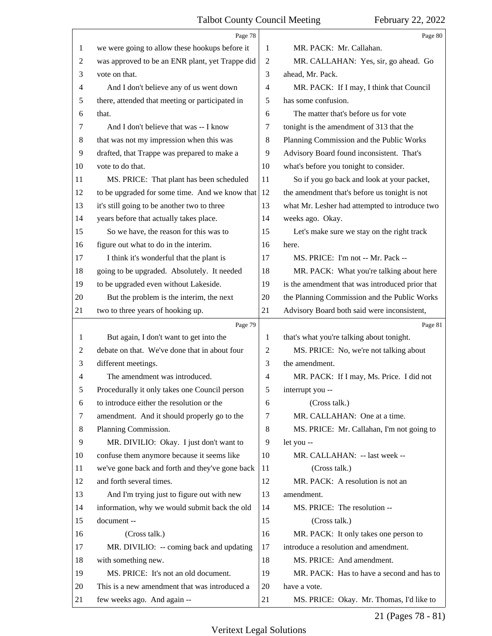<span id="page-20-0"></span>

|                | Page 78                                         |                | Page 80                                         |
|----------------|-------------------------------------------------|----------------|-------------------------------------------------|
| 1              | we were going to allow these hookups before it  | 1              | MR. PACK: Mr. Callahan.                         |
| $\overline{c}$ | was approved to be an ENR plant, yet Trappe did | $\overline{2}$ | MR. CALLAHAN: Yes, sir, go ahead. Go            |
| 3              | vote on that.                                   | 3              | ahead, Mr. Pack.                                |
| 4              | And I don't believe any of us went down         | $\overline{4}$ | MR. PACK: If I may, I think that Council        |
| 5              | there, attended that meeting or participated in | 5              | has some confusion.                             |
| 6              | that.                                           | 6              | The matter that's before us for vote            |
| 7              | And I don't believe that was -- I know          | 7              | tonight is the amendment of 313 that the        |
| 8              | that was not my impression when this was        | 8              | Planning Commission and the Public Works        |
| 9              | drafted, that Trappe was prepared to make a     | 9              | Advisory Board found inconsistent. That's       |
| 10             | vote to do that.                                | 10             | what's before you tonight to consider.          |
| 11             | MS. PRICE: That plant has been scheduled        | 11             | So if you go back and look at your packet,      |
| 12             | to be upgraded for some time. And we know that  | 12             | the amendment that's before us tonight is not   |
| 13             | it's still going to be another two to three     | 13             | what Mr. Lesher had attempted to introduce two  |
| 14             | years before that actually takes place.         | 14             | weeks ago. Okay.                                |
| 15             | So we have, the reason for this was to          | 15             | Let's make sure we stay on the right track      |
| 16             | figure out what to do in the interim.           | 16             | here.                                           |
| 17             | I think it's wonderful that the plant is        | 17             | MS. PRICE: I'm not -- Mr. Pack --               |
| 18             | going to be upgraded. Absolutely. It needed     | 18             | MR. PACK: What you're talking about here        |
| 19             | to be upgraded even without Lakeside.           | 19             | is the amendment that was introduced prior that |
| 20             | But the problem is the interim, the next        | 20             | the Planning Commission and the Public Works    |
| 21             | two to three years of hooking up.               | 21             | Advisory Board both said were inconsistent,     |
|                |                                                 |                |                                                 |
|                | Page 79                                         |                | Page 81                                         |
| 1              | But again, I don't want to get into the         | 1              | that's what you're talking about tonight.       |
| 2              | debate on that. We've done that in about four   | 2              | MS. PRICE: No, we're not talking about          |
| 3              | different meetings.                             | 3              | the amendment.                                  |
| 4              | The amendment was introduced.                   | $\overline{4}$ | MR. PACK: If I may, Ms. Price. I did not        |
| 5              | Procedurally it only takes one Council person   | 5              | interrupt you --                                |
| 6              | to introduce either the resolution or the       | 6              | (Cross talk.)                                   |
| 7              | amendment. And it should properly go to the     | 7              | MR. CALLAHAN: One at a time.                    |
| 8              | Planning Commission.                            | 8              | MS. PRICE: Mr. Callahan, I'm not going to       |
| 9              | MR. DIVILIO: Okay. I just don't want to         | 9              | let you --                                      |
| 10             | confuse them anymore because it seems like      | 10             | MR. CALLAHAN: -- last week --                   |
| 11             | we've gone back and forth and they've gone back | 11             | (Cross talk.)                                   |
| 12             | and forth several times.                        | 12             | MR. PACK: A resolution is not an                |
| 13             | And I'm trying just to figure out with new      | 13             | amendment.                                      |
| 14             | information, why we would submit back the old   | 14             | MS. PRICE: The resolution --                    |
| 15             | document --                                     | 15             | (Cross talk.)                                   |
| 16             | (Cross talk.)                                   | 16             | MR. PACK: It only takes one person to           |
| 17             | MR. DIVILIO: -- coming back and updating        | 17             | introduce a resolution and amendment.           |
| 18             | with something new.                             | 18             | MS. PRICE: And amendment.                       |
| 19             | MS. PRICE: It's not an old document.            | 19             | MR. PACK: Has to have a second and has to       |
| 20             | This is a new amendment that was introduced a   | 20             | have a vote.                                    |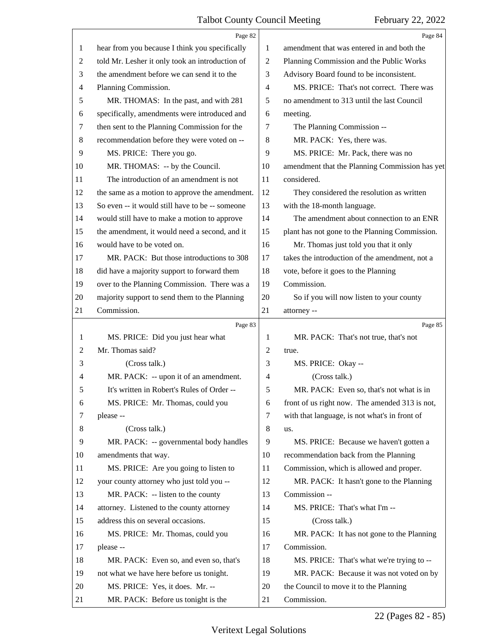<span id="page-21-0"></span>

|    | Page 82                                         |    | Page 84                                        |
|----|-------------------------------------------------|----|------------------------------------------------|
| 1  | hear from you because I think you specifically  | 1  | amendment that was entered in and both the     |
| 2  | told Mr. Lesher it only took an introduction of | 2  | Planning Commission and the Public Works       |
| 3  | the amendment before we can send it to the      | 3  | Advisory Board found to be inconsistent.       |
| 4  | Planning Commission.                            | 4  | MS. PRICE: That's not correct. There was       |
| 5  | MR. THOMAS: In the past, and with 281           | 5  | no amendment to 313 until the last Council     |
| 6  | specifically, amendments were introduced and    | 6  | meeting.                                       |
| 7  | then sent to the Planning Commission for the    | 7  | The Planning Commission --                     |
| 8  | recommendation before they were voted on --     | 8  | MR. PACK: Yes, there was.                      |
| 9  | MS. PRICE: There you go.                        | 9  | MS. PRICE: Mr. Pack, there was no              |
| 10 | MR. THOMAS: -- by the Council.                  | 10 | amendment that the Planning Commission has yet |
| 11 | The introduction of an amendment is not         | 11 | considered.                                    |
| 12 | the same as a motion to approve the amendment.  | 12 | They considered the resolution as written      |
| 13 | So even -- it would still have to be -- someone | 13 | with the 18-month language.                    |
| 14 | would still have to make a motion to approve    | 14 | The amendment about connection to an ENR       |
| 15 | the amendment, it would need a second, and it   | 15 | plant has not gone to the Planning Commission. |
| 16 | would have to be voted on.                      | 16 | Mr. Thomas just told you that it only          |
| 17 | MR. PACK: But those introductions to 308        | 17 | takes the introduction of the amendment, not a |
| 18 | did have a majority support to forward them     | 18 | vote, before it goes to the Planning           |
| 19 | over to the Planning Commission. There was a    | 19 | Commission.                                    |
| 20 | majority support to send them to the Planning   | 20 | So if you will now listen to your county       |
| 21 | Commission.                                     | 21 | attorney --                                    |
|    | Page 83                                         |    |                                                |
|    |                                                 |    | Page 85                                        |
| 1  | MS. PRICE: Did you just hear what               | 1  | MR. PACK: That's not true, that's not          |
| 2  | Mr. Thomas said?                                | 2  | true.                                          |
| 3  | (Cross talk.)                                   | 3  | MS. PRICE: Okay --                             |
| 4  | MR. PACK: -- upon it of an amendment.           | 4  | (Cross talk.)                                  |
| 5  | It's written in Robert's Rules of Order --      | 5  | MR. PACK: Even so, that's not what is in       |
| 6  | MS. PRICE: Mr. Thomas, could you                | 6  | front of us right now. The amended 313 is not, |
| 7  | please --                                       | 7  | with that language, is not what's in front of  |
| 8  | (Cross talk.)                                   | 8  | us.                                            |
| 9  | MR. PACK: -- governmental body handles          | 9  | MS. PRICE: Because we haven't gotten a         |
| 10 | amendments that way.                            | 10 | recommendation back from the Planning          |
| 11 | MS. PRICE: Are you going to listen to           | 11 | Commission, which is allowed and proper.       |
| 12 | your county attorney who just told you --       | 12 | MR. PACK: It hasn't gone to the Planning       |
| 13 | MR. PACK: -- listen to the county               | 13 | Commission --                                  |
| 14 | attorney. Listened to the county attorney       | 14 | MS. PRICE: That's what I'm --                  |
| 15 | address this on several occasions.              | 15 | (Cross talk.)                                  |
| 16 | MS. PRICE: Mr. Thomas, could you                | 16 | MR. PACK: It has not gone to the Planning      |
| 17 | please --                                       | 17 | Commission.                                    |
| 18 | MR. PACK: Even so, and even so, that's          | 18 | MS. PRICE: That's what we're trying to --      |
| 19 | not what we have here before us tonight.        | 19 | MR. PACK: Because it was not voted on by       |
| 20 | MS. PRICE: Yes, it does. Mr. --                 | 20 | the Council to move it to the Planning         |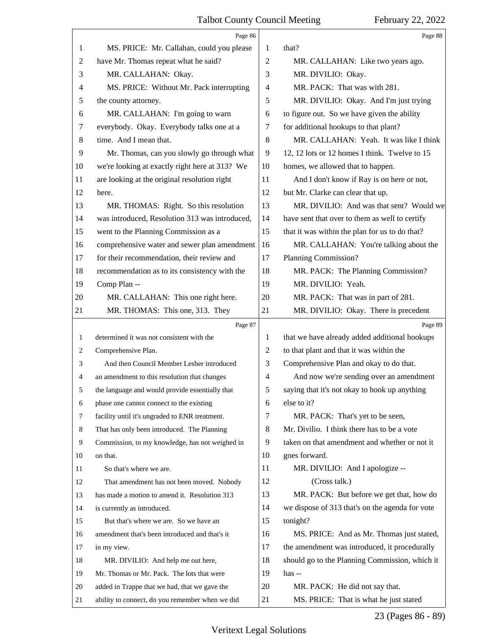<span id="page-22-0"></span>

|    | Page 86                                         |                | Page 88                                         |
|----|-------------------------------------------------|----------------|-------------------------------------------------|
| 1  | MS. PRICE: Mr. Callahan, could you please       | 1              | that?                                           |
| 2  | have Mr. Thomas repeat what he said?            | 2              | MR. CALLAHAN: Like two years ago.               |
| 3  | MR. CALLAHAN: Okay.                             | 3              | MR. DIVILIO: Okay.                              |
| 4  | MS. PRICE: Without Mr. Pack interrupting        | $\overline{4}$ | MR. PACK: That was with 281.                    |
| 5  | the county attorney.                            | 5              | MR. DIVILIO: Okay. And I'm just trying          |
| 6  | MR. CALLAHAN: I'm going to warn                 | 6              | to figure out. So we have given the ability     |
| 7  | everybody. Okay. Everybody talks one at a       | 7              | for additional hookups to that plant?           |
| 8  | time. And I mean that.                          | 8              | MR. CALLAHAN: Yeah. It was like I think         |
| 9  | Mr. Thomas, can you slowly go through what      | 9              | 12, 12 lots or 12 homes I think. Twelve to 15   |
| 10 | we're looking at exactly right here at 313? We  | 10             | homes, we allowed that to happen.               |
| 11 | are looking at the original resolution right    | 11             | And I don't know if Ray is on here or not,      |
| 12 | here.                                           | 12             | but Mr. Clarke can clear that up.               |
| 13 | MR. THOMAS: Right. So this resolution           | 13             | MR. DIVILIO: And was that sent? Would we        |
| 14 | was introduced, Resolution 313 was introduced,  | 14             | have sent that over to them as well to certify  |
| 15 | went to the Planning Commission as a            | 15             | that it was within the plan for us to do that?  |
| 16 | comprehensive water and sewer plan amendment    | 16             | MR. CALLAHAN: You're talking about the          |
| 17 | for their recommendation, their review and      | 17             | Planning Commission?                            |
| 18 | recommendation as to its consistency with the   | 18             | MR. PACK: The Planning Commission?              |
| 19 | Comp Plan --                                    | 19             | MR. DIVILIO: Yeah.                              |
| 20 | MR. CALLAHAN: This one right here.              | 20             | MR. PACK: That was in part of 281.              |
| 21 | MR. THOMAS: This one, 313. They                 | 21             | MR. DIVILIO: Okay. There is precedent           |
|    | Page 87                                         |                | Page 89                                         |
| 1  | determined it was not consistent with the       | 1              | that we have already added additional hookups   |
| 2  | Comprehensive Plan.                             | $\overline{2}$ | to that plant and that it was within the        |
| 3  | And then Council Member Lesher introduced       | 3              | Comprehensive Plan and okay to do that.         |
| 4  | an amendment to this resolution that changes    | $\overline{4}$ | And now we're sending over an amendment         |
| 5  | the language and would provide essentially that | 5              | saying that it's not okay to hook up anything   |
| 6  | phase one cannot connect to the existing        | 6              | else to it?                                     |
| 7  | facility until it's ungraded to ENR treatment.  | 7              | MR. PACK: That's yet to be seen,                |
| 8  | That has only been introduced. The Planning     | 8              | Mr. Divilio. I think there has to be a vote     |
| 9  | Commission, to my knowledge, has not weighed in | 9              | taken on that amendment and whether or not it   |
| 10 | on that.                                        | 10             | goes forward.                                   |
| 11 | So that's where we are.                         | 11             | MR. DIVILIO: And I apologize --                 |
| 12 |                                                 |                |                                                 |
| 13 | That amendment has not been moved. Nobody       | 12             | (Cross talk.)                                   |
|    | has made a motion to amend it. Resolution 313   | 13             | MR. PACK: But before we get that, how do        |
| 14 | is currently as introduced.                     | 14             | we dispose of 313 that's on the agenda for vote |
| 15 | But that's where we are. So we have an          | 15             | tonight?                                        |
| 16 | amendment that's been introduced and that's it  | 16             | MS. PRICE: And as Mr. Thomas just stated,       |
| 17 | in my view.                                     | 17             | the amendment was introduced, it procedurally   |
| 18 | MR. DIVILIO: And help me out here,              | 18             | should go to the Planning Commission, which it  |
| 19 | Mr. Thomas or Mr. Pack. The lots that were      | 19             | has $-$                                         |
| 20 | added in Trappe that we had, that we gave the   | 20             | MR. PACK: He did not say that.                  |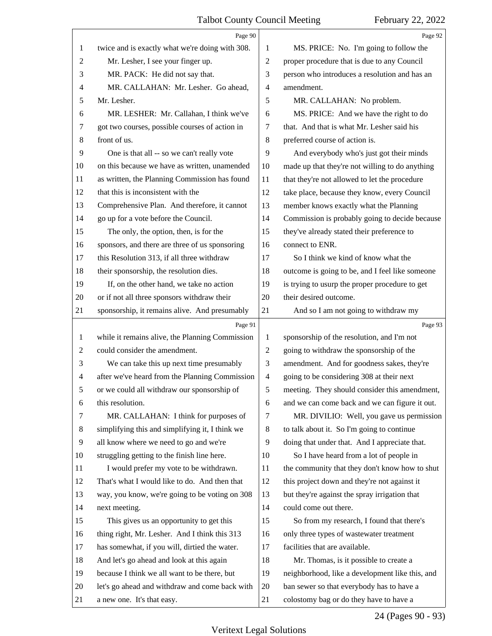<span id="page-23-0"></span>

|                | Page 90                                         |                | Page 92                                         |
|----------------|-------------------------------------------------|----------------|-------------------------------------------------|
| 1              | twice and is exactly what we're doing with 308. | 1              | MS. PRICE: No. I'm going to follow the          |
| 2              | Mr. Lesher, I see your finger up.               | $\overline{c}$ | proper procedure that is due to any Council     |
| 3              | MR. PACK: He did not say that.                  | 3              | person who introduces a resolution and has an   |
| 4              | MR. CALLAHAN: Mr. Lesher. Go ahead,             | $\overline{4}$ | amendment.                                      |
| 5              | Mr. Lesher.                                     | 5              | MR. CALLAHAN: No problem.                       |
| 6              | MR. LESHER: Mr. Callahan, I think we've         | 6              | MS. PRICE: And we have the right to do          |
| 7              | got two courses, possible courses of action in  | 7              | that. And that is what Mr. Lesher said his      |
| 8              | front of us.                                    | 8              | preferred course of action is.                  |
| 9              | One is that all -- so we can't really vote      | 9              | And everybody who's just got their minds        |
| 10             | on this because we have as written, unamended   | 10             | made up that they're not willing to do anything |
| 11             | as written, the Planning Commission has found   | 11             | that they're not allowed to let the procedure   |
| 12             | that this is inconsistent with the              | 12             | take place, because they know, every Council    |
| 13             | Comprehensive Plan. And therefore, it cannot    | 13             | member knows exactly what the Planning          |
| 14             | go up for a vote before the Council.            | 14             | Commission is probably going to decide because  |
| 15             | The only, the option, then, is for the          | 15             | they've already stated their preference to      |
| 16             | sponsors, and there are three of us sponsoring  | 16             | connect to ENR.                                 |
| 17             | this Resolution 313, if all three withdraw      | 17             | So I think we kind of know what the             |
| 18             | their sponsorship, the resolution dies.         | 18             | outcome is going to be, and I feel like someone |
| 19             | If, on the other hand, we take no action        | 19             | is trying to usurp the proper procedure to get  |
| 20             | or if not all three sponsors withdraw their     | 20             | their desired outcome.                          |
| 21             | sponsorship, it remains alive. And presumably   | 21             | And so I am not going to withdraw my            |
|                |                                                 |                |                                                 |
|                | Page 91                                         |                | Page 93                                         |
| $\mathbf{1}$   | while it remains alive, the Planning Commission | 1              | sponsorship of the resolution, and I'm not      |
| $\overline{c}$ | could consider the amendment.                   | $\overline{c}$ | going to withdraw the sponsorship of the        |
| 3              | We can take this up next time presumably        | 3              | amendment. And for goodness sakes, they're      |
| $\overline{4}$ | after we've heard from the Planning Commission  | $\overline{4}$ | going to be considering 308 at their next       |
| 5              | or we could all withdraw our sponsorship of     | 5              | meeting. They should consider this amendment,   |
| 6              | this resolution.                                | 6              | and we can come back and we can figure it out.  |
| 7              | MR. CALLAHAN: I think for purposes of           | 7              | MR. DIVILIO: Well, you gave us permission       |
| 8              | simplifying this and simplifying it, I think we | 8              | to talk about it. So I'm going to continue      |
| 9              | all know where we need to go and we're          | 9              | doing that under that. And I appreciate that.   |
| 10             | struggling getting to the finish line here.     | 10             | So I have heard from a lot of people in         |
| 11             | I would prefer my vote to be withdrawn.         | 11             | the community that they don't know how to shut  |
| 12             | That's what I would like to do. And then that   | 12             | this project down and they're not against it    |
| 13             | way, you know, we're going to be voting on 308  | 13             | but they're against the spray irrigation that   |
| 14             | next meeting.                                   | 14             | could come out there.                           |
| 15             | This gives us an opportunity to get this        | 15             | So from my research, I found that there's       |
| 16             | thing right, Mr. Lesher. And I think this 313   | 16             | only three types of wastewater treatment        |
| 17             | has somewhat, if you will, dirtied the water.   | 17             | facilities that are available.                  |
| 18             | And let's go ahead and look at this again       | 18             | Mr. Thomas, is it possible to create a          |
| 19             | because I think we all want to be there, but    | 19             | neighborhood, like a development like this, and |
| 20             | let's go ahead and withdraw and come back with  | 20             | ban sewer so that everybody has to have a       |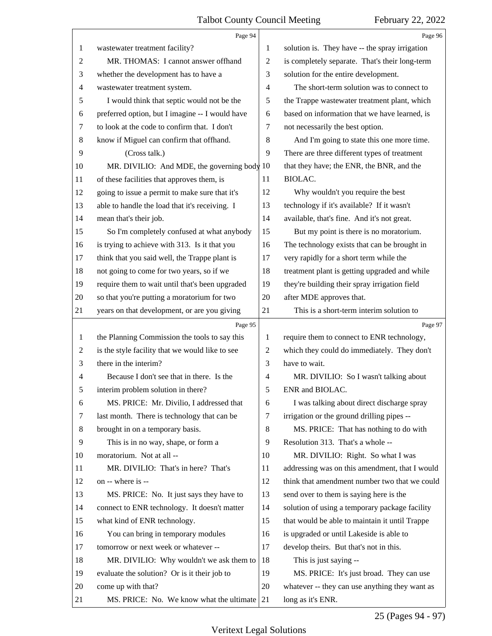<span id="page-24-0"></span>

|         | Page 94                                         |    | Page 96                                        |
|---------|-------------------------------------------------|----|------------------------------------------------|
| 1       | wastewater treatment facility?                  | 1  | solution is. They have -- the spray irrigation |
| 2       | MR. THOMAS: I cannot answer offhand             | 2  | is completely separate. That's their long-term |
| 3       | whether the development has to have a           | 3  | solution for the entire development.           |
| 4       | wastewater treatment system.                    | 4  | The short-term solution was to connect to      |
| 5       | I would think that septic would not be the      | 5  | the Trappe wastewater treatment plant, which   |
| 6       | preferred option, but I imagine -- I would have | 6  | based on information that we have learned, is  |
| 7       | to look at the code to confirm that. I don't    | 7  | not necessarily the best option.               |
| $\,8\,$ | know if Miguel can confirm that offhand.        | 8  | And I'm going to state this one more time.     |
| 9       | (Cross talk.)                                   | 9  | There are three different types of treatment   |
| 10      | MR. DIVILIO: And MDE, the governing body $10$   |    | that they have; the ENR, the BNR, and the      |
| 11      | of these facilities that approves them, is      | 11 | BIOLAC.                                        |
| 12      | going to issue a permit to make sure that it's  | 12 | Why wouldn't you require the best              |
| 13      | able to handle the load that it's receiving. I  | 13 | technology if it's available? If it wasn't     |
| 14      | mean that's their job.                          | 14 | available, that's fine. And it's not great.    |
| 15      | So I'm completely confused at what anybody      | 15 | But my point is there is no moratorium.        |
| 16      | is trying to achieve with 313. Is it that you   | 16 | The technology exists that can be brought in   |
| 17      | think that you said well, the Trappe plant is   | 17 | very rapidly for a short term while the        |
| 18      | not going to come for two years, so if we       | 18 | treatment plant is getting upgraded and while  |
| 19      | require them to wait until that's been upgraded | 19 | they're building their spray irrigation field  |
| 20      | so that you're putting a moratorium for two     | 20 | after MDE approves that.                       |
| 21      | years on that development, or are you giving    | 21 | This is a short-term interim solution to       |
|         |                                                 |    |                                                |
|         | Page 95                                         |    | Page 97                                        |
| 1       | the Planning Commission the tools to say this   | 1  | require them to connect to ENR technology,     |
| 2       | is the style facility that we would like to see | 2  | which they could do immediately. They don't    |
| 3       | there in the interim?                           | 3  | have to wait.                                  |
| 4       | Because I don't see that in there. Is the       | 4  | MR. DIVILIO: So I wasn't talking about         |
|         | interim problem solution in there?              | 5  | ENR and BIOLAC.                                |
| 6       | MS. PRICE: Mr. Divilio, I addressed that        | 6  | I was talking about direct discharge spray     |
| 7       | last month. There is technology that can be     | 7  | irrigation or the ground drilling pipes --     |
| 8       | brought in on a temporary basis.                | 8  | MS. PRICE: That has nothing to do with         |
| 9       | This is in no way, shape, or form a             | 9  | Resolution 313. That's a whole --              |
| 10      | moratorium. Not at all --                       | 10 | MR. DIVILIO: Right. So what I was              |
| 11      | MR. DIVILIO: That's in here? That's             | 11 | addressing was on this amendment, that I would |
| 12      | on -- where is --                               | 12 | think that amendment number two that we could  |
| 13      | MS. PRICE: No. It just says they have to        | 13 | send over to them is saying here is the        |
| 14      | connect to ENR technology. It doesn't matter    | 14 | solution of using a temporary package facility |
| 15      | what kind of ENR technology.                    | 15 | that would be able to maintain it until Trappe |
| 16      | You can bring in temporary modules              | 16 | is upgraded or until Lakeside is able to       |
| 17      | tomorrow or next week or whatever --            | 17 | develop theirs. But that's not in this.        |
| 18      | MR. DIVILIO: Why wouldn't we ask them to        | 18 | This is just saying --                         |
| 19      | evaluate the solution? Or is it their job to    | 19 | MS. PRICE: It's just broad. They can use       |
| 20      | come up with that?                              | 20 | whatever -- they can use anything they want as |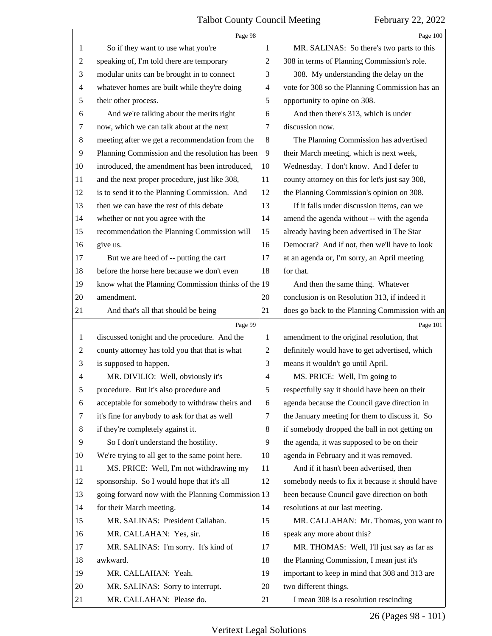<span id="page-25-0"></span>

|                | Page 98                                            |    | Page 100                                        |
|----------------|----------------------------------------------------|----|-------------------------------------------------|
| 1              | So if they want to use what you're                 | 1  | MR. SALINAS: So there's two parts to this       |
| $\overline{2}$ | speaking of, I'm told there are temporary          | 2  | 308 in terms of Planning Commission's role.     |
| 3              | modular units can be brought in to connect         | 3  | 308. My understanding the delay on the          |
| $\overline{4}$ | whatever homes are built while they're doing       | 4  | vote for 308 so the Planning Commission has an  |
| 5              | their other process.                               | 5  | opportunity to opine on 308.                    |
| 6              | And we're talking about the merits right           | 6  | And then there's 313, which is under            |
| 7              | now, which we can talk about at the next           | 7  | discussion now.                                 |
| 8              | meeting after we get a recommendation from the     | 8  | The Planning Commission has advertised          |
| 9              | Planning Commission and the resolution has been    | 9  | their March meeting, which is next week,        |
| 10             | introduced, the amendment has been introduced,     | 10 | Wednesday. I don't know. And I defer to         |
| 11             | and the next proper procedure, just like 308,      | 11 | county attorney on this for let's just say 308, |
| 12             | is to send it to the Planning Commission. And      | 12 | the Planning Commission's opinion on 308.       |
| 13             | then we can have the rest of this debate           | 13 | If it falls under discussion items, can we      |
| 14             | whether or not you agree with the                  | 14 | amend the agenda without -- with the agenda     |
| 15             | recommendation the Planning Commission will        | 15 | already having been advertised in The Star      |
| 16             | give us.                                           | 16 | Democrat? And if not, then we'll have to look   |
| 17             | But we are heed of -- putting the cart             | 17 | at an agenda or, I'm sorry, an April meeting    |
| 18             | before the horse here because we don't even        | 18 | for that.                                       |
| 19             | know what the Planning Commission thinks of the 19 |    | And then the same thing. Whatever               |
| 20             | amendment.                                         | 20 | conclusion is on Resolution 313, if indeed it   |
| 21             | And that's all that should be being                | 21 | does go back to the Planning Commission with an |
|                |                                                    |    |                                                 |
|                | Page 99                                            |    | Page 101                                        |
| 1              | discussed tonight and the procedure. And the       | 1  | amendment to the original resolution, that      |
| $\overline{2}$ | county attorney has told you that that is what     | 2  | definitely would have to get advertised, which  |
| 3              | is supposed to happen.                             | 3  | means it wouldn't go until April.               |
| 4              | MR. DIVILIO: Well, obviously it's                  | 4  | MS. PRICE: Well, I'm going to                   |
| 5              | procedure. But it's also procedure and             | 5  | respectfully say it should have been on their   |
| 6              | acceptable for somebody to withdraw theirs and     | 6  | agenda because the Council gave direction in    |
| 7              | it's fine for anybody to ask for that as well      | 7  | the January meeting for them to discuss it. So  |
| 8              | if they're completely against it.                  | 8  | if somebody dropped the ball in not getting on  |
| 9              | So I don't understand the hostility.               | 9  | the agenda, it was supposed to be on their      |
| 10             | We're trying to all get to the same point here.    | 10 | agenda in February and it was removed.          |
| 11             | MS. PRICE: Well, I'm not withdrawing my            | 11 | And if it hasn't been advertised, then          |
| 12             | sponsorship. So I would hope that it's all         | 12 | somebody needs to fix it because it should have |
| 13             | going forward now with the Planning Commission 13  |    | been because Council gave direction on both     |
| 14             | for their March meeting.                           | 14 | resolutions at our last meeting.                |
| 15             | MR. SALINAS: President Callahan.                   | 15 | MR. CALLAHAN: Mr. Thomas, you want to           |
| 16             | MR. CALLAHAN: Yes, sir.                            | 16 | speak any more about this?                      |
| 17             | MR. SALINAS: I'm sorry. It's kind of               | 17 | MR. THOMAS: Well, I'll just say as far as       |
| 18             | awkward.                                           | 18 | the Planning Commission, I mean just it's       |
| 19             | MR. CALLAHAN: Yeah.                                | 19 | important to keep in mind that 308 and 313 are  |
| 20             | MR. SALINAS: Sorry to interrupt.                   | 20 | two different things.                           |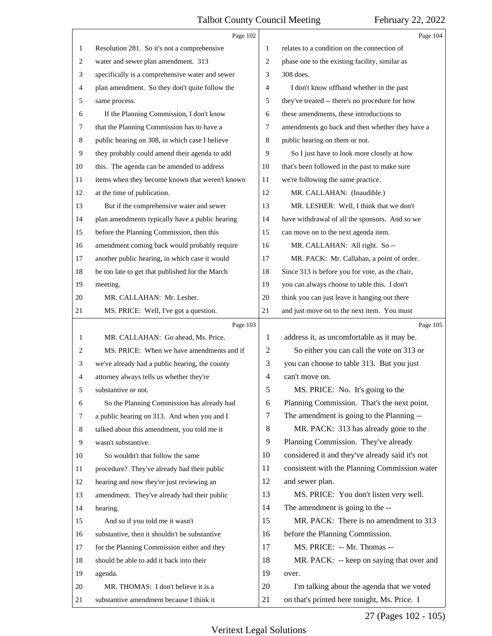<span id="page-26-0"></span>

|                | Page 102                                        |    | Page 104                                        |
|----------------|-------------------------------------------------|----|-------------------------------------------------|
| 1              | Resolution 281. So it's not a comprehensive     | 1  | relates to a condition on the connection of     |
| $\overline{2}$ | water and sewer plan amendment. 313             | 2  | phase one to the existing facility, similar as  |
| 3              | specifically is a comprehensive water and sewer | 3  | 308 does.                                       |
| 4              | plan amendment. So they don't quite follow the  | 4  | I don't know offhand whether in the past        |
| 5              | same process.                                   | 5  | they've treated -- there's no procedure for how |
| 6              | If the Planning Commission, I don't know        | 6  | these amendments, these introductions to        |
| 7              | that the Planning Commission has to have a      | 7  | amendments go back and then whether they have a |
| 8              | public hearing on 308, in which case I believe  | 8  | public hearing on them or not.                  |
| 9              | they probably could amend their agenda to add   | 9  | So I just have to look more closely at how      |
| 10             | this. The agenda can be amended to address      | 10 | that's been followed in the past to make sure   |
| 11             | items when they become known that weren't known | 11 | we're following the same practice.              |
| 12             | at the time of publication.                     | 12 | MR. CALLAHAN: (Inaudible.)                      |
| 13             | But if the comprehensive water and sewer        | 13 | MR. LESHER: Well, I think that we don't         |
| 14             | plan amendments typically have a public hearing | 14 | have withdrawal of all the sponsors. And so we  |
| 15             | before the Planning Commission, then this       | 15 | can move on to the next agenda item.            |
| 16             | amendment coming back would probably require    | 16 | MR. CALLAHAN: All right. So --                  |
| 17             | another public hearing, in which case it would  | 17 | MR. PACK: Mr. Callahan, a point of order.       |
| 18             | be too late to get that published for the March | 18 | Since 313 is before you for vote, as the chair, |
| 19             | meeting.                                        | 19 | you can always choose to table this. I don't    |
| 20             | MR. CALLAHAN: Mr. Lesher.                       | 20 | think you can just leave it hanging out there   |
| 21             | MS. PRICE: Well, I've got a question.           | 21 | and just move on to the next item. You must     |
|                |                                                 |    |                                                 |
|                | Page 103                                        |    | Page 105                                        |
| 1              | MR. CALLAHAN: Go ahead, Ms. Price.              | 1  | address it, as uncomfortable as it may be.      |
| 2              | MS. PRICE: When we have amendments and if       | 2  | So either you can call the vote on 313 or       |
| 3              | we've already had a public hearing, the county  | 3  | you can choose to table 313. But you just       |
| 4              | attorney always tells us whether they're        | 4  | can't move on.                                  |
| 5              | substantive or not.                             | 5  | MS. PRICE: No. It's going to the                |
| 6              | So the Planning Commission has already had      | 6  | Planning Commission. That's the next point.     |
| 7              | a public hearing on 313. And when you and I     | 7  | The amendment is going to the Planning --       |
| 8              | talked about this amendment, you told me it     | 8  | MR. PACK: 313 has already gone to the           |
| 9              | wasn't substantive.                             | 9  | Planning Commission. They've already            |
| 10             | So wouldn't that follow the same                | 10 | considered it and they've already said it's not |
| 11             | procedure? They've already had their public     | 11 | consistent with the Planning Commission water   |
| 12             | hearing and now they're just reviewing an       | 12 | and sewer plan.                                 |
| 13             | amendment. They've already had their public     | 13 | MS. PRICE: You don't listen very well.          |
| 14             | hearing.                                        | 14 | The amendment is going to the --                |
| 15             | And so if you told me it wasn't                 | 15 | MR. PACK: There is no amendment to 313          |
| 16             | substantive, then it shouldn't be substantive   | 16 | before the Planning Commission.                 |
| 17             | for the Planning Commission either and they     | 17 | MS. PRICE: -- Mr. Thomas --                     |
| 18             | should be able to add it back into their        | 18 | MR. PACK: -- keep on saying that over and       |
| 19             | agenda.                                         | 19 | over.                                           |
| 20             | MR. THOMAS: I don't believe it is a             | 20 | I'm talking about the agenda that we voted      |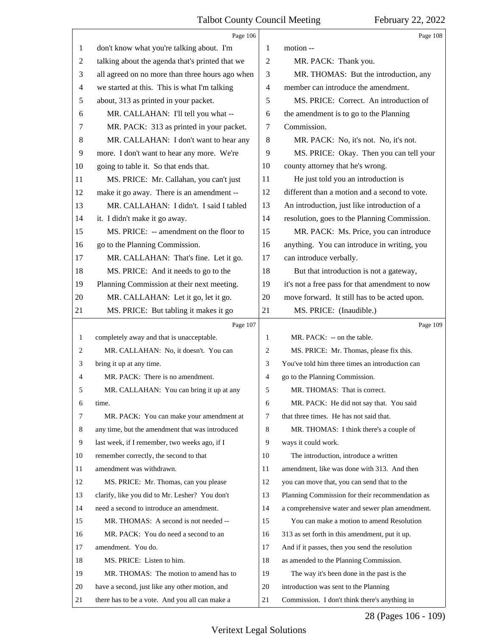<span id="page-27-0"></span>

|              | Page 106                                        |    | Page 108                                        |
|--------------|-------------------------------------------------|----|-------------------------------------------------|
| 1            | don't know what you're talking about. I'm       | 1  | motion --                                       |
| 2            | talking about the agenda that's printed that we | 2  | MR. PACK: Thank you.                            |
| 3            | all agreed on no more than three hours ago when | 3  | MR. THOMAS: But the introduction, any           |
| 4            | we started at this. This is what I'm talking    | 4  | member can introduce the amendment.             |
| 5            | about, 313 as printed in your packet.           | 5  | MS. PRICE: Correct. An introduction of          |
| 6            | MR. CALLAHAN: I'll tell you what --             | 6  | the amendment is to go to the Planning          |
| 7            | MR. PACK: 313 as printed in your packet.        | 7  | Commission.                                     |
| 8            | MR. CALLAHAN: I don't want to hear any          | 8  | MR. PACK: No, it's not. No, it's not.           |
| 9            | more. I don't want to hear any more. We're      | 9  | MS. PRICE: Okay. Then you can tell your         |
| 10           | going to table it. So that ends that.           | 10 | county attorney that he's wrong.                |
| 11           | MS. PRICE: Mr. Callahan, you can't just         | 11 | He just told you an introduction is             |
| 12           | make it go away. There is an amendment --       | 12 | different than a motion and a second to vote.   |
| 13           | MR. CALLAHAN: I didn't. I said I tabled         | 13 | An introduction, just like introduction of a    |
| 14           | it. I didn't make it go away.                   | 14 | resolution, goes to the Planning Commission.    |
| 15           | MS. PRICE: -- amendment on the floor to         | 15 | MR. PACK: Ms. Price, you can introduce          |
| 16           | go to the Planning Commission.                  | 16 | anything. You can introduce in writing, you     |
| 17           | MR. CALLAHAN: That's fine. Let it go.           | 17 | can introduce verbally.                         |
| 18           | MS. PRICE: And it needs to go to the            | 18 | But that introduction is not a gateway,         |
| 19           | Planning Commission at their next meeting.      | 19 | it's not a free pass for that amendment to now  |
| 20           | MR. CALLAHAN: Let it go, let it go.             | 20 | move forward. It still has to be acted upon.    |
| 21           | MS. PRICE: But tabling it makes it go           | 21 | MS. PRICE: (Inaudible.)                         |
|              |                                                 |    |                                                 |
|              | Page 107                                        |    | Page 109                                        |
| $\mathbf{1}$ | completely away and that is unacceptable.       | 1  | MR. PACK: -- on the table.                      |
| 2            | MR. CALLAHAN: No, it doesn't. You can           | 2  | MS. PRICE: Mr. Thomas, please fix this.         |
| 3            | bring it up at any time.                        | 3  | You've told him three times an introduction can |
| 4            | MR. PACK: There is no amendment.                | 4  | go to the Planning Commission.                  |
| 5            | MR. CALLAHAN: You can bring it up at any        | 5  | MR. THOMAS: That is correct.                    |
| 6            | time.                                           | 6  | MR. PACK: He did not say that. You said         |
| 7            | MR. PACK: You can make your amendment at        | 7  | that three times. He has not said that.         |
| 8            | any time, but the amendment that was introduced | 8  | MR. THOMAS: I think there's a couple of         |
| 9            | last week, if I remember, two weeks ago, if I   | 9  | ways it could work.                             |
| 10           | remember correctly, the second to that          | 10 | The introduction, introduce a written           |
| 11           | amendment was withdrawn.                        | 11 | amendment, like was done with 313. And then     |
| 12           | MS. PRICE: Mr. Thomas, can you please           | 12 | you can move that, you can send that to the     |
| 13           | clarify, like you did to Mr. Lesher? You don't  | 13 | Planning Commission for their recommendation as |
| 14           | need a second to introduce an amendment.        | 14 | a comprehensive water and sewer plan amendment. |
| 15           | MR. THOMAS: A second is not needed --           | 15 | You can make a motion to amend Resolution       |
| 16           | MR. PACK: You do need a second to an            | 16 | 313 as set forth in this amendment, put it up.  |
| 17           | amendment. You do.                              | 17 | And if it passes, then you send the resolution  |
| 18           | MS. PRICE: Listen to him.                       | 18 | as amended to the Planning Commission.          |
| 19           | MR. THOMAS: The motion to amend has to          | 19 | The way it's been done in the past is the       |
| 20           | have a second, just like any other motion, and  | 20 | introduction was sent to the Planning           |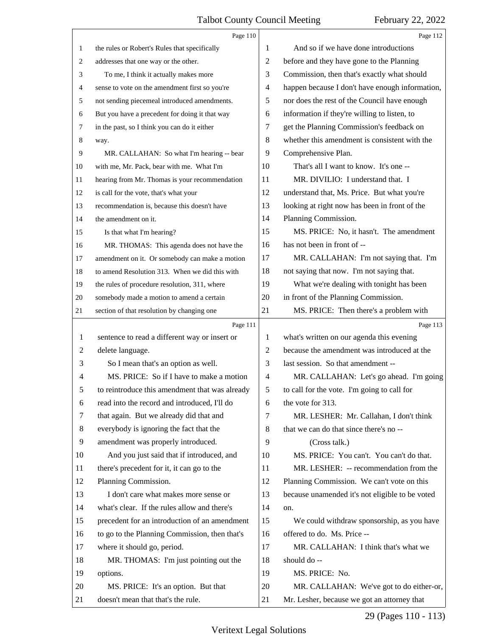<span id="page-28-0"></span>

|                | Page 110                                       |                | Page 112                                        |
|----------------|------------------------------------------------|----------------|-------------------------------------------------|
| $\mathbf{1}$   | the rules or Robert's Rules that specifically  | 1              | And so if we have done introductions            |
| 2              | addresses that one way or the other.           | $\overline{2}$ | before and they have gone to the Planning       |
| 3              | To me, I think it actually makes more          | 3              | Commission, then that's exactly what should     |
| 4              | sense to vote on the amendment first so you're | 4              | happen because I don't have enough information, |
| 5              | not sending piecemeal introduced amendments.   | 5              | nor does the rest of the Council have enough    |
| 6              | But you have a precedent for doing it that way | 6              | information if they're willing to listen, to    |
| $\tau$         | in the past, so I think you can do it either   | 7              | get the Planning Commission's feedback on       |
| 8              | way.                                           | 8              | whether this amendment is consistent with the   |
| 9              | MR. CALLAHAN: So what I'm hearing -- bear      | 9              | Comprehensive Plan.                             |
| 10             | with me, Mr. Pack, bear with me. What I'm      | 10             | That's all I want to know. It's one --          |
| 11             | hearing from Mr. Thomas is your recommendation | 11             | MR. DIVILIO: I understand that. I               |
| 12             | is call for the vote, that's what your         | 12             | understand that, Ms. Price. But what you're     |
| 13             | recommendation is, because this doesn't have   | 13             | looking at right now has been in front of the   |
| 14             | the amendment on it.                           | 14             | Planning Commission.                            |
| 15             | Is that what I'm hearing?                      | 15             | MS. PRICE: No, it hasn't. The amendment         |
| 16             | MR. THOMAS: This agenda does not have the      | 16             | has not been in front of --                     |
| 17             | amendment on it. Or somebody can make a motion | 17             | MR. CALLAHAN: I'm not saying that. I'm          |
| 18             | to amend Resolution 313. When we did this with | 18             | not saying that now. I'm not saying that.       |
| 19             | the rules of procedure resolution, 311, where  | 19             | What we're dealing with tonight has been        |
| 20             | somebody made a motion to amend a certain      | 20             | in front of the Planning Commission.            |
| 21             | section of that resolution by changing one     | 21             | MS. PRICE: Then there's a problem with          |
|                |                                                |                |                                                 |
|                | Page 111                                       |                | Page 113                                        |
| 1              | sentence to read a different way or insert or  | 1              | what's written on our agenda this evening       |
| $\overline{c}$ | delete language.                               | $\overline{2}$ | because the amendment was introduced at the     |
| 3              | So I mean that's an option as well.            | 3              | last session. So that amendment --              |
| 4              | MS. PRICE: So if I have to make a motion       | $\overline{4}$ | MR. CALLAHAN: Let's go ahead. I'm going         |
| 5              | to reintroduce this amendment that was already | 5              | to call for the vote. I'm going to call for     |
| 6              | read into the record and introduced, I'll do   | 6              | the vote for 313.                               |
| 7              | that again. But we already did that and        | 7              | MR. LESHER: Mr. Callahan, I don't think         |
| 8              | everybody is ignoring the fact that the        | 8              | that we can do that since there's no --         |
| 9              | amendment was properly introduced.             | 9              | (Cross talk.)                                   |
| 10             | And you just said that if introduced, and      | 10             | MS. PRICE: You can't. You can't do that.        |
| 11             | there's precedent for it, it can go to the     | 11             | MR. LESHER: -- recommendation from the          |
| 12             | Planning Commission.                           | 12             | Planning Commission. We can't vote on this      |
| 13             | I don't care what makes more sense or          | 13             | because unamended it's not eligible to be voted |
| 14             | what's clear. If the rules allow and there's   | 14             | on.                                             |
| 15             | precedent for an introduction of an amendment  | 15             | We could withdraw sponsorship, as you have      |
| 16             | to go to the Planning Commission, then that's  | 16             | offered to do. Ms. Price --                     |
| 17             | where it should go, period.                    | 17             | MR. CALLAHAN: I think that's what we            |
| 18             | MR. THOMAS: I'm just pointing out the          | 18             | should do --                                    |
| 19             | options.                                       | 19             | MS. PRICE: No.                                  |
| 20             | MS. PRICE: It's an option. But that            | 20             | MR. CALLAHAN: We've got to do either-or,        |

29 (Pages 110 - 113)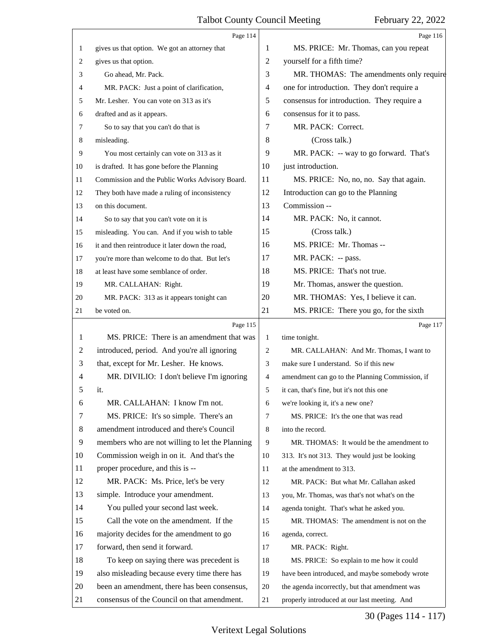<span id="page-29-0"></span>

|    | Page 114                                        |                | Page 116                                        |
|----|-------------------------------------------------|----------------|-------------------------------------------------|
| 1  | gives us that option. We got an attorney that   | 1              | MS. PRICE: Mr. Thomas, can you repeat           |
| 2  | gives us that option.                           | $\overline{2}$ | yourself for a fifth time?                      |
| 3  | Go ahead, Mr. Pack.                             | 3              | MR. THOMAS: The amendments only require         |
| 4  | MR. PACK: Just a point of clarification,        | 4              | one for introduction. They don't require a      |
| 5  | Mr. Lesher. You can vote on 313 as it's         | 5              | consensus for introduction. They require a      |
| 6  | drafted and as it appears.                      | 6              | consensus for it to pass.                       |
| 7  | So to say that you can't do that is             | 7              | MR. PACK: Correct.                              |
| 8  | misleading.                                     | 8              | (Cross talk.)                                   |
| 9  | You most certainly can vote on 313 as it        | 9              | MR. PACK: -- way to go forward. That's          |
| 10 | is drafted. It has gone before the Planning     | 10             | just introduction.                              |
| 11 | Commission and the Public Works Advisory Board. | 11             | MS. PRICE: No, no, no. Say that again.          |
| 12 | They both have made a ruling of inconsistency   | 12             | Introduction can go to the Planning             |
| 13 | on this document.                               | 13             | Commission --                                   |
| 14 | So to say that you can't vote on it is          | 14             | MR. PACK: No, it cannot.                        |
| 15 | misleading. You can. And if you wish to table   | 15             | (Cross talk.)                                   |
| 16 | it and then reintroduce it later down the road, | 16             | MS. PRICE: Mr. Thomas --                        |
| 17 | you're more than welcome to do that. But let's  | 17             | MR. PACK: -- pass.                              |
| 18 | at least have some semblance of order.          | 18             | MS. PRICE: That's not true.                     |
| 19 | MR. CALLAHAN: Right.                            | 19             | Mr. Thomas, answer the question.                |
| 20 | MR. PACK: 313 as it appears tonight can         | 20             | MR. THOMAS: Yes, I believe it can.              |
| 21 | be voted on.                                    | 21             | MS. PRICE: There you go, for the sixth          |
|    |                                                 |                |                                                 |
|    | Page 115                                        |                | Page 117                                        |
| 1  | MS. PRICE: There is an amendment that was       | $\mathbf{1}$   | time tonight.                                   |
| 2  | introduced, period. And you're all ignoring     | 2              | MR. CALLAHAN: And Mr. Thomas, I want to         |
| 3  | that, except for Mr. Lesher. He knows.          | 3              | make sure I understand. So if this new          |
| 4  | MR. DIVILIO: I don't believe I'm ignoring       | 4              | amendment can go to the Planning Commission, if |
| 5  | it.                                             | 5              | it can, that's fine, but it's not this one      |
| 6  | MR. CALLAHAN: I know I'm not.                   | 6              | we're looking it, it's a new one?               |
| 7  | MS. PRICE: It's so simple. There's an           | $\tau$         | MS. PRICE: It's the one that was read           |
| 8  | amendment introduced and there's Council        | 8              | into the record.                                |
| 9  | members who are not willing to let the Planning | 9              | MR. THOMAS: It would be the amendment to        |
| 10 | Commission weigh in on it. And that's the       | 10             | 313. It's not 313. They would just be looking   |
| 11 | proper procedure, and this is --                | 11             | at the amendment to 313.                        |
| 12 | MR. PACK: Ms. Price, let's be very              | 12             | MR. PACK: But what Mr. Callahan asked           |
| 13 | simple. Introduce your amendment.               | 13             | you, Mr. Thomas, was that's not what's on the   |
| 14 | You pulled your second last week.               | 14             | agenda tonight. That's what he asked you.       |
| 15 | Call the vote on the amendment. If the          | 15             | MR. THOMAS: The amendment is not on the         |
| 16 | majority decides for the amendment to go        | 16             | agenda, correct.                                |
| 17 | forward, then send it forward.                  | 17             | MR. PACK: Right.                                |
| 18 | To keep on saying there was precedent is        | 18             | MS. PRICE: So explain to me how it could        |
| 19 | also misleading because every time there has    | 19             | have been introduced, and maybe somebody wrote  |
| 20 | been an amendment, there has been consensus,    | 20             | the agenda incorrectly, but that amendment was  |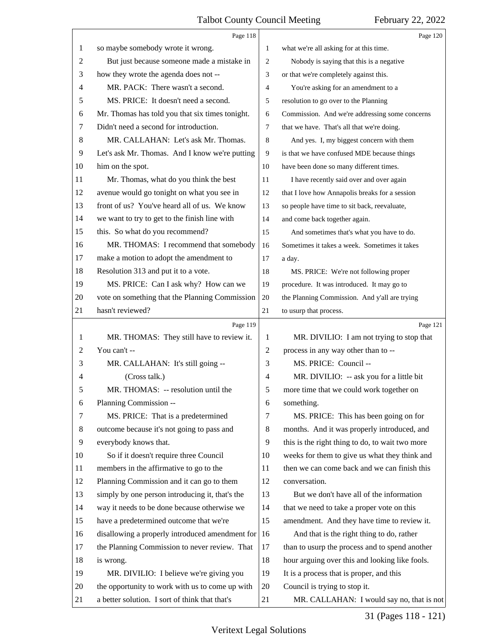<span id="page-30-0"></span>

|                | Page 118                                        |                | Page 120                                        |
|----------------|-------------------------------------------------|----------------|-------------------------------------------------|
| 1              | so maybe somebody wrote it wrong.               | 1              | what we're all asking for at this time.         |
| $\overline{c}$ | But just because someone made a mistake in      | $\overline{2}$ | Nobody is saying that this is a negative        |
| 3              | how they wrote the agenda does not --           | 3              | or that we're completely against this.          |
| 4              | MR. PACK: There wasn't a second.                | $\overline{4}$ | You're asking for an amendment to a             |
| 5              | MS. PRICE: It doesn't need a second.            | 5              | resolution to go over to the Planning           |
| 6              | Mr. Thomas has told you that six times tonight. | 6              | Commission. And we're addressing some concerns  |
| 7              | Didn't need a second for introduction.          | $\overline{7}$ | that we have. That's all that we're doing.      |
| 8              | MR. CALLAHAN: Let's ask Mr. Thomas.             | 8              | And yes. I, my biggest concern with them        |
| 9              | Let's ask Mr. Thomas. And I know we're putting  | 9              | is that we have confused MDE because things     |
| 10             | him on the spot.                                | 10             | have been done so many different times.         |
| 11             | Mr. Thomas, what do you think the best          | 11             | I have recently said over and over again        |
| 12             | avenue would go tonight on what you see in      | 12             | that I love how Annapolis breaks for a session  |
| 13             | front of us? You've heard all of us. We know    | 13             | so people have time to sit back, reevaluate,    |
| 14             | we want to try to get to the finish line with   | 14             | and come back together again.                   |
| 15             | this. So what do you recommend?                 | 15             | And sometimes that's what you have to do.       |
| 16             | MR. THOMAS: I recommend that somebody           | 16             | Sometimes it takes a week. Sometimes it takes   |
| 17             | make a motion to adopt the amendment to         | 17             | a day.                                          |
| 18             | Resolution 313 and put it to a vote.            | 18             | MS. PRICE: We're not following proper           |
| 19             | MS. PRICE: Can I ask why? How can we            | 19             | procedure. It was introduced. It may go to      |
| 20             | vote on something that the Planning Commission  | 20             | the Planning Commission. And y'all are trying   |
| 21             | hasn't reviewed?                                | 21             | to usurp that process.                          |
|                |                                                 |                |                                                 |
|                | Page 119                                        |                | Page 121                                        |
| 1              | MR. THOMAS: They still have to review it.       | 1              | MR. DIVILIO: I am not trying to stop that       |
| 2              | You can't --                                    | $\overline{2}$ | process in any way other than to --             |
| 3              | MR. CALLAHAN: It's still going --               | 3              | MS. PRICE: Council --                           |
| 4              | (Cross talk.)                                   | $\overline{4}$ | MR. DIVILIO: -- ask you for a little bit        |
| 5              | MR. THOMAS: -- resolution until the             | 5              | more time that we could work together on        |
| 6              | Planning Commission --                          | 6              | something.                                      |
| 7              | MS. PRICE: That is a predetermined              | 7              | MS. PRICE: This has been going on for           |
| 8              | outcome because it's not going to pass and      | 8              | months. And it was properly introduced, and     |
| 9              | everybody knows that.                           | 9              | this is the right thing to do, to wait two more |
| $10\,$         | So if it doesn't require three Council          | 10             | weeks for them to give us what they think and   |
| 11             | members in the affirmative to go to the         | 11             | then we can come back and we can finish this    |
| 12             | Planning Commission and it can go to them       | 12             | conversation.                                   |
| 13             | simply by one person introducing it, that's the | 13             | But we don't have all of the information        |
| 14             | way it needs to be done because otherwise we    | 14             | that we need to take a proper vote on this      |
| 15             | have a predetermined outcome that we're         | 15             | amendment. And they have time to review it.     |
| 16             | disallowing a properly introduced amendment for | 16             | And that is the right thing to do, rather       |
| 17             | the Planning Commission to never review. That   | 17             | than to usurp the process and to spend another  |
| 18             | is wrong.                                       | 18             | hour arguing over this and looking like fools.  |
| 19             | MR. DIVILIO: I believe we're giving you         | 19             | It is a process that is proper, and this        |
| 20             | the opportunity to work with us to come up with | 20             | Council is trying to stop it.                   |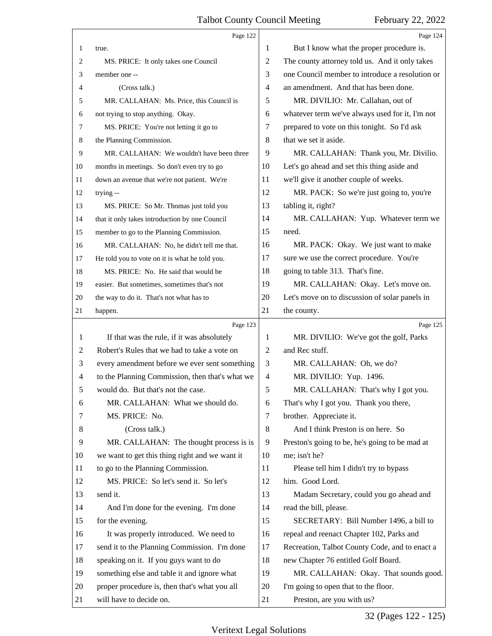<span id="page-31-0"></span>

|    | Page 122                                        |                | Page 124                                        |
|----|-------------------------------------------------|----------------|-------------------------------------------------|
| 1  | true.                                           | 1              | But I know what the proper procedure is.        |
| 2  | MS. PRICE: It only takes one Council            | 2              | The county attorney told us. And it only takes  |
| 3  | member one --                                   | 3              | one Council member to introduce a resolution or |
| 4  | (Cross talk.)                                   | $\overline{4}$ | an amendment. And that has been done.           |
| 5  | MR. CALLAHAN: Ms. Price, this Council is        | 5              | MR. DIVILIO: Mr. Callahan, out of               |
| 6  | not trying to stop anything. Okay.              | 6              | whatever term we've always used for it, I'm not |
| 7  | MS. PRICE: You're not letting it go to          | 7              | prepared to vote on this tonight. So I'd ask    |
| 8  | the Planning Commission.                        | 8              | that we set it aside.                           |
| 9  | MR. CALLAHAN: We wouldn't have been three       | 9              | MR. CALLAHAN: Thank you, Mr. Divilio.           |
| 10 | months in meetings. So don't even try to go     | 10             | Let's go ahead and set this thing aside and     |
| 11 | down an avenue that we're not patient. We're    | 11             | we'll give it another couple of weeks.          |
| 12 | trying --                                       | 12             | MR. PACK: So we're just going to, you're        |
| 13 | MS. PRICE: So Mr. Thomas just told you          | 13             | tabling it, right?                              |
| 14 | that it only takes introduction by one Council  | 14             | MR. CALLAHAN: Yup. Whatever term we             |
| 15 | member to go to the Planning Commission.        | 15             | need.                                           |
| 16 | MR. CALLAHAN: No, he didn't tell me that.       | 16             | MR. PACK: Okay. We just want to make            |
| 17 | He told you to vote on it is what he told you.  | 17             | sure we use the correct procedure. You're       |
| 18 | MS. PRICE: No. He said that would be            | 18             | going to table 313. That's fine.                |
| 19 | easier. But sometimes, sometimes that's not     | 19             | MR. CALLAHAN: Okay. Let's move on.              |
| 20 | the way to do it. That's not what has to        | 20             | Let's move on to discussion of solar panels in  |
| 21 | happen.                                         | 21             | the county.                                     |
|    |                                                 |                |                                                 |
|    | Page 123                                        |                | Page 125                                        |
| 1  | If that was the rule, if it was absolutely      | 1              | MR. DIVILIO: We've got the golf, Parks          |
| 2  | Robert's Rules that we had to take a vote on    | $\overline{2}$ | and Rec stuff.                                  |
| 3  | every amendment before we ever sent something   | 3              | MR. CALLAHAN: Oh, we do?                        |
| 4  | to the Planning Commission, then that's what we | $\overline{4}$ | MR. DIVILIO: Yup. 1496.                         |
| 5  | would do. But that's not the case.              | 5              | MR. CALLAHAN: That's why I got you.             |
| 6  | MR. CALLAHAN: What we should do.                | 6              | That's why I got you. Thank you there,          |
| 7  | MS. PRICE: No.                                  | 7              | brother. Appreciate it.                         |
| 8  | (Cross talk.)                                   | 8              | And I think Preston is on here. So              |
| 9  | MR. CALLAHAN: The thought process is is         | 9              | Preston's going to be, he's going to be mad at  |
| 10 | we want to get this thing right and we want it  | 10             | me; isn't he?                                   |
| 11 | to go to the Planning Commission.               | 11             | Please tell him I didn't try to bypass          |
| 12 | MS. PRICE: So let's send it. So let's           | 12             | him. Good Lord.                                 |
| 13 | send it.                                        | 13             | Madam Secretary, could you go ahead and         |
| 14 | And I'm done for the evening. I'm done          | 14             | read the bill, please.                          |
| 15 | for the evening.                                | 15             | SECRETARY: Bill Number 1496, a bill to          |
| 16 | It was properly introduced. We need to          | 16             | repeal and reenact Chapter 102, Parks and       |
| 17 | send it to the Planning Commission. I'm done    | 17             | Recreation, Talbot County Code, and to enact a  |
| 18 | speaking on it. If you guys want to do          | 18             | new Chapter 76 entitled Golf Board.             |
| 19 | something else and table it and ignore what     | 19             | MR. CALLAHAN: Okay. That sounds good.           |
| 20 | proper procedure is, then that's what you all   | 20             | I'm going to open that to the floor.            |

32 (Pages 122 - 125)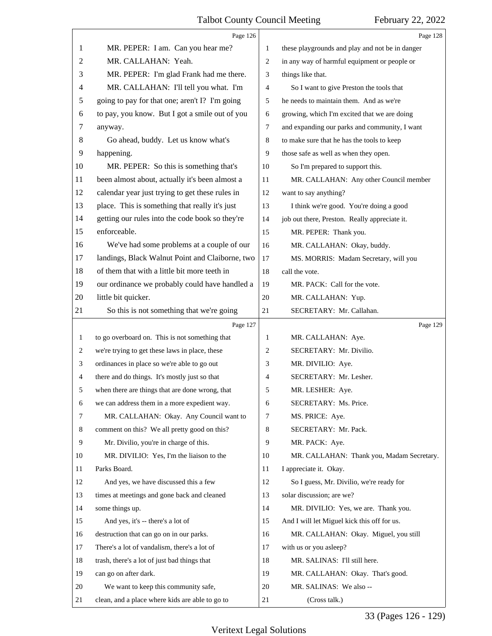<span id="page-32-0"></span>

|              | Page 126                                        |    | Page 128                                        |
|--------------|-------------------------------------------------|----|-------------------------------------------------|
| 1            | MR. PEPER: I am. Can you hear me?               | 1  | these playgrounds and play and not be in danger |
| 2            | MR. CALLAHAN: Yeah.                             | 2  | in any way of harmful equipment or people or    |
| 3            | MR. PEPER: I'm glad Frank had me there.         | 3  | things like that.                               |
| 4            | MR. CALLAHAN: I'll tell you what. I'm           | 4  | So I want to give Preston the tools that        |
| 5            | going to pay for that one; aren't I? I'm going  | 5  | he needs to maintain them. And as we're         |
| 6            | to pay, you know. But I got a smile out of you  | 6  | growing, which I'm excited that we are doing    |
| 7            | anyway.                                         | 7  | and expanding our parks and community, I want   |
| 8            | Go ahead, buddy. Let us know what's             | 8  | to make sure that he has the tools to keep      |
| 9            | happening.                                      | 9  | those safe as well as when they open.           |
| 10           | MR. PEPER: So this is something that's          | 10 | So I'm prepared to support this.                |
| 11           | been almost about, actually it's been almost a  | 11 | MR. CALLAHAN: Any other Council member          |
| 12           | calendar year just trying to get these rules in | 12 | want to say anything?                           |
| 13           | place. This is something that really it's just  | 13 | I think we're good. You're doing a good         |
| 14           | getting our rules into the code book so they're | 14 | job out there, Preston. Really appreciate it.   |
| 15           | enforceable.                                    | 15 | MR. PEPER: Thank you.                           |
| 16           | We've had some problems at a couple of our      | 16 | MR. CALLAHAN: Okay, buddy.                      |
| 17           | landings, Black Walnut Point and Claiborne, two | 17 | MS. MORRIS: Madam Secretary, will you           |
| 18           | of them that with a little bit more teeth in    | 18 | call the vote.                                  |
| 19           | our ordinance we probably could have handled a  | 19 | MR. PACK: Call for the vote.                    |
| 20           | little bit quicker.                             | 20 | MR. CALLAHAN: Yup.                              |
| 21           | So this is not something that we're going       | 21 | SECRETARY: Mr. Callahan.                        |
|              | Page 127                                        |    | Page 129                                        |
| $\mathbf{1}$ | to go overboard on. This is not something that  | 1  | MR. CALLAHAN: Aye.                              |
| 2            | we're trying to get these laws in place, these  | 2  | SECRETARY: Mr. Divilio.                         |
| 3            | ordinances in place so we're able to go out     | 3  | MR. DIVILIO: Aye.                               |
| 4            | there and do things. It's mostly just so that   | 4  | SECRETARY: Mr. Lesher.                          |
| 5            | when there are things that are done wrong, that | 5  | MR. LESHER: Aye.                                |
| 6            | we can address them in a more expedient way.    | 6  | SECRETARY: Ms. Price.                           |
| 7            | MR. CALLAHAN: Okay. Any Council want to         | 7  | MS. PRICE: Aye.                                 |
| 8            | comment on this? We all pretty good on this?    | 8  | SECRETARY: Mr. Pack.                            |
| 9            | Mr. Divilio, you're in charge of this.          | 9  | MR. PACK: Aye.                                  |
| 10           | MR. DIVILIO: Yes, I'm the liaison to the        | 10 | MR. CALLAHAN: Thank you, Madam Secretary.       |
| 11           | Parks Board.                                    | 11 | I appreciate it. Okay.                          |
| 12           | And yes, we have discussed this a few           | 12 | So I guess, Mr. Divilio, we're ready for        |
| 13           | times at meetings and gone back and cleaned     | 13 | solar discussion; are we?                       |
| 14           | some things up.                                 | 14 | MR. DIVILIO: Yes, we are. Thank you.            |
| 15           | And yes, it's -- there's a lot of               | 15 | And I will let Miguel kick this off for us.     |
| 16           | destruction that can go on in our parks.        | 16 | MR. CALLAHAN: Okay. Miguel, you still           |
| 17           | There's a lot of vandalism, there's a lot of    | 17 | with us or you asleep?                          |
|              |                                                 |    |                                                 |
| 18           | trash, there's a lot of just bad things that    | 18 | MR. SALINAS: I'll still here.                   |
| 19           | can go on after dark.                           | 19 | MR. CALLAHAN: Okay. That's good.                |
| 20           | We want to keep this community safe,            | 20 | MR. SALINAS: We also --                         |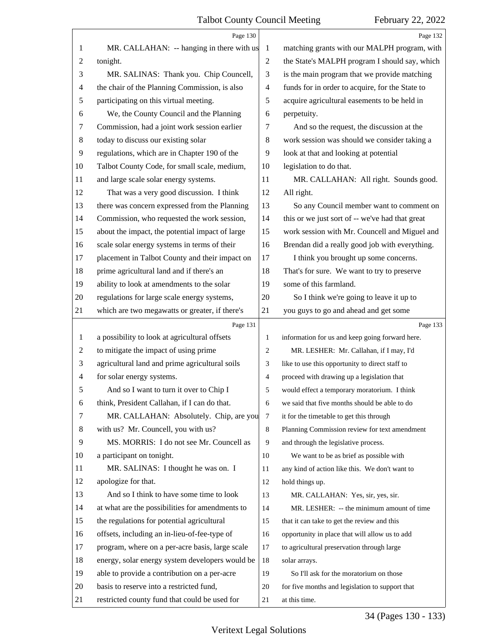<span id="page-33-0"></span>

|              | Page 130                                        |                | Page 132                                        |
|--------------|-------------------------------------------------|----------------|-------------------------------------------------|
| 1            | MR. CALLAHAN: -- hanging in there with us       | 1              | matching grants with our MALPH program, with    |
| 2            | tonight.                                        | $\mathbf{2}$   | the State's MALPH program I should say, which   |
| 3            | MR. SALINAS: Thank you. Chip Councell,          | 3              | is the main program that we provide matching    |
| 4            | the chair of the Planning Commission, is also   | 4              | funds for in order to acquire, for the State to |
| 5            | participating on this virtual meeting.          | 5              | acquire agricultural easements to be held in    |
| 6            | We, the County Council and the Planning         | 6              | perpetuity.                                     |
| 7            | Commission, had a joint work session earlier    | 7              | And so the request, the discussion at the       |
| 8            | today to discuss our existing solar             | 8              | work session was should we consider taking a    |
| 9            | regulations, which are in Chapter 190 of the    | 9              | look at that and looking at potential           |
| 10           | Talbot County Code, for small scale, medium,    | 10             | legislation to do that.                         |
| 11           | and large scale solar energy systems.           | 11             | MR. CALLAHAN: All right. Sounds good.           |
| 12           | That was a very good discussion. I think        | 12             | All right.                                      |
| 13           | there was concern expressed from the Planning   | 13             | So any Council member want to comment on        |
| 14           | Commission, who requested the work session,     | 14             | this or we just sort of -- we've had that great |
| 15           | about the impact, the potential impact of large | 15             | work session with Mr. Councell and Miguel and   |
| 16           | scale solar energy systems in terms of their    | 16             | Brendan did a really good job with everything.  |
| 17           | placement in Talbot County and their impact on  | 17             | I think you brought up some concerns.           |
| 18           | prime agricultural land and if there's an       | 18             | That's for sure. We want to try to preserve     |
| 19           | ability to look at amendments to the solar      | 19             | some of this farmland.                          |
| 20           | regulations for large scale energy systems,     | 20             | So I think we're going to leave it up to        |
| 21           | which are two megawatts or greater, if there's  | 21             | you guys to go and ahead and get some           |
|              |                                                 |                |                                                 |
|              | Page 131                                        |                | Page 133                                        |
| $\mathbf{1}$ | a possibility to look at agricultural offsets   | 1              | information for us and keep going forward here. |
| 2            | to mitigate the impact of using prime           | 2              | MR. LESHER: Mr. Callahan, if I may, I'd         |
| 3            | agricultural land and prime agricultural soils  | 3              | like to use this opportunity to direct staff to |
| 4            | for solar energy systems.                       | $\overline{4}$ | proceed with drawing up a legislation that      |
| C            | And so I want to turn it over to Chip I         | 5              | would effect a temporary moratorium. I think    |
| 6            | think, President Callahan, if I can do that.    | 6              | we said that five months should be able to do   |
| 7            | MR. CALLAHAN: Absolutely. Chip, are you         | $\tau$         | it for the timetable to get this through        |
| 8            | with us? Mr. Councell, you with us?             | 8              | Planning Commission review for text amendment   |
| 9            | MS. MORRIS: I do not see Mr. Councell as        | 9              | and through the legislative process.            |
| 10           | a participant on tonight.                       | 10             | We want to be as brief as possible with         |
| 11           | MR. SALINAS: I thought he was on. I             | 11             | any kind of action like this. We don't want to  |
| 12           | apologize for that.                             | 12             | hold things up.                                 |
| 13           | And so I think to have some time to look        | 13             | MR. CALLAHAN: Yes, sir, yes, sir.               |
| 14           | at what are the possibilities for amendments to | 14             | MR. LESHER: -- the minimum amount of time       |
| 15           | the regulations for potential agricultural      | 15             | that it can take to get the review and this     |
| 16           | offsets, including an in-lieu-of-fee-type of    | 16             | opportunity in place that will allow us to add  |
| 17           | program, where on a per-acre basis, large scale | 17             | to agricultural preservation through large      |
| 18           | energy, solar energy system developers would be | 18             | solar arrays.                                   |
| 19           | able to provide a contribution on a per-acre    | 19             | So I'll ask for the moratorium on those         |
| 20           | basis to reserve into a restricted fund,        | 20             | for five months and legislation to support that |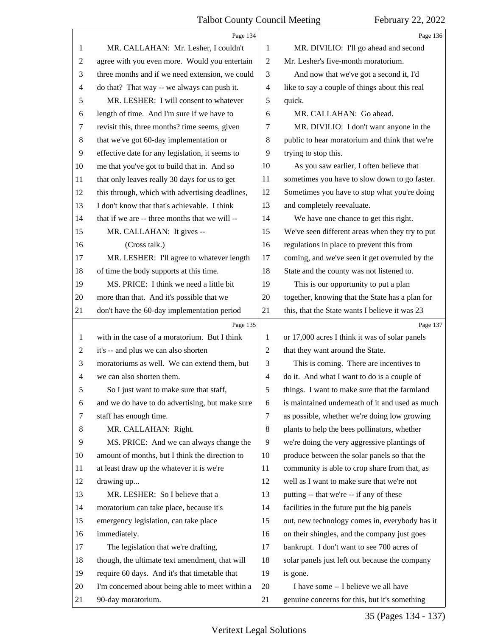<span id="page-34-0"></span>

|                | Page 134                                        |                          | Page 136                                        |
|----------------|-------------------------------------------------|--------------------------|-------------------------------------------------|
| 1              | MR. CALLAHAN: Mr. Lesher, I couldn't            | 1                        | MR. DIVILIO: I'll go ahead and second           |
| $\overline{c}$ | agree with you even more. Would you entertain   | $\mathbf{2}$             | Mr. Lesher's five-month moratorium.             |
| 3              | three months and if we need extension, we could | 3                        | And now that we've got a second it, I'd         |
| 4              | do that? That way -- we always can push it.     | $\overline{\mathcal{A}}$ | like to say a couple of things about this real  |
| 5              | MR. LESHER: I will consent to whatever          | 5                        | quick.                                          |
| 6              | length of time. And I'm sure if we have to      | 6                        | MR. CALLAHAN: Go ahead.                         |
| 7              | revisit this, three months? time seems, given   | 7                        | MR. DIVILIO: I don't want anyone in the         |
| 8              | that we've got 60-day implementation or         | 8                        | public to hear moratorium and think that we're  |
| 9              | effective date for any legislation, it seems to | 9                        | trying to stop this.                            |
| 10             | me that you've got to build that in. And so     | 10                       | As you saw earlier, I often believe that        |
| 11             | that only leaves really 30 days for us to get   | 11                       | sometimes you have to slow down to go faster.   |
| 12             | this through, which with advertising deadlines, | 12                       | Sometimes you have to stop what you're doing    |
| 13             | I don't know that that's achievable. I think    | 13                       | and completely reevaluate.                      |
| 14             | that if we are -- three months that we will --  | 14                       | We have one chance to get this right.           |
| 15             | MR. CALLAHAN: It gives --                       | 15                       | We've seen different areas when they try to put |
| 16             | (Cross talk.)                                   | 16                       | regulations in place to prevent this from       |
| 17             | MR. LESHER: I'll agree to whatever length       | 17                       | coming, and we've seen it get overruled by the  |
| 18             | of time the body supports at this time.         | 18                       | State and the county was not listened to.       |
| 19             | MS. PRICE: I think we need a little bit         | 19                       | This is our opportunity to put a plan           |
| 20             | more than that. And it's possible that we       | 20                       | together, knowing that the State has a plan for |
| 21             | don't have the 60-day implementation period     | 21                       | this, that the State wants I believe it was 23  |
|                | Page 135                                        |                          | Page 137                                        |
|                |                                                 |                          |                                                 |
| 1              | with in the case of a moratorium. But I think   | 1                        | or 17,000 acres I think it was of solar panels  |
| 2              | it's -- and plus we can also shorten            | $\overline{2}$           | that they want around the State.                |
| 3              | moratoriums as well. We can extend them, but    | 3                        | This is coming. There are incentives to         |
| $\overline{4}$ | we can also shorten them.                       | $\overline{\mathcal{A}}$ | do it. And what I want to do is a couple of     |
| 5              | So I just want to make sure that staff,         | 5                        | things. I want to make sure that the farmland   |
| 6              | and we do have to do advertising, but make sure | 6                        | is maintained underneath of it and used as much |
| 7              | staff has enough time.                          | 7                        | as possible, whether we're doing low growing    |
| 8              | MR. CALLAHAN: Right.                            | 8                        | plants to help the bees pollinators, whether    |
| 9              | MS. PRICE: And we can always change the         | 9                        | we're doing the very aggressive plantings of    |
| 10             | amount of months, but I think the direction to  | 10                       | produce between the solar panels so that the    |
| 11             | at least draw up the whatever it is we're       | 11                       | community is able to crop share from that, as   |
| 12             | drawing up                                      | 12                       | well as I want to make sure that we're not      |
| 13             | MR. LESHER: So I believe that a                 | 13                       | putting -- that we're -- if any of these        |
| 14             | moratorium can take place, because it's         | 14                       | facilities in the future put the big panels     |
| 15             | emergency legislation, can take place           | 15                       | out, new technology comes in, everybody has it  |
| 16             | immediately.                                    | 16                       | on their shingles, and the company just goes    |
| 17             | The legislation that we're drafting,            | 17                       | bankrupt. I don't want to see 700 acres of      |
| 18             | though, the ultimate text amendment, that will  | 18                       | solar panels just left out because the company  |
| 19             | require 60 days. And it's that timetable that   | 19                       | is gone.                                        |
| 20             | I'm concerned about being able to meet within a | 20                       | I have some -- I believe we all have            |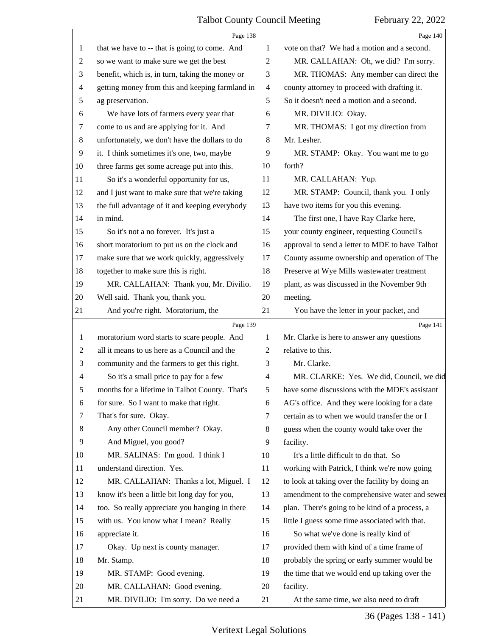<span id="page-35-0"></span>

|                | Page 138                                        |                | Page 140                                        |
|----------------|-------------------------------------------------|----------------|-------------------------------------------------|
| 1              | that we have to -- that is going to come. And   | 1              | vote on that? We had a motion and a second.     |
| 2              | so we want to make sure we get the best         | $\overline{2}$ | MR. CALLAHAN: Oh, we did? I'm sorry.            |
| 3              | benefit, which is, in turn, taking the money or | 3              | MR. THOMAS: Any member can direct the           |
| 4              | getting money from this and keeping farmland in | $\overline{4}$ | county attorney to proceed with drafting it.    |
| 5              | ag preservation.                                | 5              | So it doesn't need a motion and a second.       |
| 6              | We have lots of farmers every year that         | 6              | MR. DIVILIO: Okay.                              |
| 7              | come to us and are applying for it. And         | 7              | MR. THOMAS: I got my direction from             |
| $\,8\,$        | unfortunately, we don't have the dollars to do  | 8              | Mr. Lesher.                                     |
| 9              | it. I think sometimes it's one, two, maybe      | 9              | MR. STAMP: Okay. You want me to go              |
| 10             | three farms get some acreage put into this.     | 10             | forth?                                          |
| 11             | So it's a wonderful opportunity for us,         | 11             | MR. CALLAHAN: Yup.                              |
| 12             | and I just want to make sure that we're taking  | 12             | MR. STAMP: Council, thank you. I only           |
| 13             | the full advantage of it and keeping everybody  | 13             | have two items for you this evening.            |
| 14             | in mind.                                        | 14             | The first one, I have Ray Clarke here,          |
| 15             | So it's not a no forever. It's just a           | 15             | your county engineer, requesting Council's      |
| 16             | short moratorium to put us on the clock and     | 16             | approval to send a letter to MDE to have Talbot |
| 17             | make sure that we work quickly, aggressively    | 17             | County assume ownership and operation of The    |
| 18             | together to make sure this is right.            | 18             | Preserve at Wye Mills wastewater treatment      |
| 19             | MR. CALLAHAN: Thank you, Mr. Divilio.           | 19             | plant, as was discussed in the November 9th     |
| 20             | Well said. Thank you, thank you.                | 20             | meeting.                                        |
| 21             | And you're right. Moratorium, the               | 21             | You have the letter in your packet, and         |
|                |                                                 |                |                                                 |
|                | Page 139                                        |                | Page 141                                        |
| 1              | moratorium word starts to scare people. And     | 1              | Mr. Clarke is here to answer any questions      |
| $\overline{2}$ | all it means to us here as a Council and the    | 2              | relative to this.                               |
| 3              | community and the farmers to get this right.    | 3              | Mr. Clarke.                                     |
| $\overline{4}$ | So it's a small price to pay for a few          | $\overline{4}$ | MR. CLARKE: Yes. We did, Council, we did        |
| 5              | months for a lifetime in Talbot County. That's  | 5              | have some discussions with the MDE's assistant  |
| 6              | for sure. So I want to make that right.         | 6              | AG's office. And they were looking for a date   |
| 7              | That's for sure. Okay.                          | 7              | certain as to when we would transfer the or I   |
| 8              | Any other Council member? Okay.                 | 8              | guess when the county would take over the       |
| 9              | And Miguel, you good?                           | 9              | facility.                                       |
| 10             | MR. SALINAS: I'm good. I think I                | 10             | It's a little difficult to do that. So          |
| 11             | understand direction. Yes.                      | 11             | working with Patrick, I think we're now going   |
| 12             | MR. CALLAHAN: Thanks a lot, Miguel. I           | 12             | to look at taking over the facility by doing an |
| 13             | know it's been a little bit long day for you,   | 13             | amendment to the comprehensive water and sewer  |
| 14             | too. So really appreciate you hanging in there  | 14             | plan. There's going to be kind of a process, a  |
| 15             | with us. You know what I mean? Really           | 15             | little I guess some time associated with that.  |
| 16             | appreciate it.                                  | 16             | So what we've done is really kind of            |
| 17             | Okay. Up next is county manager.                | 17             | provided them with kind of a time frame of      |
| 18             | Mr. Stamp.                                      | 18             | probably the spring or early summer would be    |
| 19             | MR. STAMP: Good evening.                        | 19             | the time that we would end up taking over the   |
| 20             | MR. CALLAHAN: Good evening.                     | 20             | facility.                                       |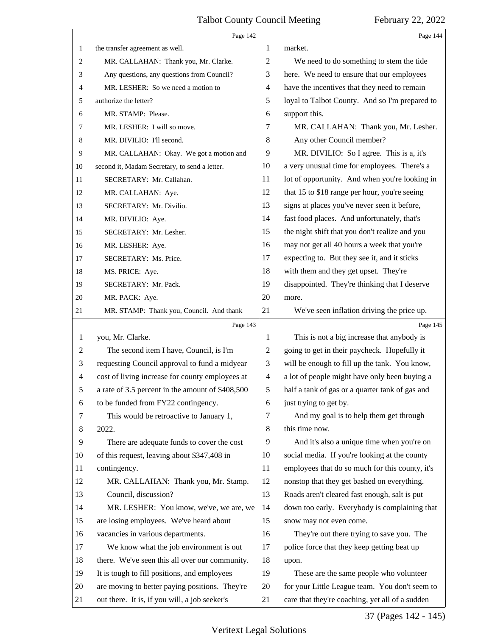<span id="page-36-0"></span>

|                | Page 142                                         |                          | Page 144                                        |
|----------------|--------------------------------------------------|--------------------------|-------------------------------------------------|
| 1              | the transfer agreement as well.                  | 1                        | market.                                         |
| 2              | MR. CALLAHAN: Thank you, Mr. Clarke.             | $\overline{c}$           | We need to do something to stem the tide        |
| 3              | Any questions, any questions from Council?       | 3                        | here. We need to ensure that our employees      |
| 4              | MR. LESHER: So we need a motion to               | $\overline{\mathcal{A}}$ | have the incentives that they need to remain    |
| 5              | authorize the letter?                            | 5                        | loyal to Talbot County. And so I'm prepared to  |
| 6              | MR. STAMP: Please.                               | 6                        | support this.                                   |
| 7              | MR. LESHER: I will so move.                      | 7                        | MR. CALLAHAN: Thank you, Mr. Lesher.            |
| 8              | MR. DIVILIO: I'll second.                        | $\,8\,$                  | Any other Council member?                       |
| 9              | MR. CALLAHAN: Okay. We got a motion and          | 9                        | MR. DIVILIO: So I agree. This is a, it's        |
| 10             | second it, Madam Secretary, to send a letter.    | 10                       | a very unusual time for employees. There's a    |
| 11             | SECRETARY: Mr. Callahan.                         | 11                       | lot of opportunity. And when you're looking in  |
| 12             | MR. CALLAHAN: Aye.                               | 12                       | that 15 to \$18 range per hour, you're seeing   |
| 13             | SECRETARY: Mr. Divilio.                          | 13                       | signs at places you've never seen it before,    |
| 14             | MR. DIVILIO: Aye.                                | 14                       | fast food places. And unfortunately, that's     |
| 15             | SECRETARY: Mr. Lesher.                           | 15                       | the night shift that you don't realize and you  |
| 16             | MR. LESHER: Aye.                                 | 16                       | may not get all 40 hours a week that you're     |
| 17             | SECRETARY: Ms. Price.                            | 17                       | expecting to. But they see it, and it sticks    |
| 18             | MS. PRICE: Aye.                                  | 18                       | with them and they get upset. They're           |
| 19             | SECRETARY: Mr. Pack.                             | 19                       | disappointed. They're thinking that I deserve   |
| 20             | MR. PACK: Aye.                                   | 20                       | more.                                           |
| 21             | MR. STAMP: Thank you, Council. And thank         | 21                       | We've seen inflation driving the price up.      |
|                | Page 143                                         |                          | Page 145                                        |
| $\mathbf{1}$   | you, Mr. Clarke.                                 | 1                        | This is not a big increase that anybody is      |
| $\overline{c}$ | The second item I have, Council, is I'm          | $\overline{c}$           | going to get in their paycheck. Hopefully it    |
| 3              | requesting Council approval to fund a midyear    | 3                        | will be enough to fill up the tank. You know,   |
| $\overline{4}$ | cost of living increase for county employees at  | $\overline{4}$           | a lot of people might have only been buying a   |
| 5              | a rate of 3.5 percent in the amount of \$408,500 | $\mathfrak s$            | half a tank of gas or a quarter tank of gas and |
| 6              | to be funded from FY22 contingency.              | 6                        | just trying to get by.                          |
| 7              | This would be retroactive to January 1,          | 7                        | And my goal is to help them get through         |
| 8              | 2022.                                            | 8                        | this time now.                                  |
| 9              | There are adequate funds to cover the cost       | 9                        | And it's also a unique time when you're on      |
| 10             | of this request, leaving about \$347,408 in      | 10                       | social media. If you're looking at the county   |
| 11             | contingency.                                     | 11                       | employees that do so much for this county, it's |
| 12             | MR. CALLAHAN: Thank you, Mr. Stamp.              | 12                       | nonstop that they get bashed on everything.     |
| 13             | Council, discussion?                             | 13                       | Roads aren't cleared fast enough, salt is put   |
| 14             | MR. LESHER: You know, we've, we are, we          | 14                       | down too early. Everybody is complaining that   |
| 15             | are losing employees. We've heard about          | 15                       | snow may not even come.                         |
|                | vacancies in various departments.                | 16                       | They're out there trying to save you. The       |
| 16             |                                                  |                          |                                                 |
| 17             | We know what the job environment is out          | 17                       | police force that they keep getting beat up     |
| 18             | there. We've seen this all over our community.   | 18                       | upon.                                           |
| 19             | It is tough to fill positions, and employees     | 19                       | These are the same people who volunteer         |
| 20             | are moving to better paying positions. They're   | 20                       | for your Little League team. You don't seem to  |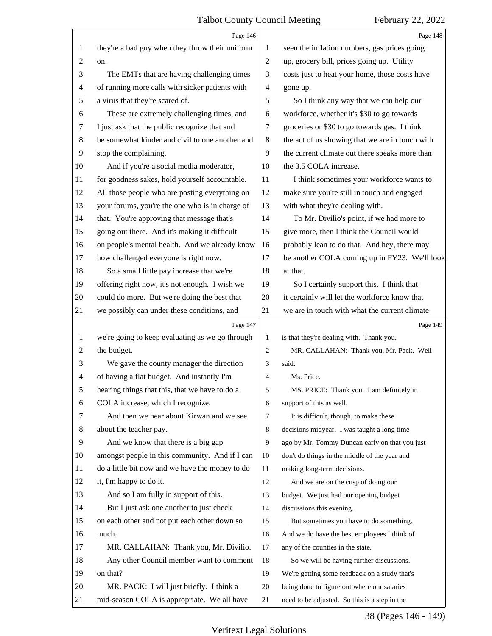<span id="page-37-0"></span>

|    | Page 146                                        |                | Page 148                                        |
|----|-------------------------------------------------|----------------|-------------------------------------------------|
| 1  | they're a bad guy when they throw their uniform | 1              | seen the inflation numbers, gas prices going    |
| 2  | on.                                             | $\sqrt{2}$     | up, grocery bill, prices going up. Utility      |
| 3  | The EMTs that are having challenging times      | 3              | costs just to heat your home, those costs have  |
| 4  | of running more calls with sicker patients with | 4              | gone up.                                        |
| 5  | a virus that they're scared of.                 | 5              | So I think any way that we can help our         |
| 6  | These are extremely challenging times, and      | 6              | workforce, whether it's \$30 to go towards      |
| 7  | I just ask that the public recognize that and   | 7              | groceries or \$30 to go towards gas. I think    |
| 8  | be somewhat kinder and civil to one another and | $\,8\,$        | the act of us showing that we are in touch with |
| 9  | stop the complaining.                           | 9              | the current climate out there speaks more than  |
| 10 | And if you're a social media moderator,         | 10             | the 3.5 COLA increase.                          |
| 11 | for goodness sakes, hold yourself accountable.  | 11             | I think sometimes your workforce wants to       |
| 12 | All those people who are posting everything on  | 12             | make sure you're still in touch and engaged     |
| 13 | your forums, you're the one who is in charge of | 13             | with what they're dealing with.                 |
| 14 | that. You're approving that message that's      | 14             | To Mr. Divilio's point, if we had more to       |
| 15 | going out there. And it's making it difficult   | 15             | give more, then I think the Council would       |
| 16 | on people's mental health. And we already know  | 16             | probably lean to do that. And hey, there may    |
| 17 | how challenged everyone is right now.           | 17             | be another COLA coming up in FY23. We'll look   |
| 18 | So a small little pay increase that we're       | 18             | at that.                                        |
| 19 | offering right now, it's not enough. I wish we  | 19             | So I certainly support this. I think that       |
| 20 | could do more. But we're doing the best that    | 20             | it certainly will let the workforce know that   |
| 21 | we possibly can under these conditions, and     | 21             | we are in touch with what the current climate   |
|    |                                                 |                |                                                 |
|    | Page 147                                        |                | Page 149                                        |
| 1  | we're going to keep evaluating as we go through | 1              | is that they're dealing with. Thank you.        |
| 2  | the budget.                                     | $\overline{2}$ | MR. CALLAHAN: Thank you, Mr. Pack. Well         |
| 3  | We gave the county manager the direction        | 3              | said.                                           |
| 4  | of having a flat budget. And instantly I'm      | 4              | Ms. Price.                                      |
|    | hearing things that this, that we have to do a  | 5              | MS. PRICE: Thank you. I am definitely in        |
| 6  | COLA increase, which I recognize.               | 6              | support of this as well.                        |
| 7  | And then we hear about Kirwan and we see        | 7              | It is difficult, though, to make these          |
| 8  | about the teacher pay.                          | 8              | decisions midyear. I was taught a long time     |
| 9  | And we know that there is a big gap             | 9              | ago by Mr. Tommy Duncan early on that you just  |
| 10 | amongst people in this community. And if I can  | 10             | don't do things in the middle of the year and   |
| 11 | do a little bit now and we have the money to do | 11             | making long-term decisions.                     |
| 12 | it, I'm happy to do it.                         | 12             | And we are on the cusp of doing our             |
| 13 | And so I am fully in support of this.           | 13             | budget. We just had our opening budget          |
| 14 | But I just ask one another to just check        | 14             | discussions this evening.                       |
| 15 | on each other and not put each other down so    | 15             | But sometimes you have to do something.         |
| 16 | much.                                           | 16             | And we do have the best employees I think of    |
| 17 | MR. CALLAHAN: Thank you, Mr. Divilio.           | 17             | any of the counties in the state.               |
| 18 | Any other Council member want to comment        | 18             | So we will be having further discussions.       |
| 19 | on that?                                        | 19             | We're getting some feedback on a study that's   |
| 20 | MR. PACK: I will just briefly. I think a        | 20             | being done to figure out where our salaries     |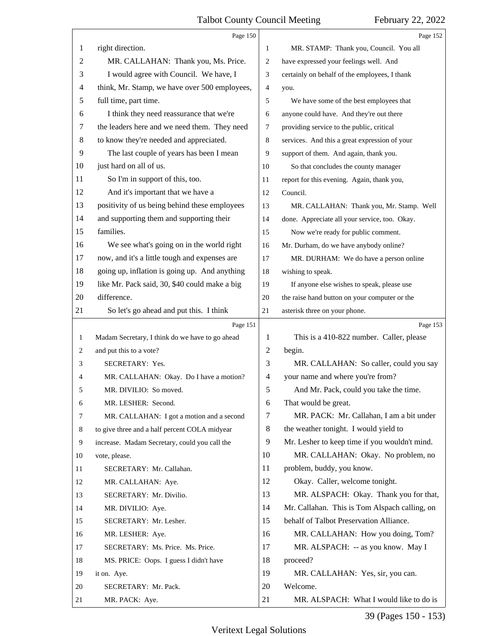<span id="page-38-0"></span>

|    | Page 150                                        |                | Page 152                                      |
|----|-------------------------------------------------|----------------|-----------------------------------------------|
| 1  | right direction.                                | 1              | MR. STAMP: Thank you, Council. You all        |
| 2  | MR. CALLAHAN: Thank you, Ms. Price.             | 2              | have expressed your feelings well. And        |
| 3  | I would agree with Council. We have, I          | 3              | certainly on behalf of the employees, I thank |
| 4  | think, Mr. Stamp, we have over 500 employees,   | 4              | you.                                          |
| 5  | full time, part time.                           | 5              | We have some of the best employees that       |
| 6  | I think they need reassurance that we're        | 6              | anyone could have. And they're out there      |
| 7  | the leaders here and we need them. They need    | 7              | providing service to the public, critical     |
| 8  | to know they're needed and appreciated.         | 8              | services. And this a great expression of your |
| 9  | The last couple of years has been I mean        | 9              | support of them. And again, thank you.        |
| 10 | just hard on all of us.                         | 10             | So that concludes the county manager          |
| 11 | So I'm in support of this, too.                 | 11             | report for this evening. Again, thank you,    |
| 12 | And it's important that we have a               | 12             | Council.                                      |
| 13 | positivity of us being behind these employees   | 13             | MR. CALLAHAN: Thank you, Mr. Stamp. Well      |
| 14 | and supporting them and supporting their        | 14             | done. Appreciate all your service, too. Okay. |
| 15 | families.                                       | 15             | Now we're ready for public comment.           |
| 16 | We see what's going on in the world right       | 16             | Mr. Durham, do we have anybody online?        |
| 17 | now, and it's a little tough and expenses are   | 17             | MR. DURHAM: We do have a person online        |
| 18 | going up, inflation is going up. And anything   | 18             | wishing to speak.                             |
| 19 | like Mr. Pack said, 30, \$40 could make a big   | 19             | If anyone else wishes to speak, please use    |
| 20 | difference.                                     | 20             | the raise hand button on your computer or the |
| 21 | So let's go ahead and put this. I think         | 21             | asterisk three on your phone.                 |
|    |                                                 |                |                                               |
|    | Page 151                                        |                | Page 153                                      |
| 1  | Madam Secretary, I think do we have to go ahead | 1              | This is a 410-822 number. Caller, please      |
| 2  | and put this to a vote?                         | $\overline{c}$ | begin.                                        |
| 3  | SECRETARY: Yes.                                 | 3              | MR. CALLAHAN: So caller, could you say        |
| 4  | MR. CALLAHAN: Okay. Do I have a motion?         | $\overline{4}$ | your name and where you're from?              |
| 5  | MR. DIVILIO: So moved.                          | 5              | And Mr. Pack, could you take the time.        |
| 6  | MR. LESHER: Second.                             | 6              | That would be great.                          |
| 7  | MR. CALLAHAN: I got a motion and a second       | 7              | MR. PACK: Mr. Callahan, I am a bit under      |
| 8  | to give three and a half percent COLA midyear   | 8              | the weather tonight. I would yield to         |
| 9  | increase. Madam Secretary, could you call the   | 9              | Mr. Lesher to keep time if you wouldn't mind. |
| 10 | vote, please.                                   | 10             | MR. CALLAHAN: Okay. No problem, no            |
| 11 | SECRETARY: Mr. Callahan.                        | 11             | problem, buddy, you know.                     |
| 12 | MR. CALLAHAN: Aye.                              | 12             | Okay. Caller, welcome tonight.                |
| 13 | SECRETARY: Mr. Divilio.                         | 13             | MR. ALSPACH: Okay. Thank you for that,        |
| 14 | MR. DIVILIO: Aye.                               | 14             | Mr. Callahan. This is Tom Alspach calling, on |
| 15 | SECRETARY: Mr. Lesher.                          | 15             | behalf of Talbot Preservation Alliance.       |
| 16 | MR. LESHER: Aye.                                | 16             | MR. CALLAHAN: How you doing, Tom?             |
| 17 | SECRETARY: Ms. Price. Ms. Price.                | 17             | MR. ALSPACH: -- as you know. May I            |
| 18 | MS. PRICE: Oops. I guess I didn't have          | 18             | proceed?                                      |
| 19 | it on. Aye.                                     | 19             | MR. CALLAHAN: Yes, sir, you can.              |
| 20 | SECRETARY: Mr. Pack.                            | 20             | Welcome.                                      |

39 (Pages 150 - 153)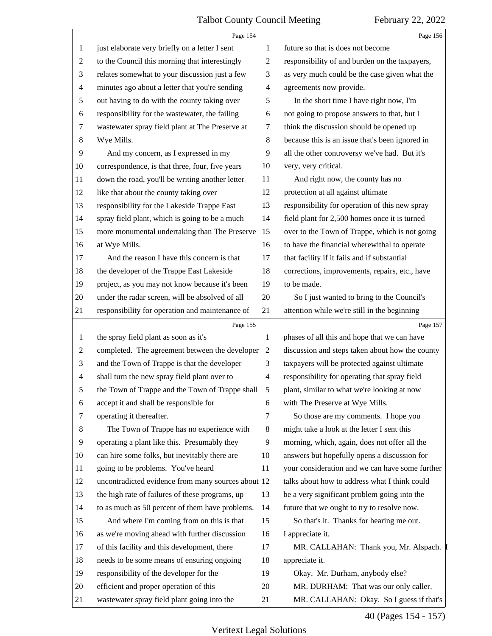<span id="page-39-0"></span>

|                | Page 154                                           |                          | Page 156                                        |
|----------------|----------------------------------------------------|--------------------------|-------------------------------------------------|
| 1              | just elaborate very briefly on a letter I sent     | 1                        | future so that is does not become               |
| $\overline{c}$ | to the Council this morning that interestingly     | $\overline{c}$           | responsibility of and burden on the taxpayers,  |
| 3              | relates somewhat to your discussion just a few     | 3                        | as very much could be the case given what the   |
| $\overline{4}$ | minutes ago about a letter that you're sending     | $\overline{4}$           | agreements now provide.                         |
| 5              | out having to do with the county taking over       | 5                        | In the short time I have right now, I'm         |
| 6              | responsibility for the wastewater, the failing     | 6                        | not going to propose answers to that, but I     |
| $\tau$         | wastewater spray field plant at The Preserve at    | 7                        | think the discussion should be opened up        |
| 8              | Wye Mills.                                         | 8                        | because this is an issue that's been ignored in |
| 9              | And my concern, as I expressed in my               | 9                        | all the other controversy we've had. But it's   |
| 10             | correspondence, is that three, four, five years    | 10                       | very, very critical.                            |
| 11             | down the road, you'll be writing another letter    | 11                       | And right now, the county has no                |
| 12             | like that about the county taking over             | 12                       | protection at all against ultimate              |
| 13             | responsibility for the Lakeside Trappe East        | 13                       | responsibility for operation of this new spray  |
| 14             | spray field plant, which is going to be a much     | 14                       | field plant for 2,500 homes once it is turned   |
| 15             | more monumental undertaking than The Preserve      | 15                       | over to the Town of Trappe, which is not going  |
| 16             | at Wye Mills.                                      | 16                       | to have the financial wherewithal to operate    |
| 17             | And the reason I have this concern is that         | 17                       | that facility if it fails and if substantial    |
| 18             | the developer of the Trappe East Lakeside          | 18                       | corrections, improvements, repairs, etc., have  |
| 19             | project, as you may not know because it's been     | 19                       | to be made.                                     |
| 20             | under the radar screen, will be absolved of all    | 20                       | So I just wanted to bring to the Council's      |
| 21             | responsibility for operation and maintenance of    | 21                       | attention while we're still in the beginning    |
|                |                                                    |                          |                                                 |
|                | Page 155                                           |                          | Page 157                                        |
| 1              | the spray field plant as soon as it's              | 1                        | phases of all this and hope that we can have    |
| $\overline{c}$ | completed. The agreement between the developer     | 2                        | discussion and steps taken about how the county |
| 3              | and the Town of Trappe is that the developer       | 3                        | taxpayers will be protected against ultimate    |
| $\overline{4}$ | shall turn the new spray field plant over to       | $\overline{\mathcal{A}}$ | responsibility for operating that spray field   |
| 5              | the Town of Trappe and the Town of Trappe shall    | 5                        | plant, similar to what we're looking at now     |
| 6              | accept it and shall be responsible for             | 6                        | with The Preserve at Wye Mills.                 |
| $\tau$         | operating it thereafter.                           | 7                        | So those are my comments. I hope you            |
| 8              | The Town of Trappe has no experience with          | 8                        | might take a look at the letter I sent this     |
| 9              | operating a plant like this. Presumably they       | 9                        | morning, which, again, does not offer all the   |
| 10             | can hire some folks, but inevitably there are      | 10                       | answers but hopefully opens a discussion for    |
| 11             | going to be problems. You've heard                 | 11                       | your consideration and we can have some further |
| 12             | uncontradicted evidence from many sources about 12 |                          | talks about how to address what I think could   |
| 13             | the high rate of failures of these programs, up    | 13                       | be a very significant problem going into the    |
| 14             | to as much as 50 percent of them have problems.    | 14                       | future that we ought to try to resolve now.     |
| 15             | And where I'm coming from on this is that          | 15                       | So that's it. Thanks for hearing me out.        |
| 16             | as we're moving ahead with further discussion      | 16                       | I appreciate it.                                |
| 17             | of this facility and this development, there       | 17                       | MR. CALLAHAN: Thank you, Mr. Alspach.           |
| 18             | needs to be some means of ensuring ongoing         | 18                       | appreciate it.                                  |
| 19             | responsibility of the developer for the            | 19                       | Okay. Mr. Durham, anybody else?                 |
| 20             | efficient and proper operation of this             | 20                       | MR. DURHAM: That was our only caller.           |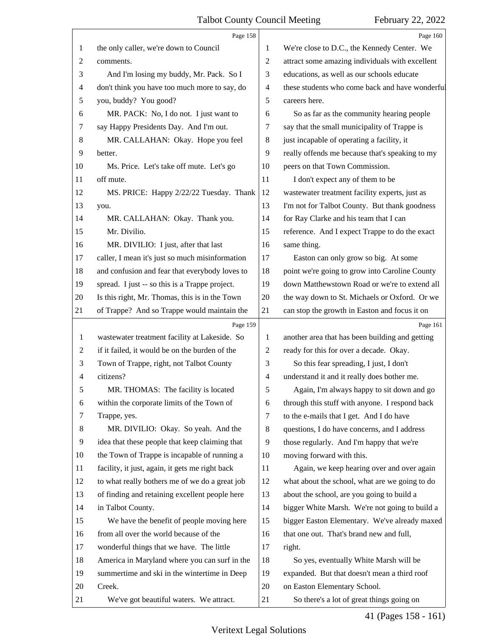<span id="page-40-0"></span>

|                | Page 158                                        |                | Page 160                                        |
|----------------|-------------------------------------------------|----------------|-------------------------------------------------|
| 1              | the only caller, we're down to Council          | 1              | We're close to D.C., the Kennedy Center. We     |
| 2              | comments.                                       | $\overline{c}$ | attract some amazing individuals with excellent |
| 3              | And I'm losing my buddy, Mr. Pack. So I         | 3              | educations, as well as our schools educate      |
| 4              | don't think you have too much more to say, do   | 4              | these students who come back and have wonderful |
| 5              | you, buddy? You good?                           | 5              | careers here.                                   |
| 6              | MR. PACK: No, I do not. I just want to          | 6              | So as far as the community hearing people       |
| 7              | say Happy Presidents Day. And I'm out.          | 7              | say that the small municipality of Trappe is    |
| 8              | MR. CALLAHAN: Okay. Hope you feel               | 8              | just incapable of operating a facility, it      |
| 9              | better.                                         | 9              | really offends me because that's speaking to my |
| 10             | Ms. Price. Let's take off mute. Let's go        | 10             | peers on that Town Commission.                  |
| 11             | off mute.                                       | 11             | I don't expect any of them to be                |
| 12             | MS. PRICE: Happy 2/22/22 Tuesday. Thank         | 12             | wastewater treatment facility experts, just as  |
| 13             | you.                                            | 13             | I'm not for Talbot County. But thank goodness   |
| 14             | MR. CALLAHAN: Okay. Thank you.                  | 14             | for Ray Clarke and his team that I can          |
| 15             | Mr. Divilio.                                    | 15             | reference. And I expect Trappe to do the exact  |
| 16             | MR. DIVILIO: I just, after that last            | 16             | same thing.                                     |
| 17             | caller, I mean it's just so much misinformation | 17             | Easton can only grow so big. At some            |
| 18             | and confusion and fear that everybody loves to  | 18             | point we're going to grow into Caroline County  |
| 19             | spread. I just -- so this is a Trappe project.  | 19             | down Matthewstown Road or we're to extend all   |
| 20             | Is this right, Mr. Thomas, this is in the Town  | 20             | the way down to St. Michaels or Oxford. Or we   |
| 21             | of Trappe? And so Trappe would maintain the     | 21             | can stop the growth in Easton and focus it on   |
|                | Page 159                                        |                | Page 161                                        |
| $\mathbf{1}$   | wastewater treatment facility at Lakeside. So   | 1              | another area that has been building and getting |
| 2              | if it failed, it would be on the burden of the  | $\overline{c}$ | ready for this for over a decade. Okay.         |
| 3              | Town of Trappe, right, not Talbot County        | 3              | So this fear spreading, I just, I don't         |
| $\overline{4}$ | citizens?                                       | $\overline{4}$ | understand it and it really does bother me.     |
| 5              | MR. THOMAS: The facility is located             | 5              | Again, I'm always happy to sit down and go      |
| 6              | within the corporate limits of the Town of      | 6              | through this stuff with anyone. I respond back  |
| 7              | Trappe, yes.                                    | 7              | to the e-mails that I get. And I do have        |
| 8              | MR. DIVILIO: Okay. So yeah. And the             | 8              | questions, I do have concerns, and I address    |
| 9              | idea that these people that keep claiming that  | 9              | those regularly. And I'm happy that we're       |
| 10             |                                                 |                |                                                 |
| 11             | the Town of Trappe is incapable of running a    | 10             | moving forward with this.                       |
| 12             | facility, it just, again, it gets me right back | 11             | Again, we keep hearing over and over again      |
|                | to what really bothers me of we do a great job  | 12             | what about the school, what are we going to do  |
| 13             | of finding and retaining excellent people here  | 13             | about the school, are you going to build a      |
| 14             | in Talbot County.                               | 14             | bigger White Marsh. We're not going to build a  |
| 15             | We have the benefit of people moving here       | 15             | bigger Easton Elementary. We've already maxed   |
| 16             | from all over the world because of the          | 16             | that one out. That's brand new and full,        |
| 17             | wonderful things that we have. The little       | 17             | right.                                          |
| 18             | America in Maryland where you can surf in the   | 18             | So yes, eventually White Marsh will be          |
| 19             | summertime and ski in the wintertime in Deep    | 19             | expanded. But that doesn't mean a third roof    |
| 20             | Creek.                                          | 20             | on Easton Elementary School.                    |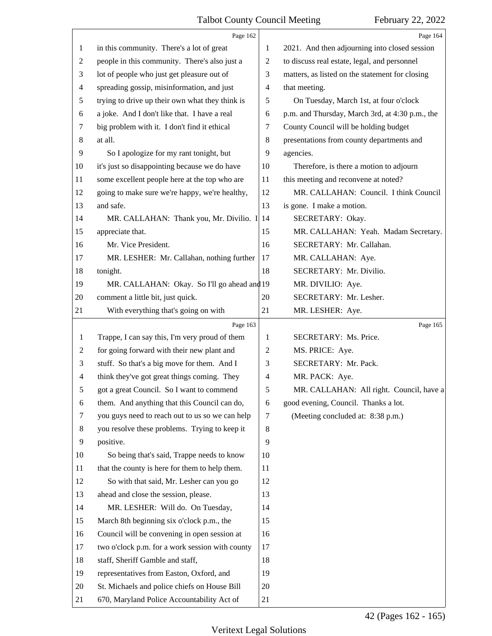<span id="page-41-0"></span>

|                | Page 162                                        |                | Page 164                                        |
|----------------|-------------------------------------------------|----------------|-------------------------------------------------|
| 1              | in this community. There's a lot of great       | 1              | 2021. And then adjourning into closed session   |
| 2              | people in this community. There's also just a   | 2              | to discuss real estate, legal, and personnel    |
| 3              | lot of people who just get pleasure out of      | 3              | matters, as listed on the statement for closing |
| $\overline{4}$ | spreading gossip, misinformation, and just      | $\overline{4}$ | that meeting.                                   |
| 5              | trying to drive up their own what they think is | 5              | On Tuesday, March 1st, at four o'clock          |
| 6              | a joke. And I don't like that. I have a real    | 6              | p.m. and Thursday, March 3rd, at 4:30 p.m., the |
| 7              | big problem with it. I don't find it ethical    | 7              | County Council will be holding budget           |
| 8              | at all.                                         | 8              | presentations from county departments and       |
| 9              | So I apologize for my rant tonight, but         | 9              | agencies.                                       |
| 10             | it's just so disappointing because we do have   | 10             | Therefore, is there a motion to adjourn         |
| 11             | some excellent people here at the top who are   | 11             | this meeting and reconvene at noted?            |
| 12             | going to make sure we're happy, we're healthy,  | 12             | MR. CALLAHAN: Council. I think Council          |
| 13             | and safe.                                       | 13             | is gone. I make a motion.                       |
| 14             | MR. CALLAHAN: Thank you, Mr. Divilio. I 14      |                | SECRETARY: Okay.                                |
| 15             | appreciate that.                                | 15             | MR. CALLAHAN: Yeah. Madam Secretary.            |
| 16             | Mr. Vice President.                             | 16             | SECRETARY: Mr. Callahan.                        |
| 17             | MR. LESHER: Mr. Callahan, nothing further       | 17             | MR. CALLAHAN: Aye.                              |
| 18             | tonight.                                        | 18             | SECRETARY: Mr. Divilio.                         |
| 19             | MR. CALLAHAN: Okay. So I'll go ahead and 19     |                | MR. DIVILIO: Aye.                               |
| 20             | comment a little bit, just quick.               | 20             | SECRETARY: Mr. Lesher.                          |
| 21             | With everything that's going on with            | 21             | MR. LESHER: Aye.                                |
|                | Page 163                                        |                | Page 165                                        |
| 1              | Trappe, I can say this, I'm very proud of them  | 1              | SECRETARY: Ms. Price.                           |
| $\overline{2}$ | for going forward with their new plant and      | 2              | MS. PRICE: Aye.                                 |
| 3              | stuff. So that's a big move for them. And I     | 3              | SECRETARY: Mr. Pack.                            |
| $\overline{4}$ | think they've got great things coming. They     | $\overline{4}$ | MR. PACK: Aye.                                  |
| 5              | got a great Council. So I want to commend       | 5              | MR. CALLAHAN: All right. Council, have a        |
| 6              | them. And anything that this Council can do,    | 6              | good evening, Council. Thanks a lot.            |
| 7              | you guys need to reach out to us so we can help | 7              | (Meeting concluded at: 8:38 p.m.)               |
| 8              | you resolve these problems. Trying to keep it   | 8              |                                                 |
| 9              | positive.                                       | 9              |                                                 |
| 10             | So being that's said, Trappe needs to know      | 10             |                                                 |
| 11             | that the county is here for them to help them.  | 11             |                                                 |
| 12             | So with that said, Mr. Lesher can you go        | 12             |                                                 |
| 13             |                                                 |                |                                                 |
| 14             | ahead and close the session, please.            | 13             |                                                 |
|                | MR. LESHER: Will do. On Tuesday,                | 14             |                                                 |
| 15             | March 8th beginning six o'clock p.m., the       | 15             |                                                 |
| 16             | Council will be convening in open session at    | 16             |                                                 |
| 17             | two o'clock p.m. for a work session with county | 17             |                                                 |
| 18             | staff, Sheriff Gamble and staff,                | 18             |                                                 |
| 19             | representatives from Easton, Oxford, and        | 19             |                                                 |
| 20             | St. Michaels and police chiefs on House Bill    | 20             |                                                 |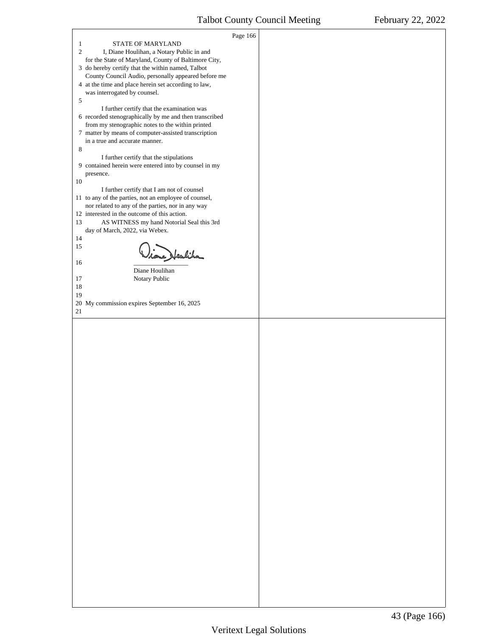<span id="page-42-0"></span>

|                                                                                                          | Page 166 |  |
|----------------------------------------------------------------------------------------------------------|----------|--|
| STATE OF MARYLAND<br>$\mathbf{1}$                                                                        |          |  |
| $\overline{2}$<br>I, Diane Houlihan, a Notary Public in and                                              |          |  |
| for the State of Maryland, County of Baltimore City,                                                     |          |  |
| 3 do hereby certify that the within named, Talbot<br>County Council Audio, personally appeared before me |          |  |
| 4 at the time and place herein set according to law,                                                     |          |  |
| was interrogated by counsel.                                                                             |          |  |
| 5                                                                                                        |          |  |
| I further certify that the examination was                                                               |          |  |
| 6 recorded stenographically by me and then transcribed                                                   |          |  |
| from my stenographic notes to the within printed                                                         |          |  |
| 7 matter by means of computer-assisted transcription                                                     |          |  |
| in a true and accurate manner.                                                                           |          |  |
| 8<br>I further certify that the stipulations                                                             |          |  |
| 9 contained herein were entered into by counsel in my                                                    |          |  |
| presence.                                                                                                |          |  |
| 10                                                                                                       |          |  |
| I further certify that I am not of counsel                                                               |          |  |
| 11 to any of the parties, not an employee of counsel,                                                    |          |  |
| nor related to any of the parties, nor in any way                                                        |          |  |
| 12 interested in the outcome of this action.<br>13<br>AS WITNESS my hand Notorial Seal this 3rd          |          |  |
| day of March, 2022, via Webex.                                                                           |          |  |
| 14                                                                                                       |          |  |
| 15                                                                                                       |          |  |
| tone Heulika                                                                                             |          |  |
| 16                                                                                                       |          |  |
| Diane Houlihan                                                                                           |          |  |
| 17<br>Notary Public<br>18                                                                                |          |  |
| 19                                                                                                       |          |  |
| 20 My commission expires September 16, 2025                                                              |          |  |
| 21                                                                                                       |          |  |
|                                                                                                          |          |  |
|                                                                                                          |          |  |
|                                                                                                          |          |  |
|                                                                                                          |          |  |
|                                                                                                          |          |  |
|                                                                                                          |          |  |
|                                                                                                          |          |  |
|                                                                                                          |          |  |
|                                                                                                          |          |  |
|                                                                                                          |          |  |
|                                                                                                          |          |  |
|                                                                                                          |          |  |
|                                                                                                          |          |  |
|                                                                                                          |          |  |
|                                                                                                          |          |  |
|                                                                                                          |          |  |
|                                                                                                          |          |  |
|                                                                                                          |          |  |
|                                                                                                          |          |  |
|                                                                                                          |          |  |
|                                                                                                          |          |  |
|                                                                                                          |          |  |
|                                                                                                          |          |  |
|                                                                                                          |          |  |
|                                                                                                          |          |  |
|                                                                                                          |          |  |
|                                                                                                          |          |  |
|                                                                                                          |          |  |
|                                                                                                          |          |  |
|                                                                                                          |          |  |
|                                                                                                          |          |  |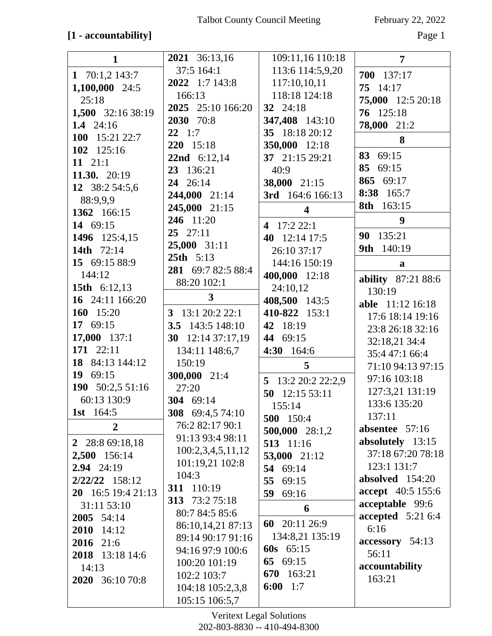## **[1 - accountability]** Page 1

| $\mathbf{1}$       | 2021 36:13,16      | 109:11,16 110:18        | $\overline{7}$     |
|--------------------|--------------------|-------------------------|--------------------|
| 1 70:1,2 143:7     | 37:5 164:1         | 113:6 114:5,9,20        | 700 137:17         |
| 1,100,000 24:5     | 2022 1:7 143:8     | 117:10,10,11            | 75 14:17           |
| 25:18              | 166:13             | 118:18 124:18           | 75,000 12:5 20:18  |
|                    | 2025 25:10 166:20  | 32 24:18                |                    |
| 1,500 32:16 38:19  | 2030 70:8          | 347,408 143:10          | 76 125:18          |
| 1.4 $24:16$        | $22 \t1:7$         | 35 18:18 20:12          | 78,000 21:2        |
| 100 15:21 22:7     | 220 15:18          | 350,000 12:18           | 8                  |
| 102 125:16         | 22nd 6:12,14       | 37 21:15 29:21          | 83 69:15           |
| $11 \t21:1$        | 23 136:21          | 40:9                    | 85 69:15           |
| 11.30. 20:19       | 24 26:14           | 38,000 21:15            | 865 69:17          |
| 12 38:2 54:5,6     | 244,000 21:14      | 3rd 164:6 166:13        | 165:7<br>8:38      |
| 88:9,9,9           | 245,000 21:15      |                         | 8th 163:15         |
| 1362 166:15        | 246 11:20          | $\overline{\mathbf{4}}$ |                    |
| 14 69:15           | $25$ $27:11$       | 4 17:2 22:1             | 9                  |
| 1496 125:4,15      |                    | 40 12:14 17:5           | 90 135:21          |
| 14th 72:14         | 25,000 31:11       | 26:10 37:17             | 9th 140:19         |
| 15 69:15 88:9      | 25th 5:13          | 144:16 150:19           | a                  |
| 144:12             | 281 69:7 82:5 88:4 | 400,000 12:18           | ability 87:21 88:6 |
| 15th 6:12,13       | 88:20 102:1        | 24:10,12                | 130:19             |
| 16 24:11 166:20    | 3                  | 408,500 143:5           | able 11:12 16:18   |
| 160 15:20          | 3 13:1 20:2 22:1   | 410-822 153:1           | 17:6 18:14 19:16   |
| 17 69:15           | 3.5 143:5 148:10   | 42 18:19                | 23:8 26:18 32:16   |
| 17,000 137:1       | 30 $12:1437:17,19$ | 44 69:15                | 32:18,21 34:4      |
| 171 22:11          | 134:11 148:6,7     | 4:30 164:6              | 35:4 47:1 66:4     |
| 18 84:13 144:12    | 150:19             | 5                       | 71:10 94:13 97:15  |
| 19 69:15           | 300,000 21:4       | 5 13:2 20:2 22:2,9      | 97:16 103:18       |
| 190 50:2,5 51:16   | 27:20              | 50 12:15 53:11          | 127:3,21 131:19    |
| 60:13 130:9        | 304 69:14          | 155:14                  | 133:6 135:20       |
| <b>1st</b> 164:5   | 308 69:4,5 74:10   | 500 150:4               | 137:11             |
| $\overline{2}$     | 76:2 82:17 90:1    | 500,000 28:1,2          | absentee $57:16$   |
| 2 28:8 69:18,18    | 91:13 93:4 98:11   | 513 11:16               | absolutely 13:15   |
| 2,500 156:14       | 100:2,3,4,5,11,12  | 53,000 21:12            | 37:18 67:20 78:18  |
| $2.94$ $24:19$     | 101:19,21 102:8    | 54 69:14                | 123:1 131:7        |
| $2/22/22$ 158:12   | 104:3              | 55 69:15                | absolved 154:20    |
| 20 16:5 19:4 21:13 | 311 110:19         | 59 69:16                | accept 40:5 155:6  |
| 31:11 53:10        | 313 73:2 75:18     |                         | acceptable 99:6    |
| 2005 54:14         | 80:7 84:5 85:6     | 6                       | accepted $5:216:4$ |
| 2010 14:12         | 86:10,14,21 87:13  | 60 20:11 26:9           | 6:16               |
| 2016 21:6          | 89:14 90:17 91:16  | 134:8,21 135:19         | accessory 54:13    |
| 2018 13:18 14:6    | 94:16 97:9 100:6   | 60s $65:15$             | 56:11              |
| 14:13              | 100:20 101:19      | 65 69:15                | accountability     |
| 2020 36:10 70:8    | 102:2 103:7        | 670 163:21              | 163:21             |
|                    | 104:18 105:2,3,8   | 6:00 $1:7$              |                    |
|                    | 105:15 106:5,7     |                         |                    |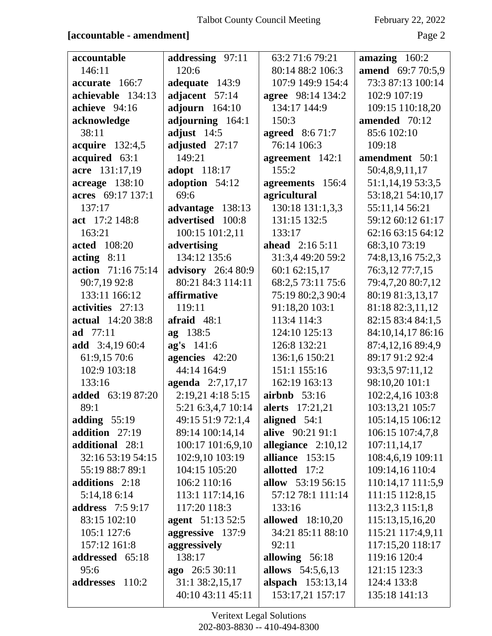### **[accountable - amendment]** Page 2

| accountable                  | addressing 97:11          | 63:2 71:6 79:21          | amazing $160:2$   |
|------------------------------|---------------------------|--------------------------|-------------------|
| 146:11                       | 120:6                     | 80:14 88:2 106:3         | amend 69:7 70:5,9 |
| accurate 166:7               | adequate 143:9            | 107:9 149:9 154:4        | 73:3 87:13 100:14 |
| achievable 134:13            | adjacent 57:14            | agree 98:14 134:2        | 102:9 107:19      |
| achieve 94:16                | adjourn $164:10$          | 134:17 144:9             | 109:15 110:18,20  |
| acknowledge                  | adjourning 164:1          | 150:3                    | amended 70:12     |
| 38:11                        | adjust $14:5$             | <b>agreed</b> 8:6 71:7   | 85:6 102:10       |
| acquire 132:4,5              | adjusted 27:17            | 76:14 106:3              | 109:18            |
| acquired 63:1                | 149:21                    | agreement 142:1          | amendment 50:1    |
| acre 131:17,19               | adopt 118:17              | 155:2                    | 50:4,8,9,11,17    |
| acreage 138:10               | adoption 54:12            | agreements 156:4         | 51:1,14,19 53:3,5 |
| acres 69:17 137:1            | 69:6                      | agricultural             | 53:18,21 54:10,17 |
| 137:17                       | advantage 138:13          | 130:18 131:1,3,3         | 55:11,14 56:21    |
| act 17:2 148:8               | advertised 100:8          | 131:15 132:5             | 59:12 60:12 61:17 |
| 163:21                       | 100:15 101:2,11           | 133:17                   | 62:16 63:15 64:12 |
| <b>acted</b> 108:20          | advertising               | <b>ahead</b> $2:165:11$  | 68:3,10 73:19     |
| $\textbf{acting} \quad 8:11$ | 134:12 135:6              | 31:3,4 49:20 59:2        | 74:8,13,16 75:2,3 |
| action 71:16 75:14           | <b>advisory</b> 26:4 80:9 | 60:1 62:15,17            | 76:3,12 77:7,15   |
| 90:7,19 92:8                 | 80:21 84:3 114:11         | 68:2,5 73:11 75:6        | 79:4,7,20 80:7,12 |
| 133:11 166:12                | affirmative               | 75:19 80:2,3 90:4        | 80:19 81:3,13,17  |
| activities 27:13             | 119:11                    | 91:18,20 103:1           | 81:18 82:3,11,12  |
| <b>actual</b> 14:20 38:8     | afraid $48:1$             | 113:4 114:3              | 82:15 83:4 84:1,5 |
| ad 77:11                     | ag 138:5                  | 124:10 125:13            | 84:10,14,17 86:16 |
| add $3:4,1960:4$             | ag's 141:6                | 126:8 132:21             | 87:4,12,16 89:4,9 |
| 61:9,15 70:6                 | agencies 42:20            | 136:1,6 150:21           | 89:17 91:2 92:4   |
| 102:9 103:18                 | 44:14 164:9               | 151:1 155:16             | 93:3,5 97:11,12   |
| 133:16                       | agenda 2:7,17,17          | 162:19 163:13            | 98:10,20 101:1    |
| <b>added</b> 63:19 87:20     | 2:19,21 4:18 5:15         | airbnb $53:16$           | 102:2,4,16 103:8  |
| 89:1                         | 5:21 6:3,4,7 10:14        | <b>alerts</b> 17:21,21   | 103:13,21 105:7   |
| adding $55:19$               | 49:15 51:9 72:1,4         | aligned $54:1$           | 105:14,15 106:12  |
| addition 27:19               | 89:14 100:14,14           | alive 90:21 91:1         | 106:15 107:4,7,8  |
| additional 28:1              | 100:17 101:6,9,10         | allegiance 2:10,12       | 107:11,14,17      |
| 32:16 53:19 54:15            | 102:9,10 103:19           | alliance 153:15          | 108:4,6,19 109:11 |
| 55:19 88:7 89:1              | 104:15 105:20             | allotted 17:2            | 109:14,16 110:4   |
| additions 2:18               | 106:2 110:16              | <b>allow</b> 53:19 56:15 | 110:14,17 111:5,9 |
| 5:14,186:14                  | 113:1 117:14,16           | 57:12 78:1 111:14        | 111:15 112:8,15   |
| <b>address</b> 7:5 9:17      | 117:20 118:3              | 133:16                   | 113:2,3 115:1,8   |
| 83:15 102:10                 | agent 51:13 52:5          | <b>allowed</b> 18:10,20  | 115:13,15,16,20   |
| 105:1 127:6                  | aggressive 137:9          | 34:21 85:11 88:10        | 115:21 117:4,9,11 |
| 157:12 161:8                 | aggressively              | 92:11                    | 117:15,20 118:17  |
| addressed 65:18              | 138:17                    | allowing $56:18$         | 119:16 120:4      |
| 95:6                         | ago 26:5 30:11            | allows 54:5,6,13         | 121:15 123:3      |
| addresses<br>110:2           | 31:1 38:2,15,17           | alspach 153:13,14        | 124:4 133:8       |
|                              | 40:10 43:11 45:11         | 153:17,21 157:17         | 135:18 141:13     |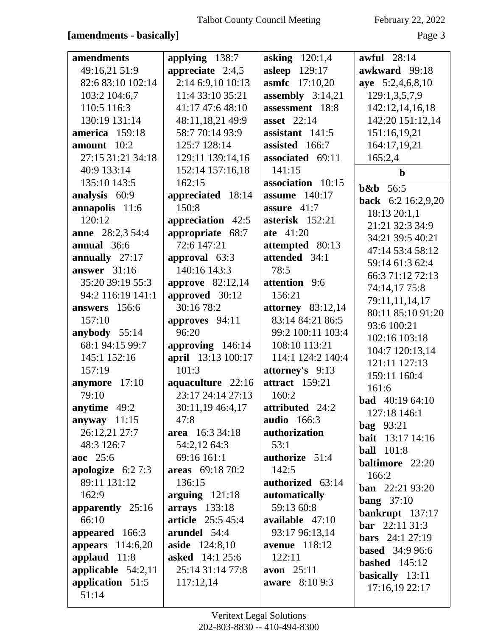### [amendments - basically]

February 22, 2022

| amendments              | applying 138:7           | <b>asking</b> 120:1,4 | awful 28:14               |
|-------------------------|--------------------------|-----------------------|---------------------------|
| 49:16,21 51:9           | appreciate $2:4,5$       | <b>asleep</b> 129:17  | awkward 99:18             |
| 82:6 83:10 102:14       | 2:14 6:9,10 10:13        | <b>asmfc</b> 17:10,20 | aye 5:2,4,6,8,10          |
| 103:2 104:6,7           | 11:4 33:10 35:21         | assembly $3:14,21$    | 129:1,3,5,7,9             |
| 110:5 116:3             | 41:17 47:6 48:10         | assessment 18:8       | 142:12,14,16,18           |
| 130:19 131:14           | 48:11,18,21 49:9         | <b>asset</b> 22:14    | 142:20 151:12,14          |
| america 159:18          | 58:7 70:14 93:9          | assistant 141:5       | 151:16,19,21              |
| amount $10:2$           | 125:7 128:14             | assisted 166:7        | 164:17,19,21              |
| 27:15 31:21 34:18       | 129:11 139:14,16         | associated 69:11      | 165:2,4                   |
| 40:9 133:14             | 152:14 157:16,18         | 141:15                | $\mathbf b$               |
| 135:10 143:5            | 162:15                   | association 10:15     | $b&b$ 56:5                |
| analysis 60:9           | appreciated 18:14        | <b>assume</b> 140:17  | <b>back</b> 6:2 16:2,9,20 |
| annapolis 11:6          | 150:8                    | assure $41:7$         | 18:13 20:1,1              |
| 120:12                  | appreciation 42:5        | asterisk 152:21       | 21:21 32:3 34:9           |
| <b>anne</b> 28:2,3 54:4 | appropriate 68:7         | ate 41:20             | 34:21 39:5 40:21          |
| annual 36:6             | 72:6 147:21              | attempted 80:13       | 47:14 53:4 58:12          |
| annually 27:17          | approval 63:3            | attended 34:1         | 59:14 61:3 62:4           |
| answer $31:16$          | 140:16 143:3             | 78:5                  | 66:3 71:12 72:13          |
| 35:20 39:19 55:3        | <b>approve</b> 82:12,14  | attention 9:6         | 74:14,17 75:8             |
| 94:2 116:19 141:1       | approved 30:12           | 156:21                | 79:11,11,14,17            |
| answers 156:6           | 30:16 78:2               | attorney $83:12,14$   | 80:11 85:10 91:20         |
| 157:10                  | approves 94:11           | 83:14 84:21 86:5      | 93:6 100:21               |
| anybody 55:14           | 96:20                    | 99:2 100:11 103:4     | 102:16 103:18             |
| 68:1 94:15 99:7         | approving 146:14         | 108:10 113:21         | 104:7 120:13,14           |
| 145:1 152:16            | april 13:13 100:17       | 114:1 124:2 140:4     | 121:11 127:13             |
| 157:19                  | 101:3                    | attorney's 9:13       | 159:11 160:4              |
| anymore 17:10           | aquaculture 22:16        | <b>attract</b> 159:21 | 161:6                     |
| 79:10                   | 23:17 24:14 27:13        | 160:2                 | <b>bad</b> $40:1964:10$   |
| anytime 49:2            | 30:11,19 46:4,17         | attributed 24:2       | 127:18 146:1              |
| anyway $11:15$          | 47:8                     | <b>audio</b> 166:3    | <b>bag</b> 93:21          |
| 26:12,21 27:7           | area 16:3 34:18          | authorization         | <b>bait</b> 13:17 14:16   |
| 48:3 126:7              | 54:2,12 64:3             | 53:1                  | <b>ball</b> 101:8         |
| aoc 25:6                | 69:16 161:1              | authorize 51:4        | baltimore 22:20           |
| apologize $6:27:3$      | areas 69:18 70:2         | 142:5                 | 166:2                     |
| 89:11 131:12            | 136:15                   | authorized 63:14      | <b>ban</b> $22:2193:20$   |
| 162:9                   | arguing $121:18$         | automatically         | bang $37:10$              |
| apparently $25:16$      | arrays 133:18            | 59:13 60:8            | bankrupt 137:17           |
| 66:10                   | <b>article</b> 25:5 45:4 | available 47:10       | <b>bar</b> 22:11 31:3     |
| appeared 166:3          | arundel 54:4             | 93:17 96:13,14        | <b>bars</b> $24:127:19$   |
| appears 114:6,20        | <b>aside</b> 124:8,10    | <b>avenue</b> 118:12  | <b>based</b> 34:9 96:6    |
| applaud 11:8            | <b>asked</b> 14:1 25:6   | 122:11                | <b>bashed</b> $145:12$    |
| applicable $54:2,11$    | 25:14 31:14 77:8         | avon $25:11$          | basically 13:11           |
| application 51:5        | 117:12,14                | <b>aware</b> 8:10 9:3 | 17:16,19 22:17            |
| 51:14                   |                          |                       |                           |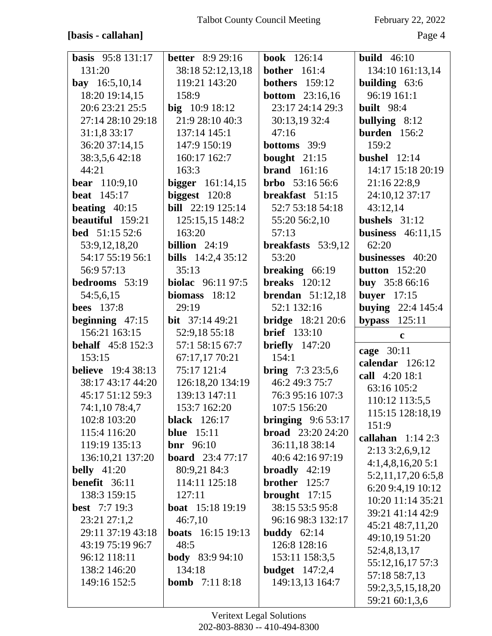#### [basis - callahan]

February 22, 2022

| <b>basis</b> 95:8 131:17  | <b>better</b> 8:9 29:16   | <b>book</b> 126:14       | <b>build</b> 46:10                 |
|---------------------------|---------------------------|--------------------------|------------------------------------|
| 131:20                    | 38:18 52:12,13,18         | <b>bother</b> 161:4      | 134:10 161:13,14                   |
| <b>bay</b> $16:5,10,14$   | 119:21 143:20             | <b>bothers</b> 159:12    | building 63:6                      |
| 18:20 19:14,15            | 158:9                     | <b>bottom</b> $23:16,16$ | 96:19 161:1                        |
| 20:6 23:21 25:5           | big 10:9 18:12            | 23:17 24:14 29:3         | <b>built</b> 98:4                  |
| 27:14 28:10 29:18         | 21:9 28:10 40:3           | 30:13,19 32:4            | bullying $8:12$                    |
| 31:1,8 33:17              | 137:14 145:1              | 47:16                    | burden 156:2                       |
| 36:20 37:14,15            | 147:9 150:19              | <b>bottoms</b> 39:9      | 159:2                              |
| 38:3,5,6 42:18            | 160:17 162:7              | bought $21:15$           | bushel $12:14$                     |
| 44:21                     | 163:3                     | brand $161:16$           | 14:17 15:18 20:19                  |
| <b>bear</b> 110:9,10      | <b>bigger</b> $161:14,15$ | <b>brbo</b> $53:1656:6$  | 21:16 22:8,9                       |
| <b>beat</b> 145:17        | biggest $120:8$           | breakfast 51:15          | 24:10,12 37:17                     |
| beating $40:15$           | <b>bill</b> 22:19 125:14  | 52:7 53:18 54:18         | 43:12,14                           |
| beautiful 159:21          | 125:15,15 148:2           | 55:20 56:2,10            | bushels $31:12$                    |
| <b>bed</b> 51:15 52:6     | 163:20                    | 57:13                    | business $46:11,15$                |
| 53:9, 12, 18, 20          | <b>billion</b> $24:19$    | breakfasts 53:9,12       | 62:20                              |
| 54:17 55:19 56:1          | <b>bills</b> 14:2,4 35:12 | 53:20                    | businesses 40:20                   |
| 56:9 57:13                | 35:13                     | breaking 66:19           | <b>button</b> 152:20               |
| bedrooms 53:19            | <b>biolac</b> 96:11 97:5  | <b>breaks</b> 120:12     | buy 35:8 66:16                     |
| 54:5,6,15                 | biomass $18:12$           | brendan $51:12,18$       | <b>buyer</b> 17:15                 |
| <b>bees</b> 137:8         | 29:19                     | 52:1 132:16              | <b>buying</b> 22:4 145:4           |
| beginning $47:15$         | <b>bit</b> $37:1449:21$   | <b>bridge</b> 18:21 20:6 | 125:11<br>bypass                   |
|                           |                           |                          |                                    |
| 156:21 163:15             | 52:9,18 55:18             | <b>brief</b> 133:10      | $\mathbf c$                        |
| <b>behalf</b> 45:8 152:3  | 57:1 58:15 67:7           | briefly $147:20$         |                                    |
| 153:15                    | 67:17,17 70:21            | 154:1                    | cage 30:11                         |
| <b>believe</b> 19:4 38:13 | 75:17 121:4               | <b>bring</b> $7:323:5,6$ | calendar 126:12                    |
| 38:17 43:17 44:20         | 126:18,20 134:19          | 46:2 49:3 75:7           | call 4:20 18:1                     |
| 45:17 51:12 59:3          | 139:13 147:11             | 76:3 95:16 107:3         | 63:16 105:2                        |
| 74:1,10 78:4,7            | 153:7 162:20              | 107:5 156:20             | 110:12 113:5,5                     |
| 102:8 103:20              | <b>black</b> 126:17       | bringing $9:653:17$      | 115:15 128:18,19                   |
| 115:4 116:20              | <b>blue</b> 15:11         | <b>broad</b> 23:20 24:20 | 151:9                              |
| 119:19 135:13             | <b>bnr</b> $96:10$        | 36:11,18 38:14           | callahan $1:142:3$                 |
| 136:10,21 137:20          | <b>board</b> 23:4 77:17   | 40:6 42:16 97:19         | $2:13\,3:2,6,9,12$                 |
| <b>belly</b> 41:20        | 80:9,21 84:3              | broadly $42:19$          | 4:1,4,8,16,205:1                   |
| <b>benefit</b> $36:11$    | 114:11 125:18             | brother 125:7            | 5:2,11,17,20 6:5,8                 |
| 138:3 159:15              | 127:11                    | brought $17:15$          | 6:20 9:4,19 10:12                  |
| <b>best</b> $7:719:3$     | <b>boat</b> 15:18 19:19   | 38:15 53:5 95:8          | 10:20 11:14 35:21                  |
| 23:21 27:1,2              | 46:7,10                   | 96:16 98:3 132:17        | 39:21 41:14 42:9                   |
| 29:11 37:19 43:18         | <b>boats</b> 16:15 19:13  | buddy $62:14$            | 45:21 48:7,11,20                   |
| 43:19 75:19 96:7          | 48:5                      | 126:8 128:16             | 49:10,19 51:20                     |
| 96:12 118:11              | <b>body</b> 83:9 94:10    | 153:11 158:3,5           | 52:4,8,13,17                       |
| 138:2 146:20              | 134:18                    | <b>budget</b> 147:2,4    | 55:12,16,17 57:3                   |
| 149:16 152:5              | <b>bomb</b> $7:118:18$    | 149:13,13 164:7          | 57:18 58:7,13<br>59:2,3,5,15,18,20 |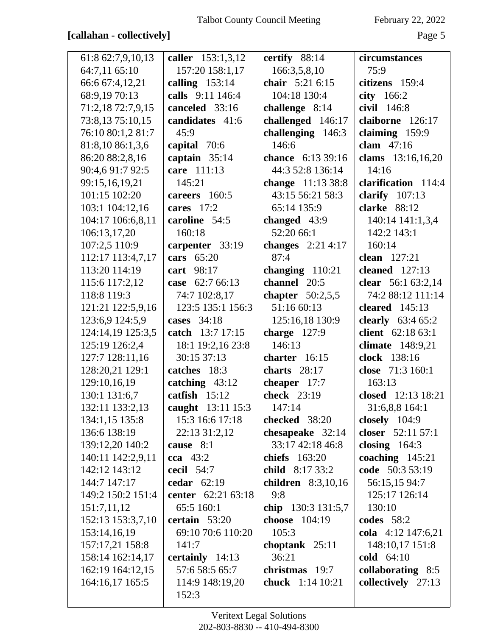## [callahan - collectively]

February 22, 2022

| 61:8 62:7,9,10,13 | caller 153:1,3,12  | certify 88:14           | circumstances         |
|-------------------|--------------------|-------------------------|-----------------------|
| 64:7,11 65:10     | 157:20 158:1,17    | 166:3,5,8,10            | 75:9                  |
| 66:6 67:4,12,21   | calling $153:14$   | chair 5:21 6:15         | citizens 159:4        |
| 68:9,19 70:13     | calls 9:11 146:4   | 104:18 130:4            | city 166:2            |
| 71:2,18 72:7,9,15 | canceled 33:16     | challenge 8:14          | civil 146:8           |
| 73:8,13 75:10,15  | candidates 41:6    | challenged 146:17       | claiborne 126:17      |
| 76:10 80:1,2 81:7 | 45:9               | challenging 146:3       | claiming 159:9        |
| 81:8,10 86:1,3,6  | capital 70:6       | 146:6                   | clam $47:16$          |
| 86:20 88:2,8,16   | captain 35:14      | chance 6:13 39:16       | clams 13:16,16,20     |
| 90:4,6 91:7 92:5  | care 111:13        | 44:3 52:8 136:14        | 14:16                 |
| 99:15,16,19,21    | 145:21             | change 11:13 38:8       | clarification 114:4   |
| 101:15 102:20     | careers 160:5      | 43:15 56:21 58:3        | clarify $107:13$      |
| 103:1 104:12,16   | cares $17:2$       | 65:14 135:9             | clarke 88:12          |
| 104:17 106:6,8,11 | caroline 54:5      | changed $43:9$          | 140:14 141:1,3,4      |
| 106:13,17,20      | 160:18             | 52:20 66:1              | 142:2 143:1           |
| 107:2,5 110:9     | carpenter 33:19    | changes $2:214:17$      | 160:14                |
| 112:17 113:4,7,17 | cars 65:20         | 87:4                    | clean 127:21          |
| 113:20 114:19     | cart 98:17         | changing 110:21         | <b>cleaned</b> 127:13 |
| 115:6 117:2,12    | 62:7 66:13<br>case | channel 20:5            | clear 56:1 63:2,14    |
| 118:8 119:3       | 74:7 102:8,17      | chapter $50:2,5,5$      | 74:2 88:12 111:14     |
| 121:21 122:5,9,16 | 123:5 135:1 156:3  | 51:16 60:13             | cleared $145:13$      |
| 123:6,9 124:5,9   | cases 34:18        | 125:16,18 130:9         | clearly $63:465:2$    |
| 124:14,19 125:3,5 | catch 13:7 17:15   | charge $127:9$          | client 62:18 63:1     |
| 125:19 126:2,4    | 18:1 19:2,16 23:8  | 146:13                  | climate 148:9,21      |
| 127:7 128:11,16   | 30:15 37:13        | charter 16:15           | clock 138:16          |
| 128:20,21 129:1   | catches 18:3       | charts $28:17$          | close 71:3 160:1      |
| 129:10,16,19      | catching 43:12     | cheaper 17:7            | 163:13                |
| 130:1 131:6,7     | catfish $15:12$    | check 23:19             | closed 12:13 18:21    |
| 132:11 133:2,13   | caught 13:11 15:3  | 147:14                  | 31:6,8,8 164:1        |
| 134:1,15 135:8    | 15:3 16:6 17:18    | checked 38:20           | closely $104:9$       |
| 136:6 138:19      | 22:13 31:2,12      | chesapeake 32:14        | closer 52:11 57:1     |
| 139:12,20 140:2   | cause 8:1          | 33:17 42:18 46:8        | closing $164:3$       |
| 140:11 142:2,9,11 | cca $43:2$         | chiefs 163:20           | coaching $145:21$     |
| 142:12 143:12     | <b>cecil</b> 54:7  | child 8:17 33:2         | code 50:3 53:19       |
| 144:7 147:17      | cedar $62:19$      | children $8:3,10,16$    | 56:15,15 94:7         |
| 149:2 150:2 151:4 | center 62:21 63:18 | 9:8                     | 125:17 126:14         |
| 151:7,11,12       | 65:5 160:1         | chip 130:3 131:5,7      | 130:10                |
| 152:13 153:3,7,10 | certain 53:20      | choose 104:19           | codes $58:2$          |
| 153:14,16,19      | 69:10 70:6 110:20  | 105:3                   | cola 4:12 147:6,21    |
| 157:17,21 158:8   | 141:7              | choptank $25:11$        | 148:10,17 151:8       |
| 158:14 162:14,17  | certainly 14:13    | 36:21                   | cold 64:10            |
| 162:19 164:12,15  | 57:6 58:5 65:7     | christmas 19:7          | collaborating 8:5     |
| 164:16,17 165:5   | 114:9 148:19,20    | <b>chuck</b> 1:14 10:21 | collectively 27:13    |
|                   | 152:3              |                         |                       |
|                   |                    |                         |                       |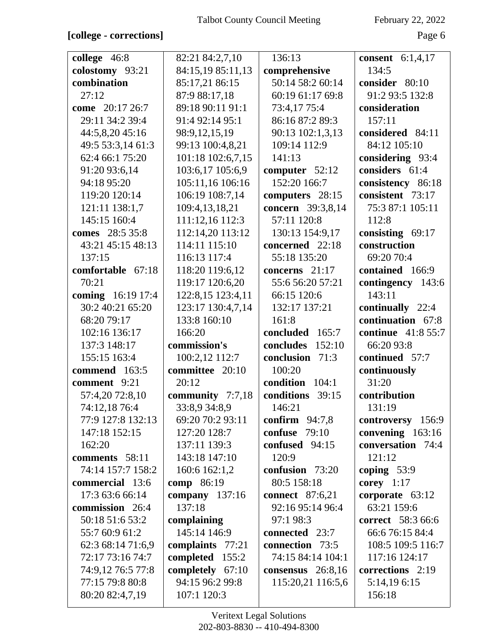| college 46:8      | 82:21 84:2,7,10   | 136:13                 | <b>consent</b> $6:1,4,17$ |
|-------------------|-------------------|------------------------|---------------------------|
| colostomy 93:21   | 84:15,19 85:11,13 | comprehensive          | 134:5                     |
| combination       | 85:17,21 86:15    | 50:14 58:2 60:14       | consider 80:10            |
| 27:12             | 87:9 88:17,18     | 60:19 61:17 69:8       | 91:2 93:5 132:8           |
| come 20:17 26:7   | 89:18 90:11 91:1  | 73:4,17 75:4           | consideration             |
| 29:11 34:2 39:4   | 91:4 92:14 95:1   | 86:16 87:2 89:3        | 157:11                    |
| 44:5,8,20 45:16   | 98:9,12,15,19     | 90:13 102:1,3,13       | considered 84:11          |
| 49:5 53:3,14 61:3 | 99:13 100:4,8,21  | 109:14 112:9           | 84:12 105:10              |
| 62:4 66:1 75:20   |                   | 141:13                 |                           |
|                   | 101:18 102:6,7,15 |                        | considering 93:4          |
| 91:20 93:6,14     | 103:6,17 105:6,9  | computer $52:12$       | considers 61:4            |
| 94:18 95:20       | 105:11,16 106:16  | 152:20 166:7           | consistency 86:18         |
| 119:20 120:14     | 106:19 108:7,14   | computers 28:15        | consistent 73:17          |
| 121:11 138:1,7    | 109:4,13,18,21    | concern 39:3,8,14      | 75:3 87:1 105:11          |
| 145:15 160:4      | 111:12,16 112:3   | 57:11 120:8            | 112:8                     |
| comes 28:5 35:8   | 112:14,20 113:12  | 130:13 154:9,17        | consisting $69:17$        |
| 43:21 45:15 48:13 | 114:11 115:10     | concerned 22:18        | construction              |
| 137:15            | 116:13 117:4      | 55:18 135:20           | 69:20 70:4                |
| comfortable 67:18 | 118:20 119:6,12   | concerns 21:17         | contained 166:9           |
| 70:21             | 119:17 120:6,20   | 55:6 56:20 57:21       | contingency 143:6         |
| coming 16:19 17:4 | 122:8,15 123:4,11 | 66:15 120:6            | 143:11                    |
| 30:2 40:21 65:20  | 123:17 130:4,7,14 | 132:17 137:21          | continually 22:4          |
| 68:20 79:17       | 133:8 160:10      | 161:8                  | continuation 67:8         |
| 102:16 136:17     | 166:20            | concluded 165:7        | <b>continue</b> 41:8 55:7 |
| 137:3 148:17      | commission's      | concludes<br>152:10    | 66:20 93:8                |
| 155:15 163:4      | 100:2,12 112:7    | conclusion<br>71:3     | continued 57:7            |
| commend 163:5     | committee 20:10   | 100:20                 | continuously              |
| comment 9:21      | 20:12             | condition<br>104:1     | 31:20                     |
| 57:4,20 72:8,10   | community 7:7,18  | conditions<br>39:15    | contribution              |
| 74:12,18 76:4     | 33:8,9 34:8,9     | 146:21                 | 131:19                    |
| 77:9 127:8 132:13 | 69:20 70:2 93:11  | confirm $94:7,8$       | controversy 156:9         |
| 147:18 152:15     | 127:20 128:7      | confuse $79:10$        | convening 163:16          |
| 162:20            | 137:11 139:3      | confused 94:15         | conversation 74:4         |
| comments 58:11    | 143:18 147:10     | 120:9                  | 121:12                    |
| 74:14 157:7 158:2 | 160:6 162:1,2     | confusion 73:20        | coping $53:9$             |
| commercial 13:6   | comp 86:19        | 80:5 158:18            | corey $1:17$              |
| 17:3 63:6 66:14   | company $137:16$  | <b>connect</b> 87:6,21 | corporate 63:12           |
| commission 26:4   | 137:18            | 92:16 95:14 96:4       | 63:21 159:6               |
| 50:18 51:6 53:2   | complaining       | 97:1 98:3              | correct 58:3 66:6         |
| 55:7 60:9 61:2    | 145:14 146:9      | <b>connected</b> 23:7  | 66:6 76:15 84:4           |
| 62:3 68:14 71:6,9 | complaints 77:21  | connection 73:5        | 108:5 109:5 116:7         |
| 72:17 73:16 74:7  | completed 155:2   | 74:15 84:14 104:1      | 117:16 124:17             |
| 74:9,12 76:5 77:8 | completely 67:10  | consensus $26:8,16$    | corrections 2:19          |
| 77:15 79:8 80:8   | 94:15 96:2 99:8   | 115:20,21 116:5,6      | 5:14,19 6:15              |
| 80:20 82:4,7,19   | 107:1 120:3       |                        | 156:18                    |
|                   |                   |                        |                           |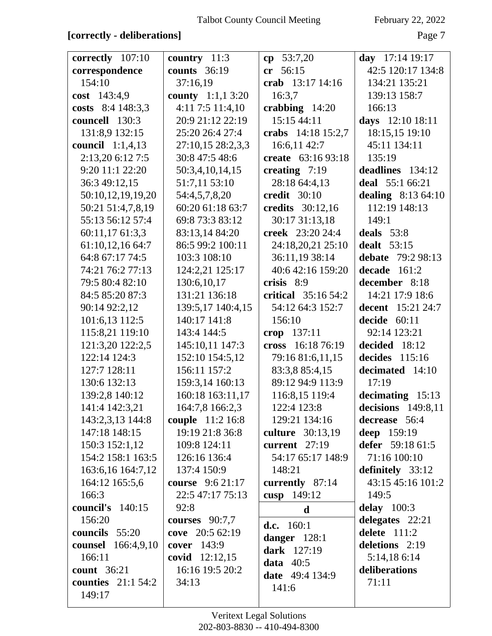### **[correctly - deliberations]** Page 7

| correctly 107:10          | country $11:3$          | $cp$ 53:7,20                    | day $17:14$ 19:17    |
|---------------------------|-------------------------|---------------------------------|----------------------|
|                           | <b>counts</b> 36:19     | 56:15<br>cr                     | 42:5 120:17 134:8    |
| correspondence<br>154:10  | 37:16,19                | crab 13:17 14:16                | 134:21 135:21        |
| cost $143:4,9$            | county 1:1,1 3:20       | 16:3,7                          | 139:13 158:7         |
| costs 8:4 148:3,3         | $4:11$ 7:5 $11:4,10$    |                                 | 166:13               |
| councell 130:3            | 20:9 21:12 22:19        | crabbing $14:20$<br>15:15 44:11 |                      |
|                           |                         |                                 | days 12:10 18:11     |
| 131:8,9 132:15            | 25:20 26:4 27:4         | crabs 14:18 15:2,7              | 18:15,15 19:10       |
| <b>council</b> 1:1,4,13   | 27:10,15 28:2,3,3       | 16:6,11 42:7                    | 45:11 134:11         |
| 2:13,20 6:12 7:5          | 30:8 47:5 48:6          | create 63:16 93:18              | 135:19               |
| 9:20 11:1 22:20           | 50:3,4,10,14,15         | creating $7:19$                 | deadlines 134:12     |
| 36:3 49:12,15             | 51:7,11 53:10           | 28:18 64:4,13                   | deal 55:1 66:21      |
| 50:10,12,19,19,20         | 54:4,5,7,8,20           | <b>credit</b> 30:10             | dealing $8:1364:10$  |
| 50:21 51:4,7,8,19         | 60:20 61:18 63:7        | credits 30:12,16                | 112:19 148:13        |
| 55:13 56:12 57:4          | 69:8 73:3 83:12         | 30:17 31:13,18                  | 149:1                |
| 60:11,17 61:3,3           | 83:13,14 84:20          | creek 23:20 24:4                | deals $53:8$         |
| 61:10,12,16 64:7          | 86:5 99:2 100:11        | 24:18,20,21 25:10               | <b>dealt</b> 53:15   |
| 64:8 67:17 74:5           | 103:3 108:10            | 36:11,19 38:14                  | debate 79:2 98:13    |
| 74:21 76:2 77:13          | 124:2,21 125:17         | 40:6 42:16 159:20               | decade<br>161:2      |
| 79:5 80:4 82:10           | 130:6,10,17             | crisis 8:9                      | december 8:18        |
| 84:5 85:20 87:3           | 131:21 136:18           | critical $35:1654:2$            | 14:21 17:9 18:6      |
| 90:14 92:2,12             | 139:5,17 140:4,15       | 54:12 64:3 152:7                | decent 15:21 24:7    |
| 101:6,13 112:5            | 140:17 141:8            | 156:10                          | decide $60:11$       |
| 115:8,21 119:10           | 143:4 144:5             | crop 137:11                     | 92:14 123:21         |
| 121:3,20 122:2,5          | 145:10,11 147:3         | cross 16:18 76:19               | decided 18:12        |
| 122:14 124:3              | 152:10 154:5,12         | 79:16 81:6,11,15                | decides 115:16       |
| 127:7 128:11              | 156:11 157:2            | 83:3,8 85:4,15                  | decimated 14:10      |
| 130:6 132:13              | 159:3,14 160:13         | 89:12 94:9 113:9                | 17:19                |
| 139:2,8 140:12            | 160:18 163:11,17        | 116:8,15 119:4                  | decimating $15:13$   |
| 141:4 142:3,21            | 164:7,8 166:2,3         | 122:4 123:8                     | decisions $149:8,11$ |
| 143:2,3,13 144:8          | couple 11:2 16:8        | 129:21 134:16                   | decrease 56:4        |
| 147:18 148:15             | 19:19 21:8 36:8         | culture 30:13,19                | deep 159:19          |
| 150:3 152:1,12            | 109:8 124:11            | current $27:19$                 | defer 59:18 61:5     |
| 154:2 158:1 163:5         | 126:16 136:4            | 54:17 65:17 148:9               | 71:16 100:10         |
| 163:6,16 164:7,12         | 137:4 150:9             | 148:21                          | definitely 33:12     |
| 164:12 165:5,6            | <b>course</b> 9:6 21:17 | currently 87:14                 | 43:15 45:16 101:2    |
| 166:3                     | 22:5 47:17 75:13        | cusp 149:12                     | 149:5                |
| council's 140:15          | 92:8                    | $\mathbf d$                     | delay $100:3$        |
| 156:20                    | courses $90:7,7$        |                                 | delegates 22:21      |
| councils 55:20            | cove 20:5 62:19         | d.c. $160:1$                    | delete $111:2$       |
| <b>counsel</b> 166:4,9,10 | cover 143:9             | danger $128:1$                  | deletions 2:19       |
| 166:11                    | <b>covid</b> $12:12,15$ | <b>dark</b> 127:19              | 5:14,186:14          |
| <b>count</b> 36:21        | 16:16 19:5 20:2         | data $40:5$                     | deliberations        |
| <b>counties</b> 21:1 54:2 | 34:13                   | <b>date</b> 49:4 134:9          | 71:11                |
| 149:17                    |                         | 141:6                           |                      |
|                           |                         |                                 |                      |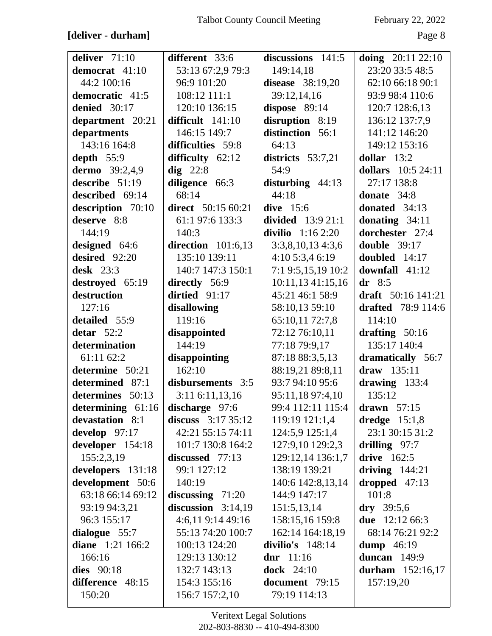## **[deliver - durham]** Page 8

| deliver 71:10                        | different 33:6            | discussions $141:5$     | doing 20:11 22:10         |
|--------------------------------------|---------------------------|-------------------------|---------------------------|
| democrat 41:10                       | 53:13 67:2,9 79:3         | 149:14,18               | 23:20 33:5 48:5           |
| 44:2 100:16                          | 96:9 101:20               | <b>disease</b> 38:19,20 | 62:10 66:18 90:1          |
| democratic 41:5                      | 108:12 111:1              | 39:12,14,16             | 93:9 98:4 110:6           |
| denied 30:17                         | 120:10 136:15             | dispose 89:14           | 120:7 128:6,13            |
| department 20:21                     | difficult $141:10$        | disruption 8:19         | 136:12 137:7,9            |
| departments                          | 146:15 149:7              | distinction 56:1        | 141:12 146:20             |
| 143:16 164:8                         | difficulties 59:8         | 64:13                   | 149:12 153:16             |
| depth $55:9$                         | difficulty $62:12$        | districts $53:7,21$     | dollar $13:2$             |
| dermo 39:2,4,9                       | $\text{dig } 22:8$        | 54:9                    | dollars 10:5 24:11        |
| describe 51:19                       | diligence 66:3            | disturbing $44:13$      | 27:17 138:8               |
| described 69:14                      | 68:14                     | 44:18                   | donate 34:8               |
| description 70:10                    | <b>direct</b> 50:15 60:21 | dive $15:6$             | donated $34:13$           |
| deserve 8:8                          | 61:1 97:6 133:3           | divided $13:921:1$      | donating $34:11$          |
| 144:19                               | 140:3                     | divilio $1:162:20$      | dorchester 27:4           |
| designed 64:6                        | direction $101:6,13$      | 3:3,8,10,134:3,6        | double $39:17$            |
| desired 92:20                        | 135:10 139:11             | 4:10 5:3,4 6:19         | doubled 14:17             |
| desk $23:3$                          | 140:7 147:3 150:1         | 7:1 9:5,15,19 10:2      | downfall 41:12            |
| destroyed 65:19                      | directly 56:9             | 10:11,13 41:15,16       | $dr$ 8:5                  |
| destruction                          | dirtied $91:17$           | 45:21 46:1 58:9         | draft $50:16$ 141:21      |
| 127:16                               | disallowing               | 58:10,13 59:10          | <b>drafted</b> 78:9 114:6 |
| detailed 55:9                        | 119:16                    | 65:10,11 72:7,8         | 114:10                    |
| detar $52:2$                         | disappointed              | 72:12 76:10,11          | drafting $50:16$          |
| determination                        | 144:19                    | 77:18 79:9,17           | 135:17 140:4              |
| 61:11 62:2                           | disappointing             | 87:18 88:3,5,13         | dramatically 56:7         |
| determine 50:21                      | 162:10                    | 88:19,21 89:8,11        | draw 135:11               |
| determined 87:1                      | disbursements 3:5         | 93:7 94:10 95:6         | drawing $133:4$           |
| determines 50:13                     | $3:11$ 6:11,13,16         | 95:11,18 97:4,10        | 135:12                    |
| determining $61:16$ discharge $97:6$ |                           | 99:4 112:11 115:4       | drawn $57:15$             |
| devastation 8:1                      | discuss $3:1735:12$       | 119:19 121:1,4          | dredge $15:1,8$           |
| develop $97:17$                      | 42:21 55:15 74:11         | 124:5,9 125:1,4         | 23:1 30:15 31:2           |
| developer 154:18                     | 101:7 130:8 164:2         | 127:9,10 129:2,3        | drilling $97:7$           |
| 155:2,3,19                           | discussed 77:13           | 129:12,14 136:1,7       | drive 162:5               |
| developers 131:18                    | 99:1 127:12               | 138:19 139:21           | driving $144:21$          |
| development 50:6                     | 140:19                    | 140:6 142:8,13,14       | dropped $47:13$           |
| 63:18 66:14 69:12                    | discussing $71:20$        | 144:9 147:17            | 101:8                     |
| 93:19 94:3,21                        | discussion $3:14,19$      | 151:5,13,14             | $\bf{dry}$ 39:5,6         |
| 96:3 155:17                          | 4:6,119:1449:16           | 158:15,16 159:8         | <b>due</b> 12:12 66:3     |
| dialogue $55:7$                      | 55:13 74:20 100:7         | 162:14 164:18,19        | 68:14 76:21 92:2          |
| diane 1:21 166:2                     | 100:13 124:20             | divilio's $148:14$      | dump $46:19$              |
| 166:16                               | 129:13 130:12             | dnr $11:16$             | duncan $149:9$            |
| dies $90:18$                         | 132:7 143:13              | dock $24:10$            | durham $152:16,17$        |
| difference 48:15                     | 154:3 155:16              | document 79:15          | 157:19,20                 |
| 150:20                               | 156:7 157:2,10            | 79:19 114:13            |                           |
|                                      |                           |                         |                           |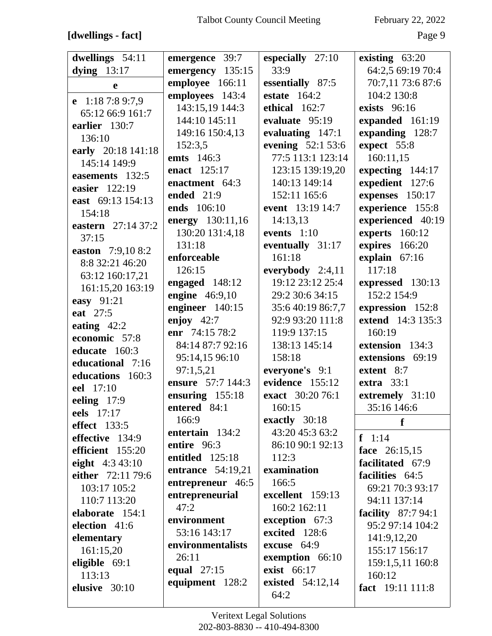### [dwellings - fact]

February 22, 2022

| dwellings 54:11     | emergence 39:7           | especially 27:10   | existing 63:20      |
|---------------------|--------------------------|--------------------|---------------------|
| dying $13:17$       | emergency 135:15         | 33:9               | 64:2,5 69:19 70:4   |
| e                   | employee 166:11          | essentially 87:5   | 70:7,11 73:6 87:6   |
|                     | employees 143:4          | estate $164:2$     | 104:2 130:8         |
| e $1:187:89:7,9$    | 143:15,19 144:3          | ethical 162:7      | exists 96:16        |
| 65:12 66:9 161:7    | 144:10 145:11            | evaluate 95:19     | expanded 161:19     |
| earlier 130:7       | 149:16 150:4,13          | evaluating 147:1   | expanding 128:7     |
| 136:10              | 152:3,5                  | evening 52:1 53:6  | expect 55:8         |
| early 20:18 141:18  | <b>emts</b> 146:3        | 77:5 113:1 123:14  | 160:11,15           |
| 145:14 149:9        | enact 125:17             | 123:15 139:19,20   | expecting 144:17    |
| easements 132:5     | enactment 64:3           | 140:13 149:14      | expedient 127:6     |
| easier 122:19       | ended 21:9               | 152:11 165:6       |                     |
| east 69:13 154:13   |                          |                    | expenses 150:17     |
| 154:18              | ends 106:10              | event 13:19 14:7   | experience 155:8    |
| eastern 27:14 37:2  | energy 130:11,16         | 14:13,13           | experienced 40:19   |
| 37:15               | 130:20 131:4,18          | events $1:10$      | experts 160:12      |
| easton 7:9,10 8:2   | 131:18                   | eventually 31:17   | expires 166:20      |
| 8:8 32:21 46:20     | enforceable              | 161:18             | explain 67:16       |
| 63:12 160:17,21     | 126:15                   | everybody $2:4,11$ | 117:18              |
| 161:15,20 163:19    | engaged 148:12           | 19:12 23:12 25:4   | expressed 130:13    |
| easy 91:21          | engine $46:9,10$         | 29:2 30:6 34:15    | 152:2 154:9         |
| eat 27:5            | engineer 140:15          | 35:6 40:19 86:7,7  | expression 152:8    |
|                     | enjoy $42:7$             | 92:9 93:20 111:8   | extend 14:3 135:3   |
| eating $42:2$       | enr 74:15 78:2           | 119:9 137:15       | 160:19              |
| economic 57:8       | 84:14 87:7 92:16         | 138:13 145:14      | extension 134:3     |
| educate 160:3       | 95:14,15 96:10           | 158:18             | extensions 69:19    |
| educational 7:16    | 97:1,5,21                | everyone's 9:1     | extent 8:7          |
| educations 160:3    | ensure 57:7 144:3        | evidence 155:12    | extra $33:1$        |
| eel 17:10           | ensuring 155:18          | exact 30:20 76:1   | extremely 31:10     |
| eeling 17:9         | entered 84:1             | 160:15             | 35:16 146:6         |
| eels 17:17          | 166:9                    | exactly 30:18      |                     |
| <b>effect</b> 133:5 | entertain 134:2          | 43:20 45:3 63:2    | f                   |
| effective 134:9     | entire 96:3              | 86:10 90:1 92:13   | $f \quad 1:14$      |
| efficient 155:20    | entitled 125:18          | 112:3              | face 26:15,15       |
| eight 4:3 43:10     |                          |                    | facilitated 67:9    |
| either 72:11 79:6   | <b>entrance</b> 54:19,21 | examination        | facilities 64:5     |
| 103:17 105:2        | entrepreneur 46:5        | 166:5              | 69:21 70:3 93:17    |
| 110:7 113:20        | entrepreneurial          | excellent 159:13   | 94:11 137:14        |
| elaborate 154:1     | 47:2                     | 160:2 162:11       | facility $87:794:1$ |
| election 41:6       | environment              | exception 67:3     | 95:2 97:14 104:2    |
| elementary          | 53:16 143:17             | excited 128:6      | 141:9,12,20         |
| 161:15,20           | environmentalists        | excuse 64:9        | 155:17 156:17       |
| eligible $69:1$     | 26:11                    | exemption 66:10    | 159:1,5,11 160:8    |
| 113:13              | equal 27:15              | exist 66:17        | 160:12              |
| elusive 30:10       | equipment 128:2          | existed 54:12,14   | fact 19:11 111:8    |
|                     |                          | 64:2               |                     |
|                     |                          |                    |                     |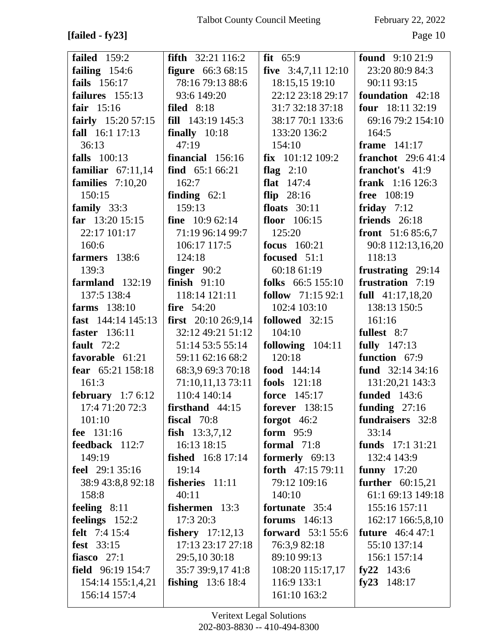**[failed - fy23]** Page 10

| <b>failed</b> 159:2    | <b>fifth</b> $32:21\,116:2$  | fit $65:9$                | <b>found</b> $9:1021:9$    |
|------------------------|------------------------------|---------------------------|----------------------------|
| failing $154:6$        | <b>figure</b> 66:3 68:15     | five $3:4,7,11$ 12:10     | 23:20 80:9 84:3            |
| fails 156:17           | 78:16 79:13 88:6             | 18:15,15 19:10            | 90:11 93:15                |
| failures 155:13        | 93:6 149:20                  | 22:12 23:18 29:17         | foundation 42:18           |
| fair $15:16$           | filed $8:18$                 | 31:7 32:18 37:18          | four 18:11 32:19           |
| fairly $15:2057:15$    | <b>fill</b> $143:19$ $145:3$ | 38:17 70:1 133:6          | 69:16 79:2 154:10          |
| fall 16:1 17:13        | finally $10:18$              | 133:20 136:2              | 164:5                      |
| 36:13                  | 47:19                        | 154:10                    | frame $141:17$             |
| <b>falls</b> 100:13    | financial 156:16             | $fix$ 101:12 109:2        | <b>franchot</b> $29:641:4$ |
| familiar $67:11,14$    | find $65:166:21$             | flag $2:10$               | franchot's 41:9            |
| families $7:10,20$     | 162:7                        | flat $147:4$              | <b>frank</b> $1:16$ 126:3  |
| 150:15                 | finding $62:1$               | flip $28:16$              | free 108:19                |
| family $33:3$          | 159:13                       | floats $30:11$            | friday $7:12$              |
| far $13:20$ 15:15      | <b>fine</b> $10:962:14$      | floor $106:15$            | friends 26:18              |
| 22:17 101:17           | 71:19 96:14 99:7             | 125:20                    | front $51:685:6,7$         |
| 160:6                  | 106:17 117:5                 | <b>focus</b> 160:21       | 90:8 112:13,16,20          |
| farmers 138:6          | 124:18                       | focused 51:1              | 118:13                     |
| 139:3                  | finger $90:2$                | 60:18 61:19               | frustrating 29:14          |
| farmland $132:19$      | finish $91:10$               | folks 66:5 155:10         | frustration 7:19           |
| 137:5 138:4            | 118:14 121:11                | follow $71:1592:1$        | full $41:17,18,20$         |
| farms $138:10$         | fire $54:20$                 | 102:4 103:10              | 138:13 150:5               |
| fast $144:14$ $145:13$ | first 20:10 26:9,14          | followed 32:15            | 161:16                     |
| <b>faster</b> 136:11   | 32:12 49:21 51:12            | 104:10                    | fullest 8:7                |
| fault $72:2$           | 51:14 53:5 55:14             | following $104:11$        | <b>fully</b> 147:13        |
| favorable 61:21        | 59:11 62:16 68:2             | 120:18                    | function 67:9              |
| fear 65:21 158:18      | 68:3,9 69:3 70:18            | food $144:14$             | fund $32:1434:16$          |
| 161:3                  | 71:10,11,13 73:11            | <b>fools</b> 121:18       | 131:20,21 143:3            |
| february $1:76:12$     | 110:4 140:14                 | force 145:17              | <b>funded</b> 143:6        |
| 17:4 71:20 72:3        | $firsthand$ 44:15            | <b>forever</b> 138:15     | funding $27:16$            |
| 101:10                 | fiscal $70:8$                | forgot $46:2$             | fundraisers 32:8           |
| fee 131:16             | fish $13:3,7,12$             | form $95:9$               | 33:14                      |
| feedback 112:7         | 16:13 18:15                  | formal $71:8$             | funds $17:131:21$          |
| 149:19                 | <b>fished</b> 16:8 17:14     | formerly 69:13            | 132:4 143:9                |
| feel 29:1 35:16        | 19:14                        | forth $47:1579:11$        | funny $17:20$              |
| 38:9 43:8,8 92:18      | fisheries 11:11              | 79:12 109:16              | further $60:15,21$         |
| 158:8                  | 40:11                        | 140:10                    | 61:1 69:13 149:18          |
| feeling $8:11$         | fishermen 13:3               | fortunate 35:4            | 155:16 157:11              |
| feelings $152:2$       | 17:3 20:3                    | forums $146:13$           | 162:17 166:5,8,10          |
| felt 7:4 15:4          | <b>fishery</b> 17:12,13      | <b>forward</b> $53:155:6$ | <b>future</b> 46:4 47:1    |
| fest 33:15             | 17:13 23:17 27:18            | 76:3,9 82:18              | 55:10 137:14               |
| fiasco $27:1$          | 29:5,10 30:18                | 89:10 99:13               | 156:1 157:14               |
| field $96:19$ 154:7    | 35:7 39:9,17 41:8            | 108:20 115:17,17          | fy22 $143:6$               |
| 154:14 155:1,4,21      | <b>fishing</b> $13:618:4$    | 116:9 133:1               | fy23 $148:17$              |
| 156:14 157:4           |                              | 161:10 163:2              |                            |
|                        |                              |                           |                            |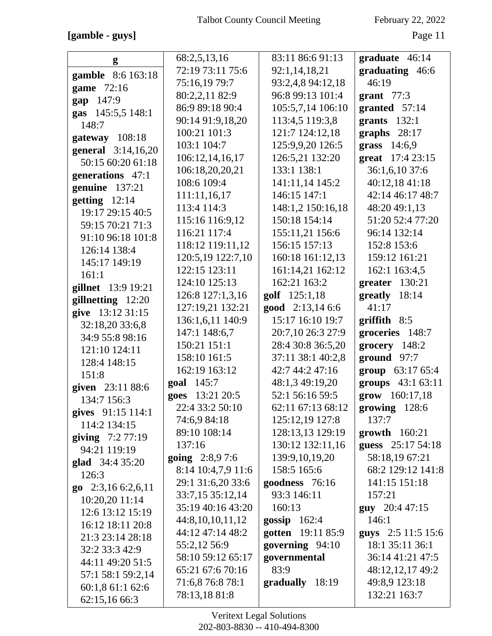**[gamble - guys]** Page 11

| g                   | 68:2,5,13,16       | 83:11 86:6 91:13  | graduate 46:14         |
|---------------------|--------------------|-------------------|------------------------|
|                     | 72:19 73:11 75:6   | 92:1,14,18,21     | graduating 46:6        |
| gamble 8:6 163:18   | 75:16,19 79:7      | 93:2,4,8 94:12,18 | 46:19                  |
| game 72:16          | 80:2,2,11 82:9     | 96:8 99:13 101:4  | grant $77:3$           |
| gap 147:9           | 86:9 89:18 90:4    | 105:5,7,14 106:10 | granted 57:14          |
| gas 145:5,5 148:1   | 90:14 91:9,18,20   | 113:4,5 119:3,8   | grants $132:1$         |
| 148:7               | 100:21 101:3       | 121:7 124:12,18   | graphs $28:17$         |
| gateway 108:18      | 103:1 104:7        | 125:9,9,20 126:5  | grass 14:6,9           |
| general 3:14,16,20  | 106:12,14,16,17    | 126:5,21 132:20   | great 17:4 23:15       |
| 50:15 60:20 61:18   | 106:18,20,20,21    | 133:1 138:1       | 36:1,6,10 37:6         |
| generations 47:1    | 108:6 109:4        | 141:11,14 145:2   | 40:12,18 41:18         |
| genuine 137:21      | 111:11,16,17       | 146:15 147:1      | 42:14 46:17 48:7       |
| getting $12:14$     | 113:4 114:3        | 148:1,2 150:16,18 | 48:20 49:1,13          |
| 19:17 29:15 40:5    | 115:16 116:9,12    | 150:18 154:14     | 51:20 52:4 77:20       |
| 59:15 70:21 71:3    | 116:21 117:4       | 155:11,21 156:6   | 96:14 132:14           |
| 91:10 96:18 101:8   | 118:12 119:11,12   | 156:15 157:13     | 152:8 153:6            |
| 126:14 138:4        | 120:5,19 122:7,10  | 160:18 161:12,13  | 159:12 161:21          |
| 145:17 149:19       | 122:15 123:11      | 161:14,21 162:12  | 162:1 163:4,5          |
| 161:1               | 124:10 125:13      | 162:21 163:2      |                        |
| gillnet 13:9 19:21  |                    |                   | greater 130:21         |
| gillnetting 12:20   | 126:8 127:1,3,16   | golf 125:1,18     | greatly 18:14<br>41:17 |
| give 13:12 31:15    | 127:19,21 132:21   | good 2:13,14 6:6  |                        |
| 32:18,20 33:6,8     | 136:1,6,11 140:9   | 15:17 16:10 19:7  | $griffith \t 8:5$      |
| 34:9 55:8 98:16     | 147:1 148:6,7      | 20:7,10 26:3 27:9 | groceries 148:7        |
| 121:10 124:11       | 150:21 151:1       | 28:4 30:8 36:5,20 | $grocery$ 148:2        |
| 128:4 148:15        | 158:10 161:5       | 37:11 38:1 40:2,8 | ground 97:7            |
| 151:8               | 162:19 163:12      | 42:7 44:2 47:16   | group 63:17 65:4       |
| given 23:11 88:6    | goal 145:7         | 48:1,3 49:19,20   | groups 43:1 63:11      |
| 134:7 156:3         | goes 13:21 20:5    | 52:1 56:16 59:5   | grow 160:17,18         |
| gives $91:15$ 114:1 | 22:4 33:2 50:10    | 62:11 67:13 68:12 | growing 128:6          |
| 114:2 134:15        | 74:6,9 84:18       | 125:12,19 127:8   | 137:7                  |
| giving 7:2 77:19    | 89:10 108:14       | 128:13,13 129:19  | $growth$ 160:21        |
| 94:21 119:19        | 137:16             | 130:12 132:11,16  | guess 25:17 54:18      |
| glad 34:4 35:20     | going 2:8,97:6     | 139:9,10,19,20    | 58:18,19 67:21         |
| 126:3               | 8:14 10:4,7,9 11:6 | 158:5 165:6       | 68:2 129:12 141:8      |
| go $2:3,166:2,6,11$ | 29:1 31:6,20 33:6  | goodness 76:16    | 141:15 151:18          |
| 10:20,20 11:14      | 33:7,15 35:12,14   | 93:3 146:11       | 157:21                 |
| 12:6 13:12 15:19    | 35:19 40:16 43:20  | 160:13            | <b>guy</b> 20:4 47:15  |
| 16:12 18:11 20:8    | 44:8,10,10,11,12   | gossip $162:4$    | 146:1                  |
| 21:3 23:14 28:18    | 44:12 47:14 48:2   | gotten 19:11 85:9 | guys 2:5 11:5 15:6     |
| 32:2 33:3 42:9      | 55:2,12 56:9       | governing 94:10   | 18:1 35:11 36:1        |
| 44:11 49:20 51:5    | 58:10 59:12 65:17  | governmental      | 36:14 41:21 47:5       |
| 57:1 58:1 59:2,14   | 65:21 67:6 70:16   | 83:9              | 48:12,12,17 49:2       |
| 60:1,8 61:1 62:6    | 71:6,8 76:8 78:1   | gradually 18:19   | 49:8,9 123:18          |
| 62:15,16 66:3       | 78:13,1881:8       |                   | 132:21 163:7           |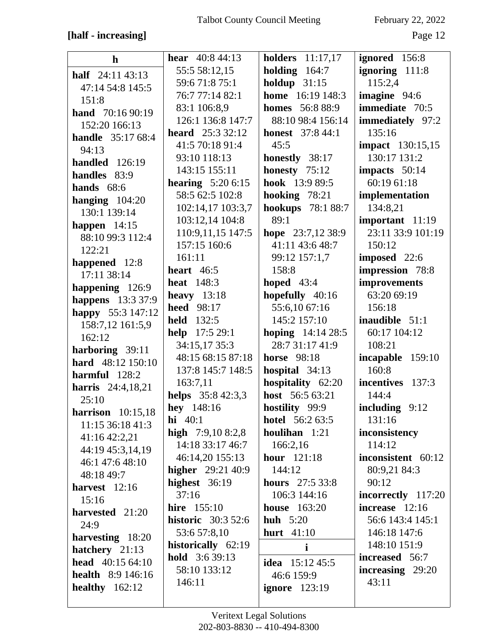## [half - increasing]

February 22, 2022

| $\mathbf{h}$                               | <b>hear</b> $40:844:13$   | holders $11:17,17$          | ignored 156:8           |
|--------------------------------------------|---------------------------|-----------------------------|-------------------------|
| half $24:1143:13$                          | 55:5 58:12,15             | holding $164:7$             | ignoring 111:8          |
| 47:14 54:8 145:5                           | 59:6 71:8 75:1            | holdup $31:15$              | 115:2,4                 |
| 151:8                                      | 76:7 77:14 82:1           | <b>home</b> 16:19 148:3     | imagine 94:6            |
| hand 70:16 90:19                           | 83:1 106:8,9              | <b>homes</b> 56:8 88:9      | immediate 70:5          |
| 152:20 166:13                              | 126:1 136:8 147:7         | 88:10 98:4 156:14           | immediately 97:2        |
| <b>handle</b> 35:17 68:4                   | <b>heard</b> $25:33:2:12$ | <b>honest</b> 37:8 44:1     | 135:16                  |
| 94:13                                      | 41:5 70:18 91:4           | 45:5                        | <b>impact</b> 130:15,15 |
| handled $126:19$                           | 93:10 118:13              | honestly 38:17              | 130:17 131:2            |
| handles 83:9                               | 143:15 155:11             | honesty $75:12$             | impacts 50:14           |
| hands $68:6$                               | <b>hearing</b> $5:206:15$ | hook 13:9 89:5              | 60:19 61:18             |
|                                            | 58:5 62:5 102:8           | hooking $78:21$             | implementation          |
| hanging $104:20$<br>130:1 139:14           | 102:14,17 103:3,7         | hookups 78:1 88:7           | 134:8,21                |
|                                            | 103:12,14 104:8           | 89:1                        | important 11:19         |
| happen $14:15$<br>88:10 99:3 112:4         | 110:9,11,15 147:5         | hope 23:7,12 38:9           | 23:11 33:9 101:19       |
| 122:21                                     | 157:15 160:6              | 41:11 43:6 48:7             | 150:12                  |
|                                            | 161:11                    | 99:12 157:1,7               | imposed 22:6            |
| happened 12:8<br>17:11 38:14               | heart $46:5$              | 158:8                       | impression 78:8         |
|                                            | <b>heat</b> 148:3         | hoped $43:4$                | improvements            |
| happening 126:9                            | heavy $13:18$             | hopefully 40:16             | 63:20 69:19             |
| happens 13:3 37:9                          | <b>heed</b> 98:17         | 55:6,10 67:16               | 156:18                  |
| happy 55:3 147:12                          | <b>held</b> 132:5         | 145:2 157:10                | inaudible 51:1          |
| 158:7,12 161:5,9<br>162:12                 | help 17:5 29:1            | <b>hoping</b> $14:14\,28:5$ | 60:17 104:12            |
|                                            | 34:15,17 35:3             | 28:7 31:17 41:9             | 108:21                  |
| harboring 39:11<br>hard 48:12 150:10       | 48:15 68:15 87:18         | <b>horse</b> 98:18          | incapable 159:10        |
| harmful $128:2$                            | 137:8 145:7 148:5         | hospital $34:13$            | 160:8                   |
|                                            | 163:7,11                  | hospitality 62:20           | incentives 137:3        |
| <b>harris</b> 24:4,18,21                   | helps 35:8 42:3,3         | host 56:5 63:21             | 144:4                   |
| 25:10                                      | hey $148:16$              | hostility 99:9              | including 9:12          |
| harrison $10:15,18$<br>11:15 36:18 41:3    | <b>hi</b> $40:1$          | <b>hotel</b> 56:2 63:5      | 131:16                  |
|                                            | high $7:9,108:2,8$        | houlihan 1:21               | inconsistency           |
| 41:16 42:2,21<br>44:19 45:3,14,19          | 14:18 33:17 46:7          | 166:2,16                    | 114:12                  |
| 46:1 47:6 48:10                            | 46:14,20 155:13           | <b>hour</b> 121:18          | inconsistent 60:12      |
|                                            | <b>higher</b> 29:21 40:9  | 144:12                      | 80:9,21 84:3            |
| 48:18 49:7<br>harvest $12:16$              | highest $36:19$           | <b>hours</b> 27:5 33:8      | 90:12                   |
| 15:16                                      | 37:16                     | 106:3 144:16                | incorrectly 117:20      |
|                                            | <b>hire</b> 155:10        | <b>house</b> 163:20         | increase $12:16$        |
| harvested 21:20<br>24:9                    | <b>historic</b> 30:3 52:6 | huh $5:20$                  | 56:6 143:4 145:1        |
|                                            | 53:6 57:8,10              | <b>hurt</b> 41:10           | 146:18 147:6            |
| harvesting 18:20                           | historically 62:19        | i                           | 148:10 151:9            |
| hatchery 21:13<br><b>head</b> $40:1564:10$ | <b>hold</b> $3:639:13$    |                             | <b>increased</b> 56:7   |
| health 8:9 146:16                          | 58:10 133:12              | <b>idea</b> 15:12 45:5      | increasing 29:20        |
|                                            | 146:11                    | 46:6 159:9                  | 43:11                   |
| healthy $162:12$                           |                           | ignore $123:19$             |                         |
|                                            |                           |                             |                         |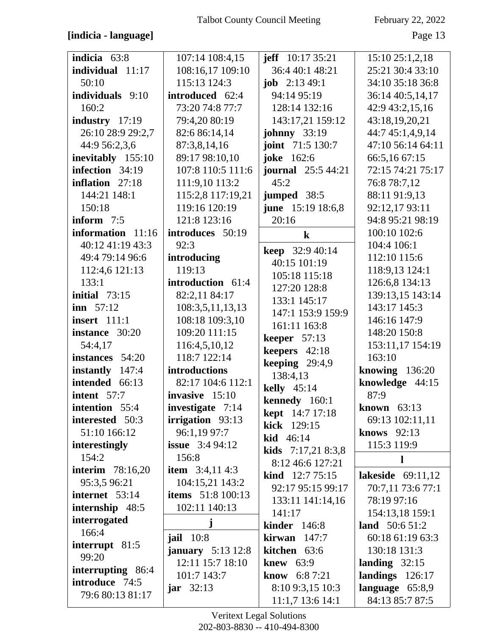### **[indicia - language]** Page 13

| indicia 63:8             | 107:14 108:4,15             | jeff $10:1735:21$         | 15:1025:1,2,18      |
|--------------------------|-----------------------------|---------------------------|---------------------|
| individual 11:17         | 108:16,17 109:10            | 36:4 40:1 48:21           | 25:21 30:4 33:10    |
| 50:10                    | 115:13 124:3                | <b>job</b> $2:1349:1$     | 34:10 35:18 36:8    |
| individuals 9:10         | introduced 62:4             | 94:14 95:19               | 36:14 40:5,14,17    |
| 160:2                    | 73:20 74:8 77:7             | 128:14 132:16             |                     |
|                          |                             |                           | 42:9 43:2,15,16     |
| industry 17:19           | 79:4,20 80:19               | 143:17,21 159:12          | 43:18,19,20,21      |
| 26:10 28:9 29:2,7        | 82:6 86:14,14               | <b>johnny</b> 33:19       | 44:7 45:1,4,9,14    |
| 44:9 56:2,3,6            | 87:3,8,14,16                | joint 71:5 130:7          | 47:10 56:14 64:11   |
| inevitably 155:10        | 89:17 98:10,10              | joke 162:6                | 66:5,16 67:15       |
| infection 34:19          | 107:8 110:5 111:6           | <b>journal</b> 25:5 44:21 | 72:15 74:21 75:17   |
| inflation 27:18          | 111:9,10 113:2              | 45:2                      | 76:8 78:7,12        |
| 144:21 148:1             | 115:2,8 117:19,21           | jumped $38:5$             | 88:11 91:9,13       |
| 150:18                   | 119:16 120:19               | <b>june</b> 15:19 18:6,8  | 92:12,17 93:11      |
| inform 7:5               | 121:8 123:16                | 20:16                     | 94:8 95:21 98:19    |
| information 11:16        | introduces 50:19            | $\bf k$                   | 100:10 102:6        |
| 40:12 41:19 43:3         | 92:3                        |                           | 104:4 106:1         |
| 49:4 79:14 96:6          | introducing                 | keep 32:9 40:14           | 112:10 115:6        |
| 112:4,6 121:13           | 119:13                      | 40:15 101:19              | 118:9,13 124:1      |
| 133:1                    | introduction 61:4           | 105:18 115:18             | 126:6,8 134:13      |
| initial $73:15$          | 82:2,11 84:17               | 127:20 128:8              | 139:13,15 143:14    |
| $\text{inn} \quad 57:12$ | 108:3,5,11,13,13            | 133:1 145:17              | 143:17 145:3        |
|                          |                             | 147:1 153:9 159:9         |                     |
| <b>insert</b> 111:1      | 108:18 109:3,10             | 161:11 163:8              | 146:16 147:9        |
| instance 30:20           | 109:20 111:15               | keeper $57:13$            | 148:20 150:8        |
| 54:4,17                  | 116:4,5,10,12               | keepers 42:18             | 153:11,17 154:19    |
| instances 54:20          | 118:7 122:14                | keeping $29:4,9$          | 163:10              |
| instantly 147:4          | introductions               | 138:4,13                  | knowing $136:20$    |
| intended 66:13           | 82:17 104:6 112:1           | kelly $45:14$             | knowledge 44:15     |
| intent 57:7              | invasive 15:10              | kennedy 160:1             | 87:9                |
| intention 55:4           | <b>investigate</b> 7:14     | <b>kept</b> 14:7 17:18    | known 63:13         |
| interested 50:3          | irrigation 93:13            | kick 129:15               | 69:13 102:11,11     |
| 51:10 166:12             | 96:1,19 97:7                | kid 46:14                 | knows 92:13         |
| interestingly            | <b>issue</b> $3:494:12$     |                           | 115:3 119:9         |
| 154:2                    | 156:8                       | kids 7:17,21 8:3,8        | l                   |
| <b>interim</b> 78:16,20  | <b>item</b> $3:4,114:3$     | 8:12 46:6 127:21          |                     |
| 95:3,5 96:21             | 104:15,21 143:2             | kind 12:7 75:15           | lakeside $69:11,12$ |
| internet 53:14           | <b>items</b> 51:8 100:13    | 92:17 95:15 99:17         | 70:7,11 73:6 77:1   |
| internship 48:5          | 102:11 140:13               | 133:11 141:14,16          | 78:19 97:16         |
| interrogated             |                             | 141:17                    | 154:13,18 159:1     |
| 166:4                    | j                           | <b>kinder</b> 146:8       | land $50:651:2$     |
| interrupt 81:5           | <b>jail</b> 10:8            | kirwan $147:7$            | 60:18 61:19 63:3    |
| 99:20                    | <b>january</b> $5:13\ 12:8$ | kitchen 63:6              | 130:18 131:3        |
| interrupting 86:4        | 12:11 15:7 18:10            | knew $63:9$               | landing $32:15$     |
| introduce 74:5           | 101:7 143:7                 | know 6:87:21              | landings $126:17$   |
|                          | jar $32:13$                 | 8:10 9:3,15 10:3          | language $65:8,9$   |
| 79:6 80:13 81:17         |                             | 11:1,7 13:6 14:1          | 84:13 85:7 87:5     |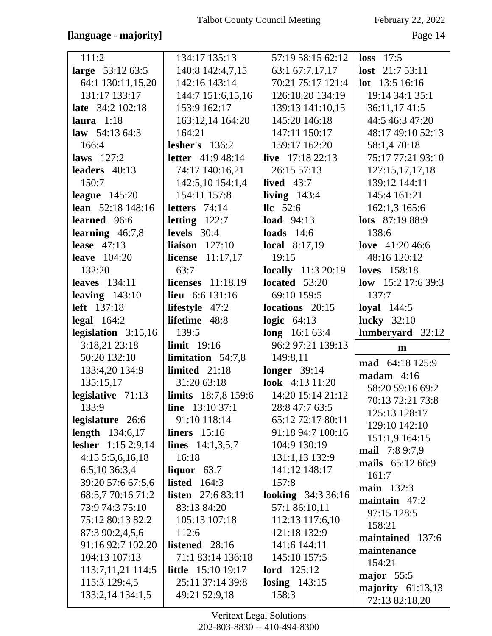### **[language - majority]** Page 14

| 111:2                              | 134:17 135:13              | 57:19 58:15 62:12         | $loss$ 17:5                           |
|------------------------------------|----------------------------|---------------------------|---------------------------------------|
|                                    | 140:8 142:4,7,15           | 63:1 67:7,17,17           | lost $21:753:11$                      |
| large 53:12 63:5                   | 142:16 143:14              | 70:21 75:17 121:4         | <b>lot</b> $13:5 16:16$               |
| 64:1 130:11,15,20<br>131:17 133:17 | 144:7 151:6,15,16          |                           | 19:14 34:1 35:1                       |
|                                    |                            | 126:18,20 134:19          |                                       |
| late 34:2 102:18                   | 153:9 162:17               | 139:13 141:10,15          | 36:11,1741:5                          |
| laura $1:18$                       | 163:12,14 164:20           | 145:20 146:18             | 44:5 46:3 47:20                       |
| law $54:1364:3$                    | 164:21                     | 147:11 150:17             | 48:17 49:10 52:13                     |
| 166:4                              | lesher's $136:2$           | 159:17 162:20             | 58:1,470:18                           |
| laws $127:2$                       | <b>letter</b> 41:9 48:14   | live $17:1822:13$         | 75:17 77:21 93:10                     |
| leaders $40:13$                    | 74:17 140:16,21            | 26:15 57:13               | 127:15,17,17,18                       |
| 150:7                              | 142:5,10 154:1,4           | lived $43:7$              | 139:12 144:11                         |
| league $145:20$                    | 154:11 157:8               | living $143:4$            | 145:4 161:21                          |
| lean 52:18 148:16                  | letters $74:14$            | $\text{llc}$ 52:6         | 162:1,3 165:6                         |
| learned 96:6                       | letting $122:7$            | <b>load</b> 94:13         | lots 87:19 88:9                       |
| learning $46:7,8$                  | levels $30:4$              | loads $14:6$              | 138:6                                 |
| lease $47:13$                      | liaison $127:10$           | <b>local</b> $8:17,19$    | love $41:2046:6$                      |
| leave $104:20$                     | license $11:17,17$         | 19:15                     | 48:16 120:12                          |
| 132:20                             | 63:7                       | <b>locally</b> 11:3 20:19 | <b>loves</b> 158:18                   |
| leaves $134:11$                    | licenses 11:18,19          | located 53:20             | low $15:2$ 17:6 39:3                  |
| leaving $143:10$                   | lieu 6:6 131:16            | 69:10 159:5               | 137:7                                 |
| <b>left</b> 137:18                 | lifestyle 47:2             | locations 20:15           | loyal $144:5$                         |
| $\text{legal } 164:2$              | lifetime 48:8              | logic $64:13$             | <b>lucky</b> 32:10                    |
|                                    |                            |                           |                                       |
| legislation $3:15,16$              | 139:5                      | long 16:1 63:4            | lumberyard $32:12$                    |
| 3:18,21 23:18                      | limit $19:16$              | 96:2 97:21 139:13         | m                                     |
| 50:20 132:10                       | limitation $54:7,8$        | 149:8,11                  |                                       |
| 133:4,20 134:9                     | limited $21:18$            | longer $39:14$            | mad 64:18 125:9                       |
| 135:15,17                          | 31:20 63:18                | look 4:13 11:20           | madam $4:16$                          |
| legislative $71:13$                | <b>limits</b> 18:7,8 159:6 | 14:20 15:14 21:12         | 58:20 59:16 69:2                      |
| 133:9                              | <b>line</b> $13:1037:1$    | 28:8 47:7 63:5            | 70:13 72:21 73:8                      |
| legislature 26:6                   | 91:10 118:14               | 65:12 72:17 80:11         | 125:13 128:17                         |
| length $134:6,17$                  | liners $15:16$             | 91:18 94:7 100:16         | 129:10 142:10                         |
| <b>lesher</b> 1:15 2:9,14          | lines $14:1,3,5,7$         | 104:9 130:19              | 151:1,9 164:15                        |
| 4:155:5.6,16.18                    | 16:18                      | 131:1,13 132:9            | mail 7:8 9:7,9                        |
| 6:5,10 36:3,4                      | liquor $63:7$              | 141:12 148:17             | mails 65:12 66:9                      |
| 39:20 57:6 67:5,6                  | listed $164:3$             | 157:8                     | 161:7                                 |
| 68:5,7 70:16 71:2                  | <b>listen</b> 27:6 83:11   | <b>looking</b> 34:3 36:16 | main 132:3                            |
| 73:9 74:3 75:10                    | 83:13 84:20                | 57:1 86:10,11             | maintain $47:2$                       |
| 75:12 80:13 82:2                   | 105:13 107:18              | 112:13 117:6,10           | 97:15 128:5                           |
| 87:3 90:2,4,5,6                    | 112:6                      | 121:18 132:9              | 158:21                                |
| 91:16 92:7 102:20                  | listened 28:16             | 141:6 144:11              | maintained 137:6                      |
| 104:13 107:13                      | 71:1 83:14 136:18          | 145:10 157:5              | maintenance                           |
| 113:7,11,21 114:5                  | <b>little</b> 15:10 19:17  | <b>lord</b> 125:12        | 154:21                                |
|                                    | 25:11 37:14 39:8           |                           | major 55:5                            |
| 115:3 129:4,5<br>133:2,14 134:1,5  | 49:21 52:9,18              | losing $143:15$<br>158:3  | majority $61:13,13$<br>72:13 82:18,20 |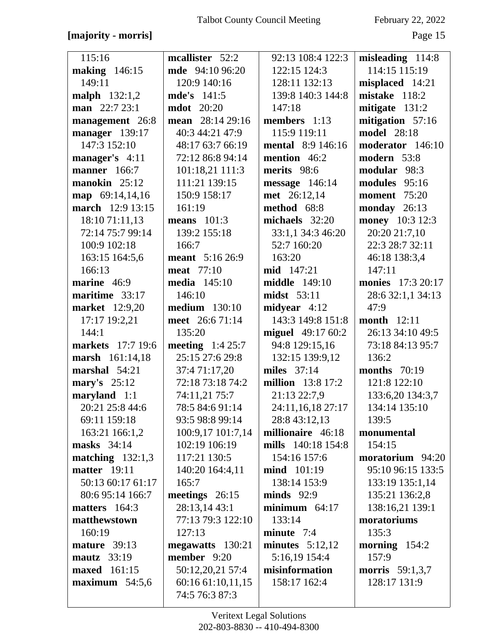### [majority - morris]

February 22, 2022

| 115:16                   | mcallister 52:2        | 92:13 108:4 122:3        | misleading $114:8$     |
|--------------------------|------------------------|--------------------------|------------------------|
| making $146:15$          | <b>mde</b> 94:10 96:20 | 122:15 124:3             | 114:15 115:19          |
| 149:11                   | 120:9 140:16           | 128:11 132:13            | misplaced 14:21        |
| malph 132:1,2            | <b>mde's</b> 141:5     | 139:8 140:3 144:8        | mistake 118:2          |
| man $22:723:1$           | <b>mdot</b> 20:20      | 147:18                   | mitigate 131:2         |
| management 26:8          | mean 28:14 29:16       | members 1:13             | mitigation $57:16$     |
| manager 139:17           | 40:3 44:21 47:9        | 115:9 119:11             | <b>model</b> 28:18     |
| 147:3 152:10             | 48:17 63:7 66:19       | <b>mental</b> 8:9 146:16 | moderator 146:10       |
| manager's 4:11           | 72:12 86:8 94:14       | mention 46:2             | modern 53:8            |
| <b>manner</b> 166:7      | 101:18,21 111:3        | merits 98:6              | modular 98:3           |
| manokin 25:12            | 111:21 139:15          | $message$ 146:14         | modules 95:16          |
| $\text{map}$ 69:14,14,16 | 150:9 158:17           | met 26:12,14             | <b>moment</b> 75:20    |
| march 12:9 13:15         | 161:19                 | method 68:8              | monday 26:13           |
| 18:10 71:11,13           | means $101:3$          | michaels 32:20           | money 10:3 12:3        |
| 72:14 75:7 99:14         | 139:2 155:18           | 33:1,1 34:3 46:20        | 20:20 21:7,10          |
| 100:9 102:18             | 166:7                  | 52:7 160:20              | 22:3 28:7 32:11        |
| 163:15 164:5,6           | <b>meant</b> 5:16 26:9 | 163:20                   | 46:18 138:3,4          |
| 166:13                   | <b>meat</b> 77:10      | mid 147:21               | 147:11                 |
| marine 46:9              | <b>media</b> 145:10    | <b>middle</b> 149:10     | monies 17:3 20:17      |
| maritime 33:17           | 146:10                 | midst 53:11              | 28:6 32:1,1 34:13      |
| <b>market</b> 12:9,20    | <b>medium</b> 130:10   | midyear $4:12$           | 47:9                   |
| 17:17 19:2,21            | meet 26:6 71:14        | 143:3 149:8 151:8        | <b>month</b> 12:11     |
| 144:1                    | 135:20                 | miguel 49:17 60:2        | 26:13 34:10 49:5       |
| markets 17:7 19:6        | meeting $1:425:7$      | 94:8 129:15,16           | 73:18 84:13 95:7       |
| marsh 161:14,18          | 25:15 27:6 29:8        | 132:15 139:9,12          | 136:2                  |
| marshal 54:21            | 37:4 71:17,20          | miles $37:14$            | months $70:19$         |
| mary's $25:12$           | 72:18 73:18 74:2       | <b>million</b> 13:8 17:2 | 121:8 122:10           |
| maryland 1:1             | 74:11,21 75:7          | 21:13 22:7,9             | 133:6,20 134:3,7       |
| 20:21 25:8 44:6          | 78:5 84:6 91:14        | 24:11,16,18 27:17        | 134:14 135:10          |
| 69:11 159:18             | 93:5 98:8 99:14        | 28:8 43:12,13            | 139:5                  |
| 163:21 166:1,2           | 100:9,17 101:7,14      | millionaire 46:18        | monumental             |
| masks $34:14$            | 102:19 106:19          | mills 140:18 154:8       | 154:15                 |
| matching $132:1,3$       | 117:21 130:5           | 154:16 157:6             | moratorium 94:20       |
| matter $19:11$           | 140:20 164:4,11        | <b>mind</b> 101:19       | 95:10 96:15 133:5      |
| 50:13 60:17 61:17        | 165:7                  | 138:14 153:9             | 133:19 135:1,14        |
| 80:6 95:14 166:7         | meetings $26:15$       | $minds$ 92:9             | 135:21 136:2,8         |
| matters $164:3$          | 28:13,14 43:1          | minimum $64:17$          | 138:16,21 139:1        |
| matthewstown             | 77:13 79:3 122:10      | 133:14                   | moratoriums            |
| 160:19                   | 127:13                 | minute 7:4               | 135:3                  |
| mature $39:13$           | megawatts 130:21       | minutes $5:12,12$        | morning $154:2$        |
| mautz $33:19$            | member 9:20            | 5:16,19 154:4            | 157:9                  |
| <b>maxed</b> 161:15      | 50:12,20,21 57:4       | misinformation           | <b>morris</b> 59:1,3,7 |
| maximum $54:5,6$         | 60:16 61:10,11,15      | 158:17 162:4             | 128:17 131:9           |
|                          | 74:5 76:3 87:3         |                          |                        |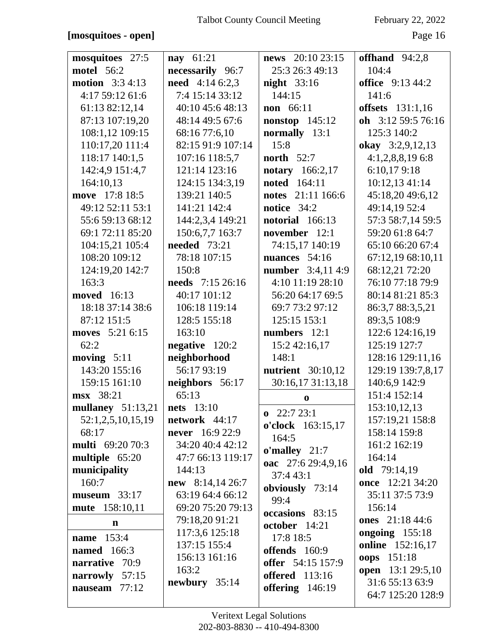### [mosquitoes - open]

| mosquitoes 27:5         | <b>nay</b> $61:21$      | news $20:10\,23:15$                        | offhand $94:2,8$         |
|-------------------------|-------------------------|--------------------------------------------|--------------------------|
| <b>motel</b> 56:2       | necessarily 96:7        | 25:3 26:3 49:13                            | 104:4                    |
| <b>motion</b> 3:3 4:13  | <b>need</b> $4:146:2,3$ | <b>night</b> 33:16                         | <b>office</b> 9:13 44:2  |
| 4:17 59:12 61:6         | 7:4 15:14 33:12         | 144:15                                     | 141:6                    |
| 61:13 82:12,14          | 40:10 45:6 48:13        | <b>non</b> 66:11                           | <b>offsets</b> 131:1,16  |
| 87:13 107:19,20         | 48:14 49:5 67:6         | nonstop $145:12$                           | oh 3:12 59:5 76:16       |
| 108:1,12 109:15         | 68:16 77:6,10           | normally 13:1                              | 125:3 140:2              |
| 110:17,20 111:4         | 82:15 91:9 107:14       | 15:8                                       | okay 3:2,9,12,13         |
| 118:17 140:1,5          | 107:16 118:5,7          | north $52:7$                               | $4:1,2,8,8,19$ 6:8       |
| 142:4,9 151:4,7         | 121:14 123:16           | notary 166:2,17                            | 6:10,179:18              |
| 164:10,13               | 124:15 134:3,19         | <b>noted</b> 164:11                        | 10:12,13 41:14           |
| move 17:8 18:5          | 139:21 140:5            | notes 21:11 166:6                          | 45:18,20 49:6,12         |
| 49:12 52:11 53:1        | 141:21 142:4            | notice $34:2$                              | 49:14,19 52:4            |
| 55:6 59:13 68:12        | 144:2,3,4 149:21        | notorial 166:13                            | 57:3 58:7,14 59:5        |
| 69:1 72:11 85:20        | 150:6,7,7 163:7         | november 12:1                              | 59:20 61:8 64:7          |
| 104:15,21 105:4         | <b>needed</b> 73:21     | 74:15,17 140:19                            | 65:10 66:20 67:4         |
| 108:20 109:12           | 78:18 107:15            | nuances $54:16$                            | 67:12,19 68:10,11        |
| 124:19,20 142:7         | 150:8                   | <b>number</b> 3:4,11 4:9                   | 68:12,21 72:20           |
| 163:3                   | needs 7:15 26:16        | 4:10 11:19 28:10                           | 76:10 77:18 79:9         |
| <b>moved</b> 16:13      | 40:17 101:12            | 56:20 64:17 69:5                           | 80:14 81:21 85:3         |
| 18:18 37:14 38:6        | 106:18 119:14           | 69:7 73:2 97:12                            | 86:3,7 88:3,5,21         |
| 87:12 151:5             | 128:5 155:18            | 125:15 153:1                               | 89:3,5 108:9             |
| moves 5:21 6:15         | 163:10                  | numbers 12:1                               | 122:6 124:16,19          |
| 62:2                    | negative 120:2          | 15:2 42:16,17                              | 125:19 127:7             |
| moving $5:11$           | neighborhood            | 148:1                                      | 128:16 129:11,16         |
| 143:20 155:16           | 56:17 93:19             | <b>nutrient</b> 30:10,12                   | 129:19 139:7,8,17        |
| 159:15 161:10           | neighbors 56:17         | 30:16,17 31:13,18                          | 140:6,9 142:9            |
| msx 38:21               | 65:13                   | $\bf{0}$                                   | 151:4 152:14             |
| mullaney $51:13,21$     | <b>nets</b> 13:10       |                                            | 153:10,12,13             |
| 52:1,2,5,10,15,19       | network $44:17$         | $\mathbf{0}$ 22:7 23:1                     | 157:19,21 158:8          |
| 68:17                   | <b>never</b> $16:922:9$ | o'clock 163:15,17                          | 158:14 159:8             |
| <b>multi</b> 69:20 70:3 | 34:20 40:4 42:12        | 164:5                                      | 161:2 162:19             |
| multiple 65:20          | 47:7 66:13 119:17       | $o'$ malley 21:7                           | 164:14                   |
| municipality            | 144:13                  | oac 27:6 29:4,9,16                         | old 79:14,19             |
| 160:7                   | new 8:14,14 26:7        | 37:4 43:1                                  | once 12:21 34:20         |
| museum $33:17$          | 63:19 64:4 66:12        | obviously 73:14                            | 35:11 37:5 73:9          |
| mute 158:10,11          | 69:20 75:20 79:13       | 99:4                                       | 156:14                   |
| $\mathbf n$             | 79:18,20 91:21          | occasions 83:15                            | <b>ones</b> 21:18 44:6   |
|                         | 117:3,6 125:18          | october 14:21                              | ongoing 155:18           |
| <b>name</b> 153:4       | 137:15 155:4            | 17:8 18:5                                  | online 152:16,17         |
| <b>named</b> 166:3      | 156:13 161:16           | offends 160:9                              | oops 151:18              |
| 70:9<br>narrative       | 163:2                   | offer 54:15 157:9<br><b>offered</b> 113:16 | <b>open</b> 13:1 29:5,10 |
| narrowly 57:15          | newbury 35:14           |                                            | 31:6 55:13 63:9          |
| nauseam $77:12$         |                         | offering $146:19$                          | 64:7 125:20 128:9        |
|                         |                         |                                            |                          |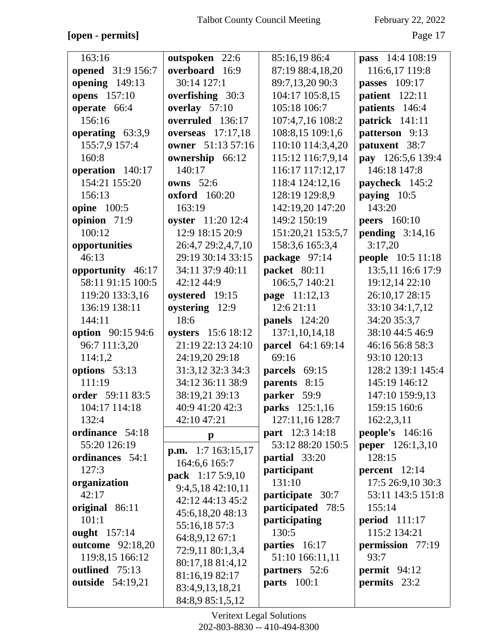**[open - permits]** Page 17

| 163:16                  | outspoken 22:6                             | 85:16,19 86:4          | <b>pass</b> 14:4 108:19 |
|-------------------------|--------------------------------------------|------------------------|-------------------------|
| opened 31:9 156:7       | overboard 16:9                             | 87:19 88:4,18,20       | 116:6,17 119:8          |
| opening 149:13          | 30:14 127:1                                | 89:7,13,20 90:3        | passes 109:17           |
| opens 157:10            | overfishing 30:3                           | 104:17 105:8,15        | patient 122:11          |
| operate 66:4            | overlay 57:10                              | 105:18 106:7           | patients 146:4          |
| 156:16                  | overruled 136:17                           | 107:4,7,16 108:2       | patrick 141:11          |
| operating 63:3,9        | overseas $17:17.18$                        | 108:8,15 109:1,6       | patterson 9:13          |
| 155:7,9 157:4           | owner 51:13 57:16                          | 110:10 114:3,4,20      | patuxent 38:7           |
| 160:8                   | ownership 66:12                            | 115:12 116:7,9,14      | pay 126:5,6 139:4       |
| operation 140:17        | 140:17                                     | 116:17 117:12,17       | 146:18 147:8            |
| 154:21 155:20           | owns $52:6$                                | 118:4 124:12,16        | paycheck 145:2          |
| 156:13                  | <b>oxford</b> 160:20                       | 128:19 129:8,9         | paying 10:5             |
| <b>opine</b> 100:5      | 163:19                                     | 142:19,20 147:20       | 143:20                  |
| opinion 71:9            | oyster 11:20 12:4                          | 149:2 150:19           | <b>peers</b> 160:10     |
| 100:12                  | 12:9 18:15 20:9                            | 151:20,21 153:5,7      | pending $3:14,16$       |
| opportunities           | 26:4,7 29:2,4,7,10                         | 158:3,6 165:3,4        | 3:17,20                 |
| 46:13                   | 29:19 30:14 33:15                          | package 97:14          | people 10:5 11:18       |
| opportunity 46:17       | 34:11 37:9 40:11                           | packet 80:11           | 13:5,11 16:6 17:9       |
| 58:11 91:15 100:5       | 42:12 44:9                                 | 106:5,7 140:21         | 19:12,14 22:10          |
| 119:20 133:3,16         | oystered 19:15                             | <b>page</b> 11:12,13   | 26:10,17 28:15          |
| 136:19 138:11           | oystering 12:9                             | 12:6 21:11             | 33:10 34:1,7,12         |
| 144:11                  | 18:6                                       | <b>panels</b> 124:20   | 34:20 35:3,7            |
| option 90:15 94:6       | oysters 15:6 18:12                         | 137:1,10,14,18         | 38:10 44:5 46:9         |
| 96:7 111:3,20           | 21:19 22:13 24:10                          | parcel 64:1 69:14      | 46:16 56:8 58:3         |
| 114:1,2                 | 24:19,20 29:18                             | 69:16                  | 93:10 120:13            |
| options 53:13           | 31:3,12 32:3 34:3                          | parcels 69:15          | 128:2 139:1 145:4       |
| 111:19                  | 34:12 36:11 38:9                           | parents 8:15           | 145:19 146:12           |
| order 59:11 83:5        | 38:19,21 39:13                             | parker 59:9            | 147:10 159:9,13         |
| 104:17 114:18           | 40:9 41:20 42:3                            | parks 125:1,16         | 159:15 160:6            |
| 132:4                   | 42:10 47:21                                | 127:11,16 128:7        | 162:2,3,11              |
| ordinance 54:18         | $\mathbf{p}$                               | <b>part</b> 12:3 14:18 | people's $146:16$       |
| 55:20 126:19            |                                            | 53:12 88:20 150:5      | <b>peper</b> 126:1,3,10 |
| ordinances 54:1         | <b>p.m.</b> 1:7 163:15,17<br>164:6,6 165:7 | partial 33:20          | 128:15                  |
| 127:3                   |                                            | participant            | percent $12:14$         |
| organization            | pack 1:17 5:9,10                           | 131:10                 | 17:5 26:9,10 30:3       |
| 42:17                   | 9:4,5,18 42:10,11<br>42:12 44:13 45:2      | participate 30:7       | 53:11 143:5 151:8       |
| original 86:11          |                                            | participated 78:5      | 155:14                  |
| 101:1                   | 45:6,18,20 48:13                           | participating          | period $111:17$         |
| ought 157:14            | 55:16,18 57:3<br>64:8,9,12 67:1            | 130:5                  | 115:2 134:21            |
| <b>outcome</b> 92:18,20 | 72:9,11 80:1,3,4                           | parties 16:17          | permission 77:19        |
| 119:8,15 166:12         | 80:17,18 81:4,12                           | 51:10 166:11,11        | 93:7                    |
| outlined 75:13          | 81:16,19 82:17                             | partners 52:6          | permit $94:12$          |
| outside 54:19,21        | 83:4,9,13,18,21                            | <b>parts</b> 100:1     | permits 23:2            |
|                         |                                            |                        |                         |
|                         | 84:8,9 85:1,5,12                           |                        |                         |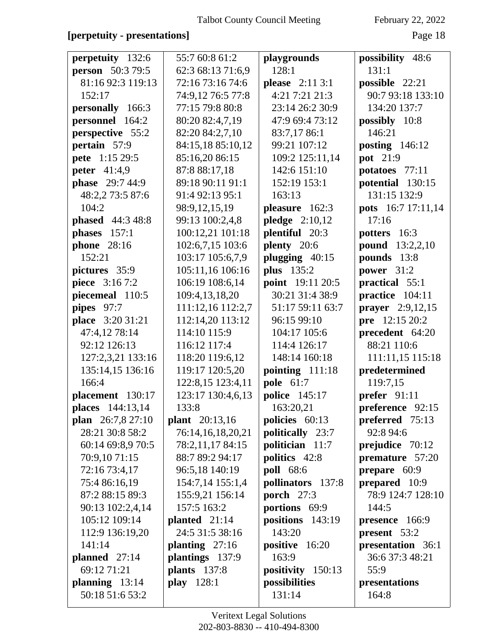### **[perpetuity - presentations]** Page 18

| <b>perpetuity</b> 132:6 | 55:7 60:8 61:2        | playgrounds       | possibility 48:6        |
|-------------------------|-----------------------|-------------------|-------------------------|
| <b>person</b> 50:3 79:5 | 62:3 68:13 71:6,9     | 128:1             | 131:1                   |
| 81:16 92:3 119:13       | 72:16 73:16 74:6      | please 2:11 3:1   | possible 22:21          |
| 152:17                  | 74:9,12 76:5 77:8     | 4:21 7:21 21:3    | 90:7 93:18 133:10       |
| personally 166:3        | 77:15 79:8 80:8       | 23:14 26:2 30:9   | 134:20 137:7            |
| personnel 164:2         | 80:20 82:4,7,19       | 47:9 69:4 73:12   | possibly 10:8           |
| perspective 55:2        | 82:20 84:2,7,10       | 83:7,17 86:1      | 146:21                  |
| pertain 57:9            | 84:15,18 85:10,12     | 99:21 107:12      | <b>posting</b> 146:12   |
| pete 1:15 29:5          | 85:16,20 86:15        | 109:2 125:11,14   | pot 21:9                |
| <b>peter</b> 41:4,9     | 87:8 88:17,18         | 142:6 151:10      | potatoes 77:11          |
| <b>phase</b> 29:7 44:9  | 89:18 90:11 91:1      | 152:19 153:1      | potential 130:15        |
| 48:2,2 73:5 87:6        | 91:4 92:13 95:1       | 163:13            | 131:15 132:9            |
| 104:2                   | 98:9,12,15,19         | pleasure 162:3    | pots 16:7 17:11,14      |
| <b>phased</b> 44:3 48:8 | 99:13 100:2,4,8       | pledge $2:10,12$  | 17:16                   |
| phases 157:1            | 100:12,21 101:18      | plentiful 20:3    | potters 16:3            |
| <b>phone</b> 28:16      | 102:6,7,15 103:6      | plenty 20:6       | <b>pound</b> 13:2,2,10  |
| 152:21                  | 103:17 105:6,7,9      | plugging 40:15    | pounds 13:8             |
| pictures 35:9           | 105:11,16 106:16      | <b>plus</b> 135:2 | power $31:2$            |
| piece 3:16 7:2          | 106:19 108:6,14       | point 19:11 20:5  | practical 55:1          |
| piecemeal 110:5         | 109:4,13,18,20        | 30:21 31:4 38:9   | practice 104:11         |
| pipes 97:7              | 111:12,16 112:2,7     | 51:17 59:11 63:7  | <b>prayer</b> 2:9,12,15 |
| place 3:20 31:21        | 112:14,20 113:12      | 96:15 99:10       | pre 12:15 20:2          |
| 47:4,12 78:14           | 114:10 115:9          | 104:17 105:6      | precedent 64:20         |
| 92:12 126:13            | 116:12 117:4          | 114:4 126:17      | 88:21 110:6             |
| 127:2,3,21 133:16       | 118:20 119:6,12       | 148:14 160:18     | 111:11,15 115:18        |
| 135:14,15 136:16        | 119:17 120:5,20       | pointing 111:18   | predetermined           |
| 166:4                   | 122:8,15 123:4,11     | pole 61:7         | 119:7,15                |
| placement 130:17        | 123:17 130:4,6,13     | police 145:17     | prefer 91:11            |
| places 144:13,14        | 133:8                 | 163:20,21         | preference 92:15        |
| plan 26:7,8 27:10       | <b>plant</b> 20:13,16 | policies 60:13    | preferred 75:13         |
| 28:21 30:8 58:2         | 76:14,16,18,20,21     | politically 23:7  | 92:8 94:6               |
| 60:14 69:8,9 70:5       | 78:2,11,17 84:15      | politician 11:7   | prejudice 70:12         |
| 70:9,10 71:15           | 88:7 89:2 94:17       | politics 42:8     | premature 57:20         |
| 72:16 73:4,17           | 96:5,18 140:19        | <b>poll</b> 68:6  | prepare $60:9$          |
| 75:4 86:16,19           | 154:7,14 155:1,4      | pollinators 137:8 | prepared 10:9           |
| 87:2 88:15 89:3         | 155:9,21 156:14       | porch $27:3$      | 78:9 124:7 128:10       |
| 90:13 102:2,4,14        | 157:5 163:2           | portions 69:9     | 144:5                   |
| 105:12 109:14           | planted $21:14$       | positions 143:19  | presence 166:9          |
| 112:9 136:19,20         | 24:5 31:5 38:16       | 143:20            | present 53:2            |
| 141:14                  | planting $27:16$      | positive 16:20    | presentation 36:1       |
| planned $27:14$         | plantings 137:9       | 163:9             | 36:6 37:3 48:21         |
| 69:12 71:21             | <b>plants</b> 137:8   | positivity 150:13 | 55:9                    |
| planning $13:14$        | play 128:1            | possibilities     | presentations           |
| 50:18 51:6 53:2         |                       | 131:14            | 164:8                   |
|                         |                       |                   |                         |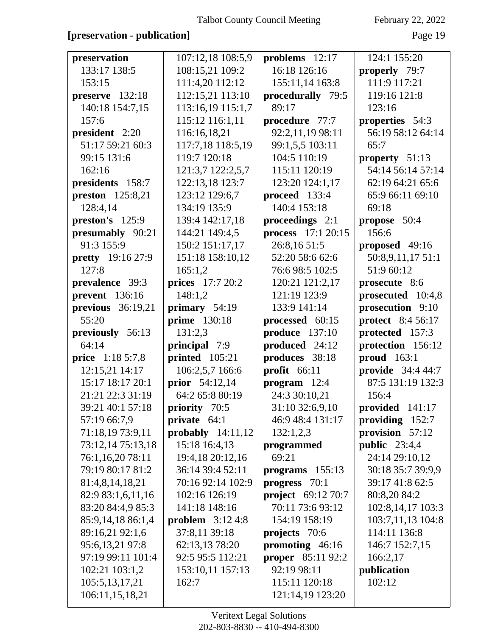## [preservation - publication]

February 22, 2022

Page 19

| preservation             | 107:12,18 108:5,9     | problems $12:17$          | 124:1 155:20             |
|--------------------------|-----------------------|---------------------------|--------------------------|
| 133:17 138:5             | 108:15,21 109:2       | 16:18 126:16              | properly 79:7            |
| 153:15                   | 111:4,20 112:12       | 155:11,14 163:8           | 111:9 117:21             |
| preserve 132:18          | 112:15,21 113:10      | procedurally 79:5         | 119:16 121:8             |
| 140:18 154:7,15          | 113:16,19 115:1,7     | 89:17                     | 123:16                   |
| 157:6                    | 115:12 116:1,11       | procedure 77:7            | properties 54:3          |
| president 2:20           | 116:16,18,21          | 92:2,11,19 98:11          | 56:19 58:12 64:14        |
| 51:17 59:21 60:3         | 117:7,18 118:5,19     | 99:1,5,5 103:11           | 65:7                     |
| 99:15 131:6              | 119:7 120:18          | 104:5 110:19              | property $51:13$         |
| 162:16                   | 121:3,7 122:2,5,7     | 115:11 120:19             | 54:14 56:14 57:14        |
| presidents 158:7         | 122:13,18 123:7       | 123:20 124:1,17           | 62:19 64:21 65:6         |
| <b>preston</b> 125:8,21  | 123:12 129:6,7        | proceed 133:4             | 65:9 66:11 69:10         |
| 128:4,14                 | 134:19 135:9          | 140:4 153:18              | 69:18                    |
| preston's 125:9          | 139:4 142:17,18       | proceedings 2:1           | propose 50:4             |
| presumably 90:21         | 144:21 149:4,5        | <b>process</b> 17:1 20:15 | 156:6                    |
| 91:3 155:9               | 150:2 151:17,17       | 26:8,16 51:5              | proposed 49:16           |
| <b>pretty</b> 19:16 27:9 | 151:18 158:10,12      | 52:20 58:6 62:6           | 50:8,9,11,17 51:1        |
| 127:8                    | 165:1,2               | 76:6 98:5 102:5           | 51:9 60:12               |
| prevalence 39:3          | prices 17:7 20:2      | 120:21 121:2,17           | prosecute 8:6            |
| prevent 136:16           | 148:1,2               | 121:19 123:9              | prosecuted 10:4,8        |
| previous $36:19,21$      | primary 54:19         | 133:9 141:14              | prosecution 9:10         |
| 55:20                    | <b>prime</b> 130:18   | processed 60:15           | protect 8:4 56:17        |
| previously 56:13         | 131:2,3               | produce 137:10            | protected 157:3          |
| 64:14                    | principal 7:9         | produced 24:12            | protection 156:12        |
| price 1:18 5:7,8         | printed 105:21        | produces 38:18            | proud 163:1              |
| 12:15,21 14:17           | 106:2,5,7 166:6       | profit $66:11$            | <b>provide</b> 34:4 44:7 |
| 15:17 18:17 20:1         | <b>prior</b> 54:12,14 | $program$ 12:4            | 87:5 131:19 132:3        |
| 21:21 22:3 31:19         | 64:2 65:8 80:19       | 24:3 30:10,21             | 156:4                    |
| 39:21 40:1 57:18         | priority 70:5         | 31:10 32:6,9,10           | provided 141:17          |
| 57:19 66:7,9             | private $64:1$        | 46:9 48:4 131:17          | providing 152:7          |
| 71:18,19 73:9,11         | probably $14:11,12$   | 132:1,2,3                 | provision 57:12          |
| 73:12,14 75:13,18        | 15:18 16:4,13         | programmed                | public $23:4,4$          |
| 76:1,16,20 78:11         | 19:4,18 20:12,16      | 69:21                     | 24:14 29:10,12           |
| 79:19 80:17 81:2         | 36:14 39:4 52:11      | programs 155:13           | 30:18 35:7 39:9,9        |
| 81:4,8,14,18,21          | 70:16 92:14 102:9     | progress 70:1             | 39:17 41:8 62:5          |
| 82:9 83:1,6,11,16        | 102:16 126:19         | <b>project</b> 69:12 70:7 | 80:8,20 84:2             |
| 83:20 84:4,9 85:3        | 141:18 148:16         | 70:11 73:6 93:12          | 102:8,14,17 103:3        |
| 85:9,14,18 86:1,4        | problem $3:124:8$     | 154:19 158:19             | 103:7,11,13 104:8        |
| 89:16,21 92:1,6          | 37:8,11 39:18         | projects 70:6             | 114:11 136:8             |
| 95:6,13,21 97:8          | 62:13,13 78:20        | promoting 46:16           | 146:7 152:7,15           |
| 97:19 99:11 101:4        | 92:5 95:5 112:21      | <b>proper</b> 85:11 92:2  | 166:2,17                 |
| 102:21 103:1,2           | 153:10,11 157:13      | 92:19 98:11               | publication              |
| 105:5,13,17,21           | 162:7                 | 115:11 120:18             | 102:12                   |
| 106:11,15,18,21          |                       | 121:14,19 123:20          |                          |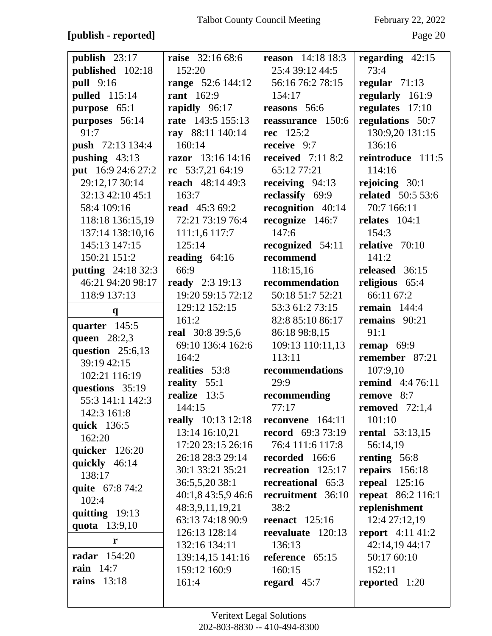### **[publish - reported]** Page 20

| publish 23:17             | <b>raise</b> 32:16 68:6          | <b>reason</b> $14:18$ 18:3 | regarding $42:15$        |
|---------------------------|----------------------------------|----------------------------|--------------------------|
| published 102:18          | 152:20                           | 25:4 39:12 44:5            | 73:4                     |
| <b>pull</b> 9:16          | <b>range</b> 52:6 144:12         | 56:16 76:2 78:15           | regular $71:13$          |
| <b>pulled</b> 115:14      | <b>rant</b> 162:9                | 154:17                     | regularly 161:9          |
| purpose 65:1              | rapidly 96:17                    | reasons 56:6               | regulates 17:10          |
| purposes 56:14            | rate 143:5 155:13                | reassurance 150:6          | regulations 50:7         |
| 91:7                      | ray 88:11 140:14                 | rec 125:2                  | 130:9,20 131:15          |
| push 72:13 134:4          | 160:14                           | receive 9:7                | 136:16                   |
| pushing $43:13$           | razor 13:16 14:16                | received $7:118:2$         | reintroduce 111:5        |
| put 16:9 24:6 27:2        | $rc$ 53:7,21 64:19               | 65:12 77:21                | 114:16                   |
| 29:12,17 30:14            | reach $48:1449:3$                | receiving $94:13$          | rejoicing 30:1           |
| 32:13 42:10 45:1          | 163:7                            | reclassify 69:9            | <b>related</b> 50:5 53:6 |
| 58:4 109:16               | <b>read</b> 45:3 69:2            | recognition 40:14          | 70:7 166:11              |
| 118:18 136:15,19          | 72:21 73:19 76:4                 | recognize 146:7            | relates $104:1$          |
| 137:14 138:10,16          | 111:1,6 117:7                    | 147:6                      | 154:3                    |
| 145:13 147:15             | 125:14                           | recognized 54:11           | relative 70:10           |
| 150:21 151:2              | reading $64:16$                  | recommend                  | 141:2                    |
| <b>putting</b> 24:18 32:3 | 66:9                             | 118:15,16                  | released 36:15           |
| 46:21 94:20 98:17         | <b>ready</b> 2:3 19:13           | recommendation             | religious 65:4           |
| 118:9 137:13              | 19:20 59:15 72:12                | 50:18 51:7 52:21           | 66:11 67:2               |
| $\mathbf{q}$              | 129:12 152:15                    | 53:3 61:2 73:15            | remain $144:4$           |
| quarter 145:5             | 161:2                            | 82:8 85:10 86:17           | remains 90:21            |
| queen 28:2,3              | real 30:8 39:5,6                 | 86:18 98:8,15              | 91:1                     |
| question $25:6,13$        | 69:10 136:4 162:6                | 109:13 110:11,13           | remap $69:9$             |
| 39:19 42:15               | 164:2                            | 113:11                     | remember 87:21           |
| 102:21 116:19             | realities 53:8                   | recommendations            | 107:9,10                 |
| questions 35:19           | reality 55:1                     | 29:9                       | <b>remind</b> 4:4 76:11  |
| 55:3 141:1 142:3          | realize 13:5                     | recommending               | remove 8:7               |
| 142:3 161:8               | 144:15                           | 77:17                      | removed $72:1,4$         |
| quick 136:5               | <b>really</b> 10:13 12:18        | reconvene 164:11           | 101:10                   |
| 162:20                    | 13:14 16:10,21                   | <b>record</b> 69:3 73:19   | <b>rental</b> 53:13,15   |
| quicker 126:20            | 17:20 23:15 26:16                | 76:4 111:6 117:8           | 56:14,19                 |
| quickly 46:14             | 26:18 28:3 29:14                 | recorded 166:6             | renting 56:8             |
| 138:17                    | 30:1 33:21 35:21                 | recreation 125:17          | repairs 156:18           |
| quite 67:8 74:2           | 36:5,5,20 38:1                   | recreational 65:3          | repeal $125:16$          |
| 102:4                     | 40:1,8 43:5,9 46:6               | recruitment 36:10          | <b>repeat</b> 86:2 116:1 |
| quitting 19:13            | 48:3,9,11,19,21                  | 38:2                       | replenishment            |
| quota 13:9,10             | 63:13 74:18 90:9                 | reenact $125:16$           | 12:4 27:12,19            |
| r                         | 126:13 128:14                    | reevaluate 120:13          | <b>report</b> 4:11 41:2  |
| <b>radar</b> 154:20       | 132:16 134:11                    | 136:13                     | 42:14,19 44:17           |
| rain $14:7$               | 139:14,15 141:16<br>159:12 160:9 | reference 65:15<br>160:15  | 50:17 60:10<br>152:11    |
| <b>rains</b> 13:18        |                                  |                            |                          |
|                           | 161:4                            | regard $45:7$              | reported 1:20            |
|                           |                                  |                            |                          |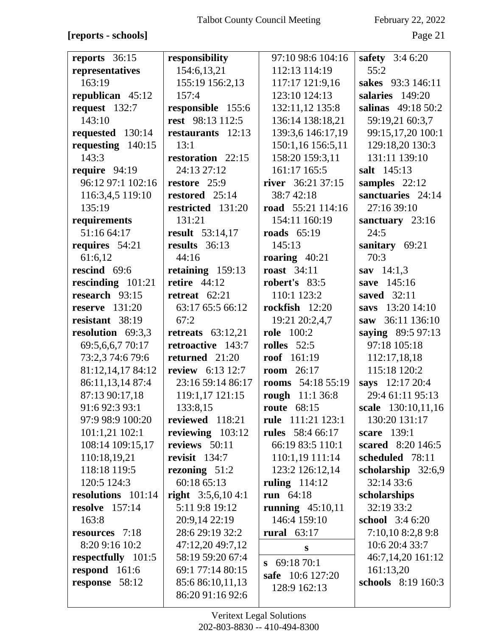## **[reports - schools]** Page 21

| reports $36:15$       | responsibility          | 97:10 98:6 104:16       | <b>safety</b> $3:46:20$   |
|-----------------------|-------------------------|-------------------------|---------------------------|
| representatives       | 154:6,13,21             | 112:13 114:19           | 55:2                      |
| 163:19                | 155:19 156:2,13         | 117:17 121:9,16         | sakes 93:3 146:11         |
| republican 45:12      | 157:4                   | 123:10 124:13           | salaries 149:20           |
| request 132:7         | responsible 155:6       | 132:11,12 135:8         | salinas 49:18 50:2        |
| 143:10                | rest 98:13 112:5        | 136:14 138:18,21        | 59:19,21 60:3,7           |
| requested 130:14      | restaurants 12:13       | 139:3,6 146:17,19       | 99:15,17,20 100:1         |
| requesting $140:15$   | 13:1                    | 150:1,16 156:5,11       | 129:18,20 130:3           |
| 143:3                 | restoration 22:15       | 158:20 159:3,11         | 131:11 139:10             |
| require 94:19         | 24:13 27:12             | 161:17 165:5            | salt 145:13               |
| 96:12 97:1 102:16     | restore 25:9            | river 36:21 37:15       | samples $22:12$           |
| 116:3,4,5 119:10      | restored 25:14          | 38:7 42:18              | sanctuaries 24:14         |
| 135:19                | restricted 131:20       | road 55:21 114:16       | 27:16 39:10               |
| requirements          | 131:21                  | 154:11 160:19           | sanctuary $23:16$         |
| 51:16 64:17           | <b>result</b> 53:14,17  | roads 65:19             | 24:5                      |
| requires 54:21        | results 36:13           | 145:13                  | sanitary 69:21            |
| 61:6,12               | 44:16                   | roaring $40:21$         | 70:3                      |
| rescind 69:6          | retaining 159:13        | <b>roast</b> 34:11      | sav $14:1.3$              |
| rescinding $101:21$   | retire $44:12$          | robert's 83:5           | save 145:16               |
| research 93:15        | retreat $62:21$         | 110:1 123:2             | saved $32:11$             |
| <b>reserve</b> 131:20 | 63:17 65:5 66:12        | rockfish $12:20$        | savs 13:20 14:10          |
| resistant 38:19       | 67:2                    | 19:21 20:2,4,7          | saw 36:11 136:10          |
| resolution 69:3,3     | retreats $63:12,21$     | <b>role</b> 100:2       | saying 89:5 97:13         |
| 69:5,6,6,7 70:17      | retroactive 143:7       | rolles $52:5$           | 97:18 105:18              |
| 73:2,3 74:6 79:6      | returned 21:20          | roof 161:19             | 112:17,18,18              |
| 81:12,14,17 84:12     | <b>review</b> 6:13 12:7 | <b>room</b> 26:17       | 115:18 120:2              |
| 86:11,13,14 87:4      | 23:16 59:14 86:17       | rooms $54:185:19$       | says 12:17 20:4           |
| 87:13 90:17,18        | 119:1,17 121:15         | rough 11:1 36:8         | 29:4 61:11 95:13          |
| 91:6 92:3 93:1        | 133:8,15                | <b>route</b> 68:15      | <b>scale</b> 130:10,11,16 |
| 97:9 98:9 100:20      | reviewed 118:21         | rule 111:21 123:1       | 130:20 131:17             |
| 101:1,21 102:1        | reviewing 103:12        | <b>rules</b> 58:4 66:17 | scare 139:1               |
| 108:14 109:15,17      | reviews 50:11           | 66:19 83:5 110:1        | scared 8:20 146:5         |
| 110:18,19,21          | revisit $134:7$         | 110:1,19 111:14         | scheduled 78:11           |
| 118:18 119:5          | rezoning $51:2$         | 123:2 126:12,14         | scholarship $32:6,9$      |
| 120:5 124:3           | 60:18 65:13             | ruling $114:12$         | 32:14 33:6                |
| resolutions 101:14    | right $3:5,6,104:1$     | run 64:18               | scholarships              |
| 157:14<br>resolve     | 5:11 9:8 19:12          | running $45:10,11$      | 32:19 33:2                |
| 163:8                 | 20:9,14 22:19           | 146:4 159:10            | <b>school</b> 3:4 6:20    |
| resources 7:18        | 28:6 29:19 32:2         | rural $63:17$           | 7:10,10 8:2,8 9:8         |
| 8:20 9:16 10:2        | 47:12,20 49:7,12        | ${\bf S}$               | 10:6 20:4 33:7            |
| respectfully 101:5    | 58:19 59:20 67:4        | 69:18 70:1              | 46:7,14,20 161:12         |
| respond $161:6$       | 69:1 77:14 80:15        | S<br>safe 10:6 127:20   | 161:13,20                 |
|                       |                         |                         |                           |
| response 58:12        | 85:6 86:10,11,13        | 128:9 162:13            | schools 8:19 160:3        |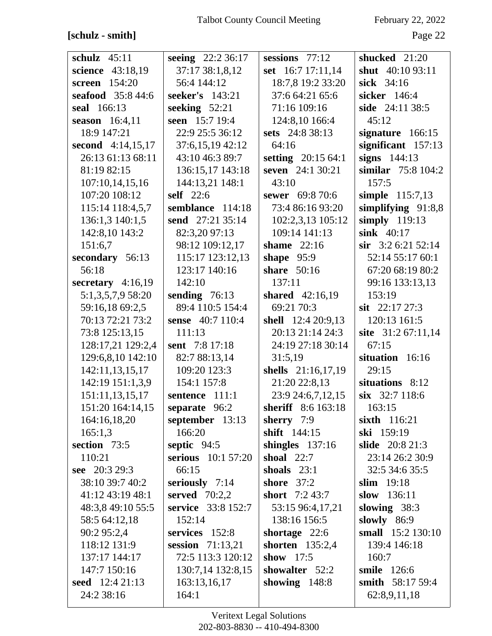## $[schulz - smith] \centering% \begin{tabular}{cc} \includegraphics[width=0.9\columnwidth]{figures/cos2} & \includegraphics[width=0.9\columnwidth]{figures/cos2} & \includegraphics[width=0.9\columnwidth]{figures/cos2} & \includegraphics[width=0.9\columnwidth]{figures/cos2} & \includegraphics[width=0.9\columnwidth]{figures/cos2} & \includegraphics[width=0.9\columnwidth]{figures/cos2} & \includegraphics[width=0.9\columnwidth]{figures/cos2} & \includegraphics[width=0.9\columnwidth]{figures/cos2} & \includegraphics[width=0.9\columnwidth]{figures/cos2} & \includegraphics[width=0.9\columnwidth]{figures/cos2} & \includegraphics[width=0.9\$

February 22, 2022

Page 22

| 37:17 38:1,8,12<br>set 16:7 17:11,14<br>shut 40:10 93:11<br>science<br>43:18,19<br>screen 154:20<br>56:4 144:12<br>18:7,8 19:2 33:20<br>sick 34:16<br>seafood 35:8 44:6<br>seeker's 143:21<br>37:6 64:21 65:6<br>sicker 146:4<br>seeking $52:21$<br>71:16 109:16<br>seal 166:13<br>side 24:11 38:5<br>seen 15:7 19:4<br>124:8,10 166:4<br>45:12<br>season $16:4,11$<br>18:9 147:21<br>22:9 25:5 36:12<br>sets 24:8 38:13<br>signature $166:15$<br>second 4:14,15,17<br>37:6,15,19 42:12<br>significant 157:13<br>64:16<br>26:13 61:13 68:11<br>43:10 46:3 89:7<br>signs $144:13$<br>setting 20:15 64:1<br>136:15,17 143:18<br>seven 24:1 30:21<br>similar 75:8 104:2<br>81:19 82:15<br>107:10,14,15,16<br>144:13,21 148:1<br>43:10<br>157:5<br>107:20 108:12<br>simple 115:7,13<br><b>self</b> 22:6<br>sewer 69:8 70:6<br>73:4 86:16 93:20<br>simplifying $91:8,8$<br>115:14 118:4,5,7<br>semblance 114:18<br>136:1,3 140:1,5<br>send 27:21 35:14<br>102:2,3,13 105:12<br>simply $119:13$<br>142:8,10 143:2<br>82:3,20 97:13<br>109:14 141:13<br>sink 40:17<br>98:12 109:12,17<br>$\sin$ 3:2 6:21 52:14<br>151:6,7<br>shame 22:16<br>115:17 123:12,13<br>secondary 56:13<br>52:14 55:17 60:1<br>shape $95:9$<br>123:17 140:16<br>share $50:16$<br>67:20 68:19 80:2<br>56:18<br>secretary $4:16,19$<br>142:10<br>137:11<br>99:16 133:13,13<br>5:1,3,5,7,9 58:20<br>shared 42:16,19<br>153:19<br>sending $76:13$<br>89:4 110:5 154:4<br>69:21 70:3<br>59:16,18 69:2,5<br>sit $22:17\,27:3$<br>70:13 72:21 73:2<br>shell 12:4 20:9,13<br>120:13 161:5<br>sense 40:7 110:4<br>20:13 21:14 24:3<br>site 31:2 67:11,14<br>73:8 125:13,15<br>111:13<br>128:17,21 129:2,4<br>sent 7:8 17:18<br>24:19 27:18 30:14<br>67:15<br>129:6,8,10 142:10<br>82:7 88:13,14<br>31:5,19<br>situation 16:16<br>142:11,13,15,17<br>109:20 123:3<br>shells 21:16,17,19<br>29:15<br>142:19 151:1,3,9<br>154:1 157:8<br>21:20 22:8,13<br>situations 8:12<br>151:11,13,15,17<br>23:9 24:6,7,12,15<br>six 32:7 118:6<br>sentence 111:1<br>151:20 164:14,15<br>separate 96:2<br>sheriff 8:6 163:18<br>163:15<br>164:16,18,20<br>september $13:13$<br>sherry $7:9$<br>sixth 116:21<br>166:20<br>shift 144:15<br>ski 159:19<br>165:1,3<br>section 73:5<br>septic $94:5$<br><b>slide</b> 20:8 21:3<br>shingles $137:16$<br>110:21<br>serious $10:157:20$<br>shoal $22:7$<br>23:14 26:2 30:9<br>see 20:3 29:3<br>66:15<br>32:5 34:6 35:5<br>shoals $23:1$<br>38:10 39:7 40:2<br>seriously 7:14<br>shore $37:2$<br>slim $19:18$<br>served $70:2,2$<br>41:12 43:19 48:1<br>short $7:243:7$<br>slow $136:11$<br>48:3,8 49:10 55:5<br>service 33:8 152:7<br>slowing 38:3<br>53:15 96:4,17,21<br>152:14<br>58:5 64:12,18<br>138:16 156:5<br>slowly $86:9$<br>small 15:2 130:10<br>90:2 95:2,4<br>services 152:8<br>shortage $22:6$<br>118:12 131:9<br>shorten 135:2,4<br>session $71:13,21$<br>139:4 146:18<br>137:17 144:17<br>72:5 113:3 120:12<br>show $17:5$<br>160:7 |                |                   |                  |                    |
|-------------------------------------------------------------------------------------------------------------------------------------------------------------------------------------------------------------------------------------------------------------------------------------------------------------------------------------------------------------------------------------------------------------------------------------------------------------------------------------------------------------------------------------------------------------------------------------------------------------------------------------------------------------------------------------------------------------------------------------------------------------------------------------------------------------------------------------------------------------------------------------------------------------------------------------------------------------------------------------------------------------------------------------------------------------------------------------------------------------------------------------------------------------------------------------------------------------------------------------------------------------------------------------------------------------------------------------------------------------------------------------------------------------------------------------------------------------------------------------------------------------------------------------------------------------------------------------------------------------------------------------------------------------------------------------------------------------------------------------------------------------------------------------------------------------------------------------------------------------------------------------------------------------------------------------------------------------------------------------------------------------------------------------------------------------------------------------------------------------------------------------------------------------------------------------------------------------------------------------------------------------------------------------------------------------------------------------------------------------------------------------------------------------------------------------------------------------------------------------------------------------------------------------------------------------------------------------------------------------------------------------------------------------------------------------------------------------------------------------------------------------------------------------------------------------------------------------------------------------------------------------------------------------------------------------|----------------|-------------------|------------------|--------------------|
|                                                                                                                                                                                                                                                                                                                                                                                                                                                                                                                                                                                                                                                                                                                                                                                                                                                                                                                                                                                                                                                                                                                                                                                                                                                                                                                                                                                                                                                                                                                                                                                                                                                                                                                                                                                                                                                                                                                                                                                                                                                                                                                                                                                                                                                                                                                                                                                                                                                                                                                                                                                                                                                                                                                                                                                                                                                                                                                                     | schulz $45:11$ | seeing 22:2 36:17 | sessions $77:12$ | shucked 21:20      |
|                                                                                                                                                                                                                                                                                                                                                                                                                                                                                                                                                                                                                                                                                                                                                                                                                                                                                                                                                                                                                                                                                                                                                                                                                                                                                                                                                                                                                                                                                                                                                                                                                                                                                                                                                                                                                                                                                                                                                                                                                                                                                                                                                                                                                                                                                                                                                                                                                                                                                                                                                                                                                                                                                                                                                                                                                                                                                                                                     |                |                   |                  |                    |
|                                                                                                                                                                                                                                                                                                                                                                                                                                                                                                                                                                                                                                                                                                                                                                                                                                                                                                                                                                                                                                                                                                                                                                                                                                                                                                                                                                                                                                                                                                                                                                                                                                                                                                                                                                                                                                                                                                                                                                                                                                                                                                                                                                                                                                                                                                                                                                                                                                                                                                                                                                                                                                                                                                                                                                                                                                                                                                                                     |                |                   |                  |                    |
|                                                                                                                                                                                                                                                                                                                                                                                                                                                                                                                                                                                                                                                                                                                                                                                                                                                                                                                                                                                                                                                                                                                                                                                                                                                                                                                                                                                                                                                                                                                                                                                                                                                                                                                                                                                                                                                                                                                                                                                                                                                                                                                                                                                                                                                                                                                                                                                                                                                                                                                                                                                                                                                                                                                                                                                                                                                                                                                                     |                |                   |                  |                    |
|                                                                                                                                                                                                                                                                                                                                                                                                                                                                                                                                                                                                                                                                                                                                                                                                                                                                                                                                                                                                                                                                                                                                                                                                                                                                                                                                                                                                                                                                                                                                                                                                                                                                                                                                                                                                                                                                                                                                                                                                                                                                                                                                                                                                                                                                                                                                                                                                                                                                                                                                                                                                                                                                                                                                                                                                                                                                                                                                     |                |                   |                  |                    |
|                                                                                                                                                                                                                                                                                                                                                                                                                                                                                                                                                                                                                                                                                                                                                                                                                                                                                                                                                                                                                                                                                                                                                                                                                                                                                                                                                                                                                                                                                                                                                                                                                                                                                                                                                                                                                                                                                                                                                                                                                                                                                                                                                                                                                                                                                                                                                                                                                                                                                                                                                                                                                                                                                                                                                                                                                                                                                                                                     |                |                   |                  |                    |
|                                                                                                                                                                                                                                                                                                                                                                                                                                                                                                                                                                                                                                                                                                                                                                                                                                                                                                                                                                                                                                                                                                                                                                                                                                                                                                                                                                                                                                                                                                                                                                                                                                                                                                                                                                                                                                                                                                                                                                                                                                                                                                                                                                                                                                                                                                                                                                                                                                                                                                                                                                                                                                                                                                                                                                                                                                                                                                                                     |                |                   |                  |                    |
|                                                                                                                                                                                                                                                                                                                                                                                                                                                                                                                                                                                                                                                                                                                                                                                                                                                                                                                                                                                                                                                                                                                                                                                                                                                                                                                                                                                                                                                                                                                                                                                                                                                                                                                                                                                                                                                                                                                                                                                                                                                                                                                                                                                                                                                                                                                                                                                                                                                                                                                                                                                                                                                                                                                                                                                                                                                                                                                                     |                |                   |                  |                    |
|                                                                                                                                                                                                                                                                                                                                                                                                                                                                                                                                                                                                                                                                                                                                                                                                                                                                                                                                                                                                                                                                                                                                                                                                                                                                                                                                                                                                                                                                                                                                                                                                                                                                                                                                                                                                                                                                                                                                                                                                                                                                                                                                                                                                                                                                                                                                                                                                                                                                                                                                                                                                                                                                                                                                                                                                                                                                                                                                     |                |                   |                  |                    |
|                                                                                                                                                                                                                                                                                                                                                                                                                                                                                                                                                                                                                                                                                                                                                                                                                                                                                                                                                                                                                                                                                                                                                                                                                                                                                                                                                                                                                                                                                                                                                                                                                                                                                                                                                                                                                                                                                                                                                                                                                                                                                                                                                                                                                                                                                                                                                                                                                                                                                                                                                                                                                                                                                                                                                                                                                                                                                                                                     |                |                   |                  |                    |
|                                                                                                                                                                                                                                                                                                                                                                                                                                                                                                                                                                                                                                                                                                                                                                                                                                                                                                                                                                                                                                                                                                                                                                                                                                                                                                                                                                                                                                                                                                                                                                                                                                                                                                                                                                                                                                                                                                                                                                                                                                                                                                                                                                                                                                                                                                                                                                                                                                                                                                                                                                                                                                                                                                                                                                                                                                                                                                                                     |                |                   |                  |                    |
|                                                                                                                                                                                                                                                                                                                                                                                                                                                                                                                                                                                                                                                                                                                                                                                                                                                                                                                                                                                                                                                                                                                                                                                                                                                                                                                                                                                                                                                                                                                                                                                                                                                                                                                                                                                                                                                                                                                                                                                                                                                                                                                                                                                                                                                                                                                                                                                                                                                                                                                                                                                                                                                                                                                                                                                                                                                                                                                                     |                |                   |                  |                    |
|                                                                                                                                                                                                                                                                                                                                                                                                                                                                                                                                                                                                                                                                                                                                                                                                                                                                                                                                                                                                                                                                                                                                                                                                                                                                                                                                                                                                                                                                                                                                                                                                                                                                                                                                                                                                                                                                                                                                                                                                                                                                                                                                                                                                                                                                                                                                                                                                                                                                                                                                                                                                                                                                                                                                                                                                                                                                                                                                     |                |                   |                  |                    |
|                                                                                                                                                                                                                                                                                                                                                                                                                                                                                                                                                                                                                                                                                                                                                                                                                                                                                                                                                                                                                                                                                                                                                                                                                                                                                                                                                                                                                                                                                                                                                                                                                                                                                                                                                                                                                                                                                                                                                                                                                                                                                                                                                                                                                                                                                                                                                                                                                                                                                                                                                                                                                                                                                                                                                                                                                                                                                                                                     |                |                   |                  |                    |
|                                                                                                                                                                                                                                                                                                                                                                                                                                                                                                                                                                                                                                                                                                                                                                                                                                                                                                                                                                                                                                                                                                                                                                                                                                                                                                                                                                                                                                                                                                                                                                                                                                                                                                                                                                                                                                                                                                                                                                                                                                                                                                                                                                                                                                                                                                                                                                                                                                                                                                                                                                                                                                                                                                                                                                                                                                                                                                                                     |                |                   |                  |                    |
|                                                                                                                                                                                                                                                                                                                                                                                                                                                                                                                                                                                                                                                                                                                                                                                                                                                                                                                                                                                                                                                                                                                                                                                                                                                                                                                                                                                                                                                                                                                                                                                                                                                                                                                                                                                                                                                                                                                                                                                                                                                                                                                                                                                                                                                                                                                                                                                                                                                                                                                                                                                                                                                                                                                                                                                                                                                                                                                                     |                |                   |                  |                    |
|                                                                                                                                                                                                                                                                                                                                                                                                                                                                                                                                                                                                                                                                                                                                                                                                                                                                                                                                                                                                                                                                                                                                                                                                                                                                                                                                                                                                                                                                                                                                                                                                                                                                                                                                                                                                                                                                                                                                                                                                                                                                                                                                                                                                                                                                                                                                                                                                                                                                                                                                                                                                                                                                                                                                                                                                                                                                                                                                     |                |                   |                  |                    |
|                                                                                                                                                                                                                                                                                                                                                                                                                                                                                                                                                                                                                                                                                                                                                                                                                                                                                                                                                                                                                                                                                                                                                                                                                                                                                                                                                                                                                                                                                                                                                                                                                                                                                                                                                                                                                                                                                                                                                                                                                                                                                                                                                                                                                                                                                                                                                                                                                                                                                                                                                                                                                                                                                                                                                                                                                                                                                                                                     |                |                   |                  |                    |
|                                                                                                                                                                                                                                                                                                                                                                                                                                                                                                                                                                                                                                                                                                                                                                                                                                                                                                                                                                                                                                                                                                                                                                                                                                                                                                                                                                                                                                                                                                                                                                                                                                                                                                                                                                                                                                                                                                                                                                                                                                                                                                                                                                                                                                                                                                                                                                                                                                                                                                                                                                                                                                                                                                                                                                                                                                                                                                                                     |                |                   |                  |                    |
|                                                                                                                                                                                                                                                                                                                                                                                                                                                                                                                                                                                                                                                                                                                                                                                                                                                                                                                                                                                                                                                                                                                                                                                                                                                                                                                                                                                                                                                                                                                                                                                                                                                                                                                                                                                                                                                                                                                                                                                                                                                                                                                                                                                                                                                                                                                                                                                                                                                                                                                                                                                                                                                                                                                                                                                                                                                                                                                                     |                |                   |                  |                    |
|                                                                                                                                                                                                                                                                                                                                                                                                                                                                                                                                                                                                                                                                                                                                                                                                                                                                                                                                                                                                                                                                                                                                                                                                                                                                                                                                                                                                                                                                                                                                                                                                                                                                                                                                                                                                                                                                                                                                                                                                                                                                                                                                                                                                                                                                                                                                                                                                                                                                                                                                                                                                                                                                                                                                                                                                                                                                                                                                     |                |                   |                  |                    |
|                                                                                                                                                                                                                                                                                                                                                                                                                                                                                                                                                                                                                                                                                                                                                                                                                                                                                                                                                                                                                                                                                                                                                                                                                                                                                                                                                                                                                                                                                                                                                                                                                                                                                                                                                                                                                                                                                                                                                                                                                                                                                                                                                                                                                                                                                                                                                                                                                                                                                                                                                                                                                                                                                                                                                                                                                                                                                                                                     |                |                   |                  |                    |
|                                                                                                                                                                                                                                                                                                                                                                                                                                                                                                                                                                                                                                                                                                                                                                                                                                                                                                                                                                                                                                                                                                                                                                                                                                                                                                                                                                                                                                                                                                                                                                                                                                                                                                                                                                                                                                                                                                                                                                                                                                                                                                                                                                                                                                                                                                                                                                                                                                                                                                                                                                                                                                                                                                                                                                                                                                                                                                                                     |                |                   |                  |                    |
|                                                                                                                                                                                                                                                                                                                                                                                                                                                                                                                                                                                                                                                                                                                                                                                                                                                                                                                                                                                                                                                                                                                                                                                                                                                                                                                                                                                                                                                                                                                                                                                                                                                                                                                                                                                                                                                                                                                                                                                                                                                                                                                                                                                                                                                                                                                                                                                                                                                                                                                                                                                                                                                                                                                                                                                                                                                                                                                                     |                |                   |                  |                    |
|                                                                                                                                                                                                                                                                                                                                                                                                                                                                                                                                                                                                                                                                                                                                                                                                                                                                                                                                                                                                                                                                                                                                                                                                                                                                                                                                                                                                                                                                                                                                                                                                                                                                                                                                                                                                                                                                                                                                                                                                                                                                                                                                                                                                                                                                                                                                                                                                                                                                                                                                                                                                                                                                                                                                                                                                                                                                                                                                     |                |                   |                  |                    |
|                                                                                                                                                                                                                                                                                                                                                                                                                                                                                                                                                                                                                                                                                                                                                                                                                                                                                                                                                                                                                                                                                                                                                                                                                                                                                                                                                                                                                                                                                                                                                                                                                                                                                                                                                                                                                                                                                                                                                                                                                                                                                                                                                                                                                                                                                                                                                                                                                                                                                                                                                                                                                                                                                                                                                                                                                                                                                                                                     |                |                   |                  |                    |
|                                                                                                                                                                                                                                                                                                                                                                                                                                                                                                                                                                                                                                                                                                                                                                                                                                                                                                                                                                                                                                                                                                                                                                                                                                                                                                                                                                                                                                                                                                                                                                                                                                                                                                                                                                                                                                                                                                                                                                                                                                                                                                                                                                                                                                                                                                                                                                                                                                                                                                                                                                                                                                                                                                                                                                                                                                                                                                                                     |                |                   |                  |                    |
|                                                                                                                                                                                                                                                                                                                                                                                                                                                                                                                                                                                                                                                                                                                                                                                                                                                                                                                                                                                                                                                                                                                                                                                                                                                                                                                                                                                                                                                                                                                                                                                                                                                                                                                                                                                                                                                                                                                                                                                                                                                                                                                                                                                                                                                                                                                                                                                                                                                                                                                                                                                                                                                                                                                                                                                                                                                                                                                                     |                |                   |                  |                    |
|                                                                                                                                                                                                                                                                                                                                                                                                                                                                                                                                                                                                                                                                                                                                                                                                                                                                                                                                                                                                                                                                                                                                                                                                                                                                                                                                                                                                                                                                                                                                                                                                                                                                                                                                                                                                                                                                                                                                                                                                                                                                                                                                                                                                                                                                                                                                                                                                                                                                                                                                                                                                                                                                                                                                                                                                                                                                                                                                     |                |                   |                  |                    |
|                                                                                                                                                                                                                                                                                                                                                                                                                                                                                                                                                                                                                                                                                                                                                                                                                                                                                                                                                                                                                                                                                                                                                                                                                                                                                                                                                                                                                                                                                                                                                                                                                                                                                                                                                                                                                                                                                                                                                                                                                                                                                                                                                                                                                                                                                                                                                                                                                                                                                                                                                                                                                                                                                                                                                                                                                                                                                                                                     |                |                   |                  |                    |
|                                                                                                                                                                                                                                                                                                                                                                                                                                                                                                                                                                                                                                                                                                                                                                                                                                                                                                                                                                                                                                                                                                                                                                                                                                                                                                                                                                                                                                                                                                                                                                                                                                                                                                                                                                                                                                                                                                                                                                                                                                                                                                                                                                                                                                                                                                                                                                                                                                                                                                                                                                                                                                                                                                                                                                                                                                                                                                                                     |                |                   |                  |                    |
|                                                                                                                                                                                                                                                                                                                                                                                                                                                                                                                                                                                                                                                                                                                                                                                                                                                                                                                                                                                                                                                                                                                                                                                                                                                                                                                                                                                                                                                                                                                                                                                                                                                                                                                                                                                                                                                                                                                                                                                                                                                                                                                                                                                                                                                                                                                                                                                                                                                                                                                                                                                                                                                                                                                                                                                                                                                                                                                                     |                |                   |                  |                    |
|                                                                                                                                                                                                                                                                                                                                                                                                                                                                                                                                                                                                                                                                                                                                                                                                                                                                                                                                                                                                                                                                                                                                                                                                                                                                                                                                                                                                                                                                                                                                                                                                                                                                                                                                                                                                                                                                                                                                                                                                                                                                                                                                                                                                                                                                                                                                                                                                                                                                                                                                                                                                                                                                                                                                                                                                                                                                                                                                     |                |                   |                  |                    |
|                                                                                                                                                                                                                                                                                                                                                                                                                                                                                                                                                                                                                                                                                                                                                                                                                                                                                                                                                                                                                                                                                                                                                                                                                                                                                                                                                                                                                                                                                                                                                                                                                                                                                                                                                                                                                                                                                                                                                                                                                                                                                                                                                                                                                                                                                                                                                                                                                                                                                                                                                                                                                                                                                                                                                                                                                                                                                                                                     |                |                   |                  |                    |
|                                                                                                                                                                                                                                                                                                                                                                                                                                                                                                                                                                                                                                                                                                                                                                                                                                                                                                                                                                                                                                                                                                                                                                                                                                                                                                                                                                                                                                                                                                                                                                                                                                                                                                                                                                                                                                                                                                                                                                                                                                                                                                                                                                                                                                                                                                                                                                                                                                                                                                                                                                                                                                                                                                                                                                                                                                                                                                                                     |                |                   |                  |                    |
|                                                                                                                                                                                                                                                                                                                                                                                                                                                                                                                                                                                                                                                                                                                                                                                                                                                                                                                                                                                                                                                                                                                                                                                                                                                                                                                                                                                                                                                                                                                                                                                                                                                                                                                                                                                                                                                                                                                                                                                                                                                                                                                                                                                                                                                                                                                                                                                                                                                                                                                                                                                                                                                                                                                                                                                                                                                                                                                                     |                |                   |                  |                    |
|                                                                                                                                                                                                                                                                                                                                                                                                                                                                                                                                                                                                                                                                                                                                                                                                                                                                                                                                                                                                                                                                                                                                                                                                                                                                                                                                                                                                                                                                                                                                                                                                                                                                                                                                                                                                                                                                                                                                                                                                                                                                                                                                                                                                                                                                                                                                                                                                                                                                                                                                                                                                                                                                                                                                                                                                                                                                                                                                     |                |                   |                  |                    |
|                                                                                                                                                                                                                                                                                                                                                                                                                                                                                                                                                                                                                                                                                                                                                                                                                                                                                                                                                                                                                                                                                                                                                                                                                                                                                                                                                                                                                                                                                                                                                                                                                                                                                                                                                                                                                                                                                                                                                                                                                                                                                                                                                                                                                                                                                                                                                                                                                                                                                                                                                                                                                                                                                                                                                                                                                                                                                                                                     |                |                   |                  |                    |
|                                                                                                                                                                                                                                                                                                                                                                                                                                                                                                                                                                                                                                                                                                                                                                                                                                                                                                                                                                                                                                                                                                                                                                                                                                                                                                                                                                                                                                                                                                                                                                                                                                                                                                                                                                                                                                                                                                                                                                                                                                                                                                                                                                                                                                                                                                                                                                                                                                                                                                                                                                                                                                                                                                                                                                                                                                                                                                                                     |                |                   |                  |                    |
|                                                                                                                                                                                                                                                                                                                                                                                                                                                                                                                                                                                                                                                                                                                                                                                                                                                                                                                                                                                                                                                                                                                                                                                                                                                                                                                                                                                                                                                                                                                                                                                                                                                                                                                                                                                                                                                                                                                                                                                                                                                                                                                                                                                                                                                                                                                                                                                                                                                                                                                                                                                                                                                                                                                                                                                                                                                                                                                                     |                |                   |                  |                    |
|                                                                                                                                                                                                                                                                                                                                                                                                                                                                                                                                                                                                                                                                                                                                                                                                                                                                                                                                                                                                                                                                                                                                                                                                                                                                                                                                                                                                                                                                                                                                                                                                                                                                                                                                                                                                                                                                                                                                                                                                                                                                                                                                                                                                                                                                                                                                                                                                                                                                                                                                                                                                                                                                                                                                                                                                                                                                                                                                     |                |                   |                  |                    |
|                                                                                                                                                                                                                                                                                                                                                                                                                                                                                                                                                                                                                                                                                                                                                                                                                                                                                                                                                                                                                                                                                                                                                                                                                                                                                                                                                                                                                                                                                                                                                                                                                                                                                                                                                                                                                                                                                                                                                                                                                                                                                                                                                                                                                                                                                                                                                                                                                                                                                                                                                                                                                                                                                                                                                                                                                                                                                                                                     | 147:7 150:16   | 130:7,14 132:8,15 | showalter 52:2   | <b>smile</b> 126:6 |
| seed 12:4 21:13<br>showing $148:8$<br>smith 58:17 59:4<br>163:13,16,17                                                                                                                                                                                                                                                                                                                                                                                                                                                                                                                                                                                                                                                                                                                                                                                                                                                                                                                                                                                                                                                                                                                                                                                                                                                                                                                                                                                                                                                                                                                                                                                                                                                                                                                                                                                                                                                                                                                                                                                                                                                                                                                                                                                                                                                                                                                                                                                                                                                                                                                                                                                                                                                                                                                                                                                                                                                              |                |                   |                  |                    |
| 24:2 38:16<br>164:1<br>62:8,9,11,18                                                                                                                                                                                                                                                                                                                                                                                                                                                                                                                                                                                                                                                                                                                                                                                                                                                                                                                                                                                                                                                                                                                                                                                                                                                                                                                                                                                                                                                                                                                                                                                                                                                                                                                                                                                                                                                                                                                                                                                                                                                                                                                                                                                                                                                                                                                                                                                                                                                                                                                                                                                                                                                                                                                                                                                                                                                                                                 |                |                   |                  |                    |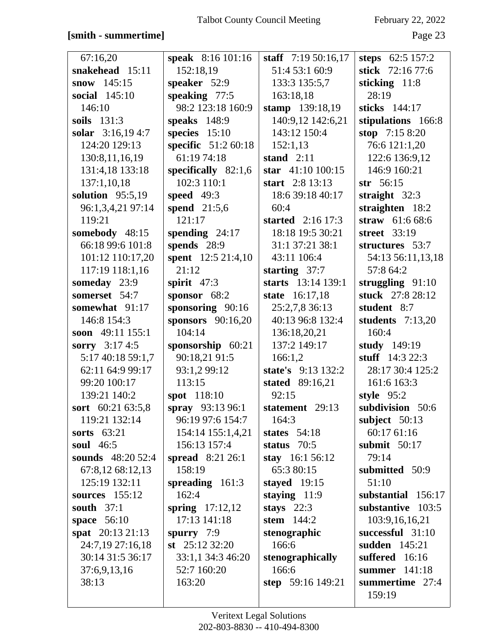### **[smith - summertime]** Page 23

| 67:16,20             | <b>speak</b> 8:16 101:16 | staff $7:19\,50:16,17$ | steps $62:5157:2$  |
|----------------------|--------------------------|------------------------|--------------------|
| snakehead 15:11      | 152:18,19                | 51:4 53:1 60:9         | stick 72:16 77:6   |
| snow $145:15$        | speaker 52:9             | 133:3 135:5,7          | sticking 11:8      |
| <b>social</b> 145:10 | speaking 77:5            | 163:18,18              | 28:19              |
| 146:10               | 98:2 123:18 160:9        | stamp 139:18,19        | sticks 144:17      |
| soils $131:3$        | speaks 148:9             | 140:9,12 142:6,21      | stipulations 166:8 |
| solar $3:16,194:7$   | species $15:10$          | 143:12 150:4           | stop 7:15 8:20     |
| 124:20 129:13        | specific 51:2 60:18      | 152:1,13               | 76:6 121:1,20      |
| 130:8,11,16,19       | 61:19 74:18              | stand $2:11$           | 122:6 136:9,12     |
| 131:4,18 133:18      | specifically $82:1,6$    | star $41:10100:15$     | 146:9 160:21       |
| 137:1,10,18          | 102:3 110:1              | start $2:8$ 13:13      | $str$ 56:15        |
| solution $95:5,19$   | speed $49:3$             | 18:6 39:18 40:17       | straight $32:3$    |
| 96:1,3,4,21 97:14    | spend 21:5,6             | 60:4                   | straighten 18:2    |
| 119:21               | 121:17                   | started $2:16\ 17:3$   | straw $61:668:6$   |
| somebody 48:15       | spending $24:17$         | 18:18 19:5 30:21       | street 33:19       |
| 66:18 99:6 101:8     | spends 28:9              | 31:1 37:21 38:1        | structures 53:7    |
| 101:12 110:17,20     | spent 12:5 21:4,10       | 43:11 106:4            | 54:13 56:11,13,18  |
| 117:19 118:1,16      | 21:12                    | starting $37:7$        | 57:8 64:2          |
| someday 23:9         | spirit $47:3$            | starts 13:14 139:1     | struggling $91:10$ |
| somerset 54:7        | sponsor $68:2$           | state 16:17,18         | stuck 27:8 28:12   |
| somewhat 91:17       | sponsoring $90:16$       | 25:2,7,8 36:13         | student 8:7        |
| 146:8 154:3          | sponsors $90:16,20$      | 40:13 96:8 132:4       | students $7:13,20$ |
| soon 49:11 155:1     | 104:14                   | 136:18,20,21           | 160:4              |
| sorry 3:17 4:5       | sponsorship 60:21        | 137:2 149:17           | study $149:19$     |
| 5:17 40:18 59:1,7    | 90:18,21 91:5            | 166:1,2                | stuff $14:322:3$   |
| 62:11 64:9 99:17     | 93:1,2 99:12             | state's 9:13 132:2     | 28:17 30:4 125:2   |
| 99:20 100:17         | 113:15                   | stated 89:16,21        | 161:6 163:3        |
| 139:21 140:2         | spot 118:10              | 92:15                  | style 95:2         |
| sort 60:21 63:5,8    | spray 93:13 96:1         | statement 29:13        | subdivision 50:6   |
| 119:21 132:14        | 96:19 97:6 154:7         | 164:3                  | subject 50:13      |
| sorts $63:21$        | 154:14 155:1,4,21        | states $54:18$         | 60:17 61:16        |
| soul 46:5            | 156:13 157:4             | status $70:5$          | submit $50:17$     |
| sounds 48:20 52:4    | spread 8:21 26:1         | stay 16:1 56:12        | 79:14              |
| 67:8,12 68:12,13     | 158:19                   | 65:3 80:15             | submitted 50:9     |
| 125:19 132:11        | spreading 161:3          | stayed $19:15$         | 51:10              |
| sources 155:12       | 162:4                    | staying $11:9$         | substantial 156:17 |
| south $37:1$         | spring $17:12,12$        | stays $22:3$           | substantive 103:5  |
| space $56:10$        | 17:13 141:18             | stem 144:2             | 103:9,16,16,21     |
| spat $20:1321:13$    | spurry $7:9$             | stenographic           | successful 31:10   |
| 24:7,19 27:16,18     | st $25:123:20$           | 166:6                  | sudden 145:21      |
| 30:14 31:5 36:17     | 33:1,1 34:3 46:20        | stenographically       | suffered 16:16     |
| 37:6,9,13,16         | 52:7 160:20              | 166:6                  | summer 141:18      |
| 38:13                | 163:20                   | step 59:16 149:21      | summertime 27:4    |
|                      |                          |                        | 159:19             |
|                      |                          |                        |                    |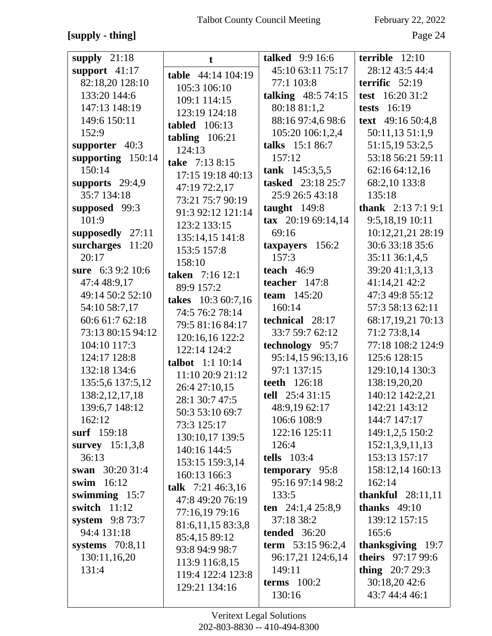## **[supply - thing]** Page 24

| supply $21:18$      | t.                      | <b>talked</b> 9:9 16:6 | terrible $12:10$          |
|---------------------|-------------------------|------------------------|---------------------------|
| support $41:17$     | table 44:14 104:19      | 45:10 63:11 75:17      | 28:12 43:5 44:4           |
| 82:18,20 128:10     |                         | 77:1 103:8             | terrific $52:19$          |
| 133:20 144:6        | 105:3 106:10            | talking $48:574:15$    | test 16:20 31:2           |
| 147:13 148:19       | 109:1 114:15            | 80:18 81:1,2           | <b>tests</b> 16:19        |
| 149:6 150:11        | 123:19 124:18           | 88:16 97:4,6 98:6      | text 49:16 50:4,8         |
| 152:9               | tabled $106:13$         | 105:20 106:1,2,4       | 50:11,13 51:1,9           |
|                     | tabling $106:21$        |                        |                           |
| supporter $40:3$    | 124:13                  | talks 15:1 86:7        | 51:15,19 53:2,5           |
| supporting 150:14   | take 7:13 8:15          | 157:12                 | 53:18 56:21 59:11         |
| 150:14              | 17:15 19:18 40:13       | tank $145:3,5,5$       | 62:16 64:12,16            |
| supports $29:4,9$   | 47:19 72:2,17           | tasked 23:18 25:7      | 68:2,10 133:8             |
| 35:7 134:18         | 73:21 75:7 90:19        | 25:9 26:5 43:18        | 135:18                    |
| supposed 99:3       | 91:3 92:12 121:14       | taught $149:8$         | <b>thank</b> $2:137:19:1$ |
| 101:9               | 123:2 133:15            | tax $20:1969:14,14$    | 9:5,18,19 10:11           |
| supposedly 27:11    |                         | 69:16                  | 10:12,21,21 28:19         |
| surcharges<br>11:20 | 135:14,15 141:8         | taxpayers 156:2        | 30:6 33:18 35:6           |
| 20:17               | 153:5 157:8             | 157:3                  | 35:11 36:1,4,5            |
| sure 6:3 9:2 10:6   | 158:10                  | teach $46:9$           | 39:20 41:1,3,13           |
| 47:4 48:9,17        | taken 7:16 12:1         | teacher $147:8$        | 41:14,21 42:2             |
| 49:14 50:2 52:10    | 89:9 157:2              | <b>team</b> $145:20$   | 47:3 49:8 55:12           |
|                     | takes 10:3 60:7,16      |                        |                           |
| 54:10 58:7,17       | 74:5 76:2 78:14         | 160:14                 | 57:3 58:13 62:11          |
| 60:6 61:7 62:18     | 79:5 81:16 84:17        | technical 28:17        | 68:17,19,21 70:13         |
| 73:13 80:15 94:12   | 120:16,16 122:2         | 33:7 59:7 62:12        | 71:2 73:8,14              |
| 104:10 117:3        | 122:14 124:2            | technology 95:7        | 77:18 108:2 124:9         |
| 124:17 128:8        | <b>talbot</b> 1:1 10:14 | 95:14,15 96:13,16      | 125:6 128:15              |
| 132:18 134:6        | 11:10 20:9 21:12        | 97:1 137:15            | 129:10,14 130:3           |
| 135:5,6 137:5,12    | 26:4 27:10,15           | teeth 126:18           | 138:19,20,20              |
| 138:2, 12, 17, 18   | 28:1 30:7 47:5          | tell 25:4 31:15        | 140:12 142:2,21           |
| 139:6,7 148:12      | 50:3 53:10 69:7         | 48:9,19 62:17          | 142:21 143:12             |
| 162:12              |                         | 106:6 108:9            | 144:7 147:17              |
| surf 159:18         | 73:3 125:17             | 122:16 125:11          | 149:1,2,5 150:2           |
| survey $15:1,3,8$   | 130:10,17 139:5         | 126:4                  | 152:1,3,9,11,13           |
| 36:13               | 140:16 144:5            | <b>tells</b> 103:4     | 153:13 157:17             |
| swan 30:20 31:4     | 153:15 159:3,14         | temporary 95:8         | 158:12,14 160:13          |
| swim $16:12$        | 160:13 166:3            | 95:16 97:14 98:2       | 162:14                    |
|                     | talk 7:21 46:3,16       |                        |                           |
| swimming $15:7$     | 47:8 49:20 76:19        | 133:5                  | thankful $28:11,11$       |
| switch $11:12$      | 77:16,19 79:16          | ten $24:1,425:8,9$     | thanks $49:10$            |
| system $9:873:7$    | 81:6,11,15 83:3,8       | 37:18 38:2             | 139:12 157:15             |
| 94:4 131:18         | 85:4,15 89:12           | <b>tended</b> 36:20    | 165:6                     |
| systems $70:8,11$   | 93:8 94:9 98:7          | term 53:15 96:2,4      | <b>thanksgiving</b> 19:7  |
| 130:11,16,20        | 113:9 116:8,15          | 96:17,21 124:6,14      | <b>theirs</b> 97:17 99:6  |
| 131:4               | 119:4 122:4 123:8       | 149:11                 | thing $20:729:3$          |
|                     | 129:21 134:16           | terms $100:2$          | 30:18,20 42:6             |
|                     |                         | 130:16                 | 43:7 44:4 46:1            |
|                     |                         |                        |                           |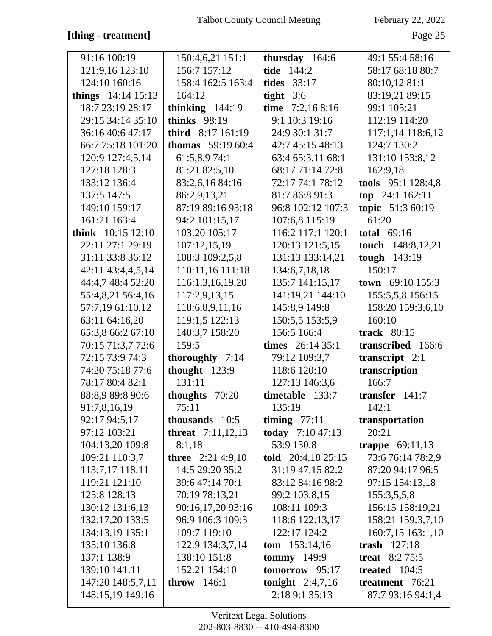### **[thing - treatment]** Page 25

| 91:16 100:19         | 150:4,6,21 151:1          | thursday 164:6         | 49:1 55:4 58:16          |
|----------------------|---------------------------|------------------------|--------------------------|
| 121:9,16 123:10      | 156:7 157:12              | tide 144:2             | 58:17 68:18 80:7         |
| 124:10 160:16        | 158:4 162:5 163:4         | <b>tides</b> 33:17     | 80:10,12 81:1            |
| things $14:14$ 15:13 | 164:12                    | tight $3:6$            | 83:19,21 89:15           |
| 18:7 23:19 28:17     | thinking $144:19$         | time $7:2,168:16$      | 99:1 105:21              |
| 29:15 34:14 35:10    | thinks 98:19              | 9:1 10:3 19:16         | 112:19 114:20            |
| 36:16 40:6 47:17     | third $8:17$ 161:19       | 24:9 30:1 31:7         | 117:1,14 118:6,12        |
| 66:7 75:18 101:20    | <b>thomas</b> $59:1960:4$ | 42:7 45:15 48:13       | 124:7 130:2              |
| 120:9 127:4,5,14     | 61:5,8,974:1              | 63:4 65:3,11 68:1      | 131:10 153:8,12          |
| 127:18 128:3         | 81:21 82:5,10             | 68:17 71:14 72:8       | 162:9,18                 |
| 133:12 136:4         | 83:2,6,16 84:16           | 72:17 74:1 78:12       | tools 95:1 128:4,8       |
| 137:5 147:5          | 86:2,9,13,21              | 81:7 86:8 91:3         | top 24:1 162:11          |
| 149:10 159:17        | 87:19 89:16 93:18         | 96:8 102:12 107:3      | topic 51:3 60:19         |
| 161:21 163:4         | 94:2 101:15,17            | 107:6,8 115:19         | 61:20                    |
| think $10:15$ 12:10  | 103:20 105:17             | 116:2 117:1 120:1      | total $69:16$            |
| 22:11 27:1 29:19     | 107:12,15,19              | 120:13 121:5,15        | touch 148:8,12,21        |
| 31:11 33:8 36:12     | 108:3 109:2,5,8           | 131:13 133:14,21       | tough 143:19             |
| 42:11 43:4,4,5,14    | 110:11,16 111:18          | 134:6,7,18,18          | 150:17                   |
| 44:4,7 48:4 52:20    | 116:1,3,16,19,20          | 135:7 141:15,17        | town $69:10$ 155:3       |
| 55:4,8,21 56:4,16    | 117:2,9,13,15             | 141:19,21 144:10       | 155:5,5,8 156:15         |
| 57:7,19 61:10,12     | 118:6,8,9,11,16           | 145:8,9 149:8          | 158:20 159:3,6,10        |
| 63:11 64:16,20       | 119:1,5 122:13            | 150:5,5 153:5,9        | 160:10                   |
| 65:3,8 66:2 67:10    | 140:3,7 158:20            | 156:5 166:4            | track 80:15              |
| 70:15 71:3,7 72:6    | 159:5                     | times $26:1435:1$      | transcribed 166:6        |
| 72:15 73:9 74:3      | thoroughly 7:14           | 79:12 109:3,7          | transcript 2:1           |
| 74:20 75:18 77:6     | thought $123:9$           | 118:6 120:10           | transcription            |
| 78:17 80:4 82:1      | 131:11                    | 127:13 146:3,6         | 166:7                    |
| 88:8,9 89:8 90:6     | thoughts 70:20            | timetable 133:7        | transfer $141:7$         |
| 91:7,8,16,19         | 75:11                     | 135:19                 | 142:1                    |
| 92:17 94:5,17        | thousands 10:5            | timing $77:11$         | transportation           |
| 97:12 103:21         | <b>threat</b> 7:11,12,13  | today 7:10 47:13       | 20:21                    |
| 104:13,20 109:8      | 8:1,18                    | 53:9 130:8             | <b>trappe</b> $69:11,13$ |
| 109:21 110:3,7       | three $2:21\,4:9,10$      | told $20:4,1825:15$    | 73:6 76:14 78:2,9        |
| 113:7,17 118:11      | 14:5 29:20 35:2           | 31:19 47:15 82:2       | 87:20 94:17 96:5         |
| 119:21 121:10        | 39:6 47:14 70:1           | 83:12 84:16 98:2       | 97:15 154:13,18          |
| 125:8 128:13         | 70:19 78:13,21            | 99:2 103:8,15          | 155:3,5,5,8              |
| 130:12 131:6,13      | 90:16,17,20 93:16         | 108:11 109:3           | 156:15 158:19,21         |
| 132:17,20 133:5      | 96:9 106:3 109:3          | 118:6 122:13,17        | 158:21 159:3,7,10        |
| 134:13,19 135:1      | 109:7 119:10              | 122:17 124:2           | 160:7,15 163:1,10        |
| 135:10 136:8         | 122:9 134:3,7,14          | <b>tom</b> $153:14,16$ | trash $127:18$           |
| 137:1 138:9          | 138:10 151:8              | tommy $149:9$          | treat $8:2 75:5$         |
| 139:10 141:11        | 152:21 154:10             | tomorrow 95:17         | treated $104:5$          |
| 147:20 148:5,7,11    | <b>throw</b> 146:1        | tonight $2:4,7,16$     | treatment 76:21          |
| 148:15,19 149:16     |                           | 2:18 9:1 35:13         | 87:7 93:16 94:1,4        |
|                      |                           |                        |                          |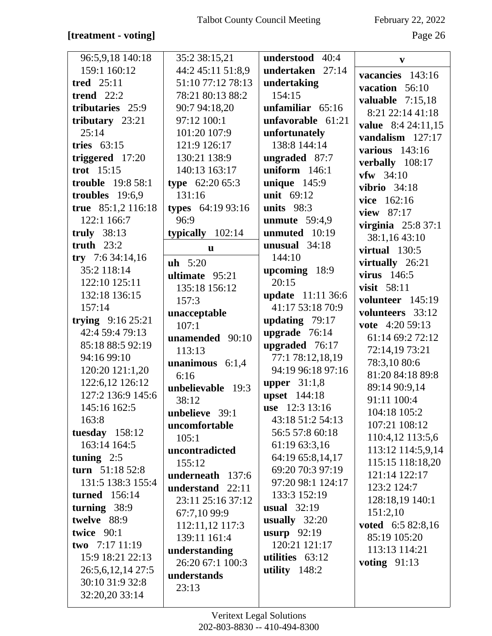### [treatment - voting]

February 22, 2022

| 96:5,9,18 140:18         | 35:2 38:15,21         | understood 40:4     | $\mathbf{V}$                     |
|--------------------------|-----------------------|---------------------|----------------------------------|
| 159:1 160:12             | 44:2 45:11 51:8,9     | undertaken 27:14    | vacancies 143:16                 |
| tred $25:11$             | 51:10 77:12 78:13     | undertaking         | vacation 56:10                   |
| trend $22:2$             | 78:21 80:13 88:2      | 154:15              | valuable $7:15,18$               |
| tributaries 25:9         | 90:7 94:18,20         | unfamiliar 65:16    | 8:21 22:14 41:18                 |
| tributary $23:21$        | 97:12 100:1           | unfavorable $61:21$ | value 8:4 24:11,15               |
| 25:14                    | 101:20 107:9          | unfortunately       | vandalism 127:17                 |
| tries $63:15$            | 121:9 126:17          | 138:8 144:14        | various $143:16$                 |
| triggered $17:20$        | 130:21 138:9          | ungraded 87:7       | verbally 108:17                  |
| trot $15:15$             | 140:13 163:17         | uniform $146:1$     | $vfw$ 34:10                      |
| <b>trouble</b> 19:8 58:1 | type $62:2065:3$      | unique $145:9$      | vibrio $34:18$                   |
| troubles $19:6,9$        | 131:16                | unit 69:12          | vice 162:16                      |
| true 85:1,2 116:18       | types 64:19 93:16     | units $98:3$        | view 87:17                       |
| 122:1 166:7              | 96:9                  | unmute $59:4,9$     | virginia $25:837:1$              |
| truly $38:13$            | typically $102:14$    | unmuted 10:19       | 38:1,16 43:10                    |
| truth $23:2$             | u                     | unusual $34:18$     | virtual $130:5$                  |
| try $7:634:14,16$        | $uh$ 5:20             | 144:10              | virtually 26:21                  |
| 35:2 118:14              | ultimate 95:21        | upcoming 18:9       | virus $146:5$                    |
| 122:10 125:11            | 135:18 156:12         | 20:15               | visit 58:11                      |
| 132:18 136:15            | 157:3                 | update 11:11 36:6   | volunteer 145:19                 |
| 157:14                   |                       | 41:17 53:18 70:9    | volunteers 33:12                 |
| trying $9:16\,25:21$     | unacceptable<br>107:1 | updating $79:17$    | vote 4:20 59:13                  |
| 42:4 59:4 79:13          | unamended 90:10       | upgrade 76:14       | 61:14 69:2 72:12                 |
| 85:18 88:5 92:19         | 113:13                | upgraded 76:17      | 72:14,19 73:21                   |
| 94:16 99:10              |                       | 77:1 78:12,18,19    |                                  |
| 120:20 121:1,20          | unanimous $6:1,4$     | 94:19 96:18 97:16   | 78:3,10 80:6<br>81:20 84:18 89:8 |
| 122:6,12 126:12          | 6:16                  | upper $31:1,8$      |                                  |
| 127:2 136:9 145:6        | unbelievable 19:3     | upset 144:18        | 89:14 90:9,14                    |
| 145:16 162:5             | 38:12                 | use 12:3 13:16      | 91:11 100:4                      |
| 163:8                    | unbelieve 39:1        | 43:18 51:2 54:13    | 104:18 105:2                     |
| tuesday 158:12           | uncomfortable         | 56:5 57:8 60:18     | 107:21 108:12                    |
| 163:14 164:5             | 105:1                 | 61:19 63:3,16       | 110:4,12 113:5,6                 |
| tuning $2:5$             | uncontradicted        | 64:19 65:8,14,17    | 113:12 114:5,9,14                |
| turn 51:18 52:8          | 155:12                | 69:20 70:3 97:19    | 115:15 118:18,20                 |
| 131:5 138:3 155:4        | underneath 137:6      | 97:20 98:1 124:17   | 121:14 122:17                    |
| <b>turned</b> 156:14     | understand 22:11      | 133:3 152:19        | 123:2 124:7                      |
| turning $38:9$           | 23:11 25:16 37:12     | usual $32:19$       | 128:18,19 140:1                  |
| twelve 88:9              | 67:7,10 99:9          | usually 32:20       | 151:2,10                         |
| twice 90:1               | 112:11,12 117:3       | usurp $92:19$       | voted 6:5 82:8,16                |
| two $7:1711:19$          | 139:11 161:4          | 120:21 121:17       | 85:19 105:20                     |
| 15:9 18:21 22:13         | understanding         | utilities $63:12$   | 113:13 114:21                    |
| 26:5,6,12,14 27:5        | 26:20 67:1 100:3      | utility $148:2$     | voting $91:13$                   |
| 30:10 31:9 32:8          | understands           |                     |                                  |
| 32:20,20 33:14           | 23:13                 |                     |                                  |
|                          |                       |                     |                                  |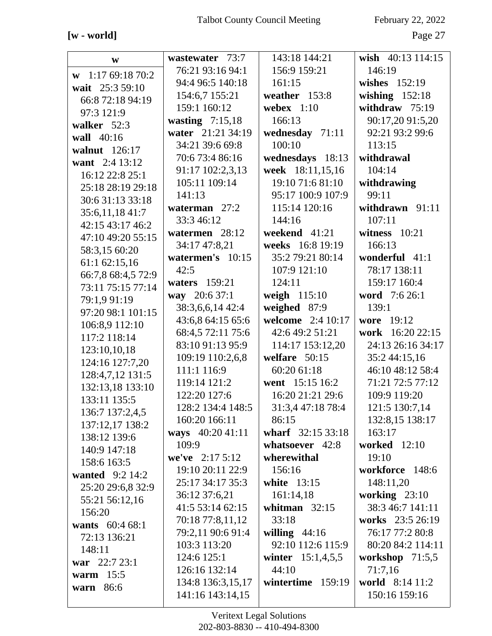### $[\![\mathbf{w}\!]$  - world]

February 22, 2022

Page 27

| W                      | wastewater 73:7    | 143:18 144:21       | wish 40:13 114:15   |
|------------------------|--------------------|---------------------|---------------------|
| $w$ 1:17 69:18 70:2    | 76:21 93:16 94:1   | 156:9 159:21        | 146:19              |
| wait 25:3 59:10        | 94:4 96:5 140:18   | 161:15              | wishes $152:19$     |
| 66:8 72:18 94:19       | 154:6,7 155:21     | weather 153:8       | wishing $152:18$    |
| 97:3 121:9             | 159:1 160:12       | webex $1:10$        | withdraw $75:19$    |
| walker 52:3            | wasting $7:15,18$  | 166:13              | 90:17,20 91:5,20    |
| wall 40:16             | water 21:21 34:19  | wednesday 71:11     | 92:21 93:2 99:6     |
| walnut 126:17          | 34:21 39:6 69:8    | 100:10              | 113:15              |
| want 2:4 13:12         | 70:6 73:4 86:16    | wednesdays 18:13    | withdrawal          |
| 16:12 22:8 25:1        | 91:17 102:2,3,13   | week 18:11,15,16    | 104:14              |
| 25:18 28:19 29:18      | 105:11 109:14      | 19:10 71:6 81:10    | withdrawing         |
| 30:6 31:13 33:18       | 141:13             | 95:17 100:9 107:9   | 99:11               |
| 35:6,11,18 41:7        | waterman 27:2      | 115:14 120:16       | withdrawn 91:11     |
| 42:15 43:17 46:2       | 33:3 46:12         | 144:16              | 107:11              |
| 47:10 49:20 55:15      | watermen 28:12     | weekend 41:21       | witness $10:21$     |
| 58:3,15 60:20          | 34:17 47:8,21      | weeks 16:8 19:19    | 166:13              |
| 61:1 62:15,16          | watermen's 10:15   | 35:2 79:21 80:14    | wonderful 41:1      |
| 66:7,8 68:4,5 72:9     | 42:5               | 107:9 121:10        | 78:17 138:11        |
| 73:11 75:15 77:14      | waters 159:21      | 124:11              | 159:17 160:4        |
| 79:1,9 91:19           | way 20:6 37:1      | weigh 115:10        | word 7:6 26:1       |
| 97:20 98:1 101:15      | 38:3,6,6,14 42:4   | weighed 87:9        | 139:1               |
| 106:8,9 112:10         | 43:6,8 64:15 65:6  | welcome 2:4 10:17   | wore 19:12          |
| 117:2 118:14           | 68:4,5 72:11 75:6  | 42:6 49:2 51:21     | work 16:20 22:15    |
| 123:10,10,18           | 83:10 91:13 95:9   | 114:17 153:12,20    | 24:13 26:16 34:17   |
| 124:16 127:7,20        | 109:19 110:2,6,8   | welfare $50:15$     | 35:2 44:15,16       |
| 128:4,7,12 131:5       | 111:1 116:9        | 60:20 61:18         | 46:10 48:12 58:4    |
| 132:13,18 133:10       | 119:14 121:2       | went 15:15 16:2     | 71:21 72:5 77:12    |
| 133:11 135:5           | 122:20 127:6       | 16:20 21:21 29:6    | 109:9 119:20        |
| 136:7 137:2,4,5        | 128:2 134:4 148:5  | 31:3,4 47:18 78:4   | 121:5 130:7,14      |
| 137:12,17 138:2        | 160:20 166:11      | 86:15               | 132:8,15 138:17     |
| 138:12 139:6           | ways 40:20 41:11   | wharf 32:15 33:18   | 163:17              |
| 140:9 147:18           | 109:9              | whatsoever 42:8     | <b>worked</b> 12:10 |
| 158:6 163:5            | we've $2:17\,5:12$ | wherewithal         | 19:10               |
| <b>wanted</b> 9:2 14:2 | 19:10 20:11 22:9   | 156:16              | workforce 148:6     |
| 25:20 29:6,8 32:9      | 25:17 34:17 35:3   | white 13:15         | 148:11,20           |
| 55:21 56:12,16         | 36:12 37:6,21      | 161:14,18           | working 23:10       |
| 156:20                 | 41:5 53:14 62:15   | whitman $32:15$     | 38:3 46:7 141:11    |
| wants 60:4 68:1        | 70:18 77:8,11,12   | 33:18               | works 23:5 26:19    |
| 72:13 136:21           | 79:2,11 90:6 91:4  | willing $44:16$     | 76:17 77:2 80:8     |
| 148:11                 | 103:3 113:20       | 92:10 112:6 115:9   | 80:20 84:2 114:11   |
| war $22:723:1$         | 124:6 125:1        | winter $15:1,4,5,5$ | workshop $71:5,5$   |
| warm $15:5$            | 126:16 132:14      | 44:10               | 71:7,16             |
| warn 86:6              | 134:8 136:3,15,17  | wintertime 159:19   | world 8:14 11:2     |
|                        | 141:16 143:14,15   |                     | 150:16 159:16       |